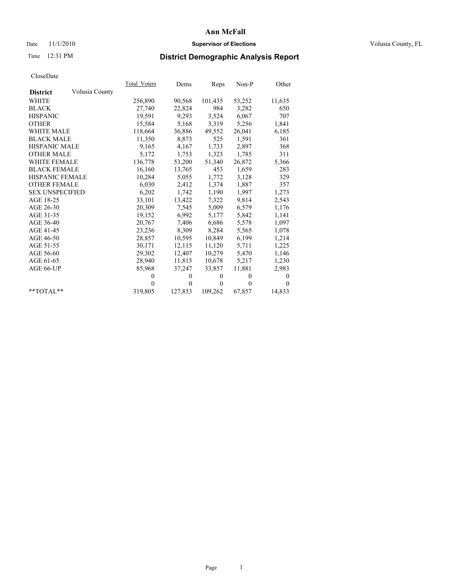### Date 11/1/2010 **Supervisor of Elections Supervisor of Elections** Volusia County, FL

# Time 12:31 PM **District Demographic Analysis Report**

|                                   | Total Voters | Dems         | <b>Reps</b> | Non-P    | Other        |
|-----------------------------------|--------------|--------------|-------------|----------|--------------|
| Volusia County<br><b>District</b> |              |              |             |          |              |
| WHITE                             | 256,890      | 90,568       | 101,435     | 53,252   | 11,635       |
| <b>BLACK</b>                      | 27,740       | 22,824       | 984         | 3,282    | 650          |
| <b>HISPANIC</b>                   | 19,591       | 9,293        | 3,524       | 6,067    | 707          |
| <b>OTHER</b>                      | 15,584       | 5,168        | 3,319       | 5,256    | 1,841        |
| <b>WHITE MALE</b>                 | 118,664      | 36,886       | 49,552      | 26,041   | 6,185        |
| <b>BLACK MALE</b>                 | 11,350       | 8,873        | 525         | 1,591    | 361          |
| HISPANIC MALE                     | 9,165        | 4,167        | 1,733       | 2,897    | 368          |
| <b>OTHER MALE</b>                 | 5,172        | 1,753        | 1,323       | 1,785    | 311          |
| <b>WHITE FEMALE</b>               | 136,778      | 53,200       | 51,340      | 26,872   | 5,366        |
| <b>BLACK FEMALE</b>               | 16,160       | 13,765       | 453         | 1,659    | 283          |
| HISPANIC FEMALE                   | 10,284       | 5,055        | 1,772       | 3,128    | 329          |
| <b>OTHER FEMALE</b>               | 6,030        | 2,412        | 1,374       | 1,887    | 357          |
| <b>SEX UNSPECIFIED</b>            | 6,202        | 1,742        | 1,190       | 1,997    | 1,273        |
| AGE 18-25                         | 33,101       | 13,422       | 7,322       | 9,814    | 2,543        |
| AGE 26-30                         | 20,309       | 7,545        | 5,009       | 6,579    | 1,176        |
| AGE 31-35                         | 19,152       | 6,992        | 5,177       | 5,842    | 1,141        |
| AGE 36-40                         | 20,767       | 7,406        | 6,686       | 5,578    | 1,097        |
| AGE 41-45                         | 23,236       | 8,309        | 8,284       | 5,565    | 1,078        |
| AGE 46-50                         | 28,857       | 10,595       | 10,849      | 6,199    | 1,214        |
| AGE 51-55                         | 30,171       | 12,115       | 11,120      | 5,711    | 1,225        |
| AGE 56-60                         | 29,302       | 12,407       | 10,279      | 5,470    | 1,146        |
| AGE 61-65                         | 28,940       | 11,815       | 10,678      | 5,217    | 1,230        |
| AGE 66-UP                         | 85,968       | 37,247       | 33,857      | 11,881   | 2,983        |
|                                   | $\theta$     | $\mathbf{0}$ | $\Omega$    | $\Omega$ | $\mathbf{0}$ |
|                                   | $\theta$     | $\mathbf{0}$ | $\theta$    | $\theta$ | $\Omega$     |
| $*$ $TOTAI.**$                    | 319,805      | 127,853      | 109,262     | 67,857   | 14,833       |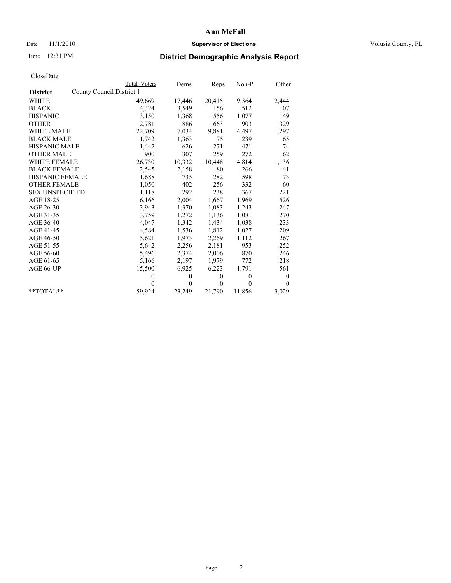### Date 11/1/2010 **Supervisor of Elections Supervisor of Elections** Volusia County, FL

# Time 12:31 PM **District Demographic Analysis Report**

|                        |                           | Total Voters | Dems         | Reps     | $Non-P$      | Other            |
|------------------------|---------------------------|--------------|--------------|----------|--------------|------------------|
| <b>District</b>        | County Council District 1 |              |              |          |              |                  |
| <b>WHITE</b>           |                           | 49,669       | 17,446       | 20,415   | 9,364        | 2,444            |
| <b>BLACK</b>           |                           | 4,324        | 3,549        | 156      | 512          | 107              |
| <b>HISPANIC</b>        |                           | 3,150        | 1,368        | 556      | 1,077        | 149              |
| <b>OTHER</b>           |                           | 2,781        | 886          | 663      | 903          | 329              |
| WHITE MALE             |                           | 22,709       | 7,034        | 9,881    | 4,497        | 1,297            |
| <b>BLACK MALE</b>      |                           | 1,742        | 1,363        | 75       | 239          | 65               |
| <b>HISPANIC MALE</b>   |                           | 1,442        | 626          | 271      | 471          | 74               |
| <b>OTHER MALE</b>      |                           | 900          | 307          | 259      | 272          | 62               |
| <b>WHITE FEMALE</b>    |                           | 26,730       | 10,332       | 10,448   | 4,814        | 1,136            |
| <b>BLACK FEMALE</b>    |                           | 2,545        | 2,158        | 80       | 266          | 41               |
| HISPANIC FEMALE        |                           | 1,688        | 735          | 282      | 598          | 73               |
| <b>OTHER FEMALE</b>    |                           | 1,050        | 402          | 256      | 332          | 60               |
| <b>SEX UNSPECIFIED</b> |                           | 1,118        | 292          | 238      | 367          | 221              |
| AGE 18-25              |                           | 6,166        | 2,004        | 1,667    | 1,969        | 526              |
| AGE 26-30              |                           | 3,943        | 1,370        | 1,083    | 1,243        | 247              |
| AGE 31-35              |                           | 3,759        | 1,272        | 1,136    | 1,081        | 270              |
| AGE 36-40              |                           | 4,047        | 1,342        | 1,434    | 1,038        | 233              |
| AGE 41-45              |                           | 4,584        | 1,536        | 1,812    | 1,027        | 209              |
| AGE 46-50              |                           | 5,621        | 1,973        | 2,269    | 1,112        | 267              |
| AGE 51-55              |                           | 5,642        | 2,256        | 2,181    | 953          | 252              |
| AGE 56-60              |                           | 5,496        | 2,374        | 2,006    | 870          | 246              |
| AGE 61-65              |                           | 5,166        | 2,197        | 1,979    | 772          | 218              |
| AGE 66-UP              |                           | 15,500       | 6,925        | 6,223    | 1,791        | 561              |
|                        |                           | $\theta$     | $\mathbf{0}$ | $\theta$ | $\mathbf{0}$ | $\boldsymbol{0}$ |
|                        |                           | $\Omega$     | $\mathbf{0}$ | $\theta$ | $\theta$     | $\theta$         |
| $*$ TOTAL $*$          |                           | 59,924       | 23,249       | 21,790   | 11,856       | 3,029            |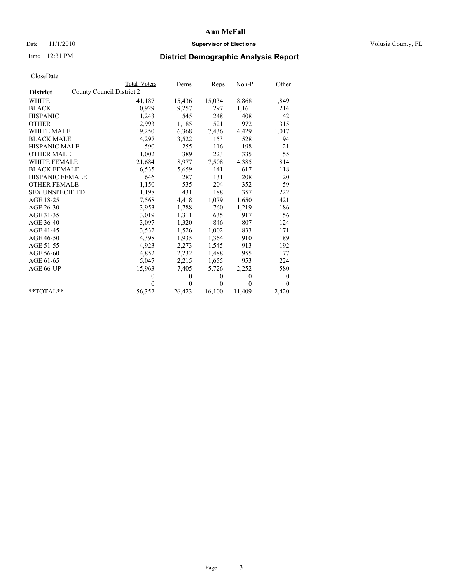### Date 11/1/2010 **Supervisor of Elections Supervisor of Elections** Volusia County, FL

# Time 12:31 PM **District Demographic Analysis Report**

|                        | Total Voters              | Dems         | Reps         | $Non-P$      | Other    |
|------------------------|---------------------------|--------------|--------------|--------------|----------|
| <b>District</b>        | County Council District 2 |              |              |              |          |
| <b>WHITE</b>           | 41,187                    | 15,436       | 15,034       | 8,868        | 1,849    |
| <b>BLACK</b>           | 10,929                    | 9,257        | 297          | 1,161        | 214      |
| <b>HISPANIC</b>        | 1,243                     | 545          | 248          | 408          | 42       |
| <b>OTHER</b>           | 2,993                     | 1,185        | 521          | 972          | 315      |
| <b>WHITE MALE</b>      | 19,250                    | 6,368        | 7,436        | 4,429        | 1,017    |
| <b>BLACK MALE</b>      | 4,297                     | 3,522        | 153          | 528          | 94       |
| <b>HISPANIC MALE</b>   | 590                       | 255          | 116          | 198          | 21       |
| <b>OTHER MALE</b>      | 1,002                     | 389          | 223          | 335          | 55       |
| <b>WHITE FEMALE</b>    | 21,684                    | 8,977        | 7,508        | 4,385        | 814      |
| <b>BLACK FEMALE</b>    | 6,535                     | 5,659        | 141          | 617          | 118      |
| HISPANIC FEMALE        | 646                       | 287          | 131          | 208          | 20       |
| <b>OTHER FEMALE</b>    | 1,150                     | 535          | 204          | 352          | 59       |
| <b>SEX UNSPECIFIED</b> | 1,198                     | 431          | 188          | 357          | 222      |
| AGE 18-25              | 7,568                     | 4,418        | 1,079        | 1,650        | 421      |
| AGE 26-30              | 3,953                     | 1,788        | 760          | 1,219        | 186      |
| AGE 31-35              | 3,019                     | 1,311        | 635          | 917          | 156      |
| AGE 36-40              | 3,097                     | 1,320        | 846          | 807          | 124      |
| AGE 41-45              | 3,532                     | 1,526        | 1,002        | 833          | 171      |
| AGE 46-50              | 4,398                     | 1,935        | 1,364        | 910          | 189      |
| AGE 51-55              | 4,923                     | 2,273        | 1,545        | 913          | 192      |
| AGE 56-60              | 4,852                     | 2,232        | 1,488        | 955          | 177      |
| AGE 61-65              | 5,047                     | 2,215        | 1,655        | 953          | 224      |
| AGE 66-UP              | 15,963                    | 7,405        | 5,726        | 2,252        | 580      |
|                        | $\theta$                  | $\mathbf{0}$ | $\mathbf{0}$ | $\mathbf{0}$ | $\bf{0}$ |
|                        | $\Omega$                  | $\theta$     | $\theta$     | $\theta$     | $\theta$ |
| $*$ $TOTAI.**$         | 56,352                    | 26,423       | 16,100       | 11,409       | 2,420    |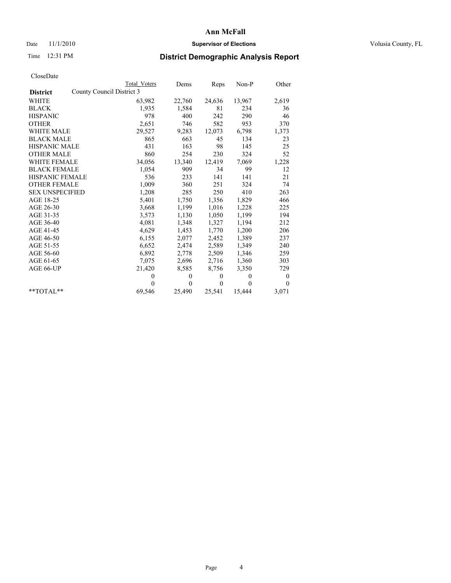### Date 11/1/2010 **Supervisor of Elections Supervisor of Elections** Volusia County, FL

# Time 12:31 PM **District Demographic Analysis Report**

|                        |                           | Total Voters | Dems         | Reps         | $Non-P$      | Other    |
|------------------------|---------------------------|--------------|--------------|--------------|--------------|----------|
| <b>District</b>        | County Council District 3 |              |              |              |              |          |
| <b>WHITE</b>           |                           | 63,982       | 22,760       | 24,636       | 13,967       | 2,619    |
| <b>BLACK</b>           |                           | 1,935        | 1,584        | 81           | 234          | 36       |
| <b>HISPANIC</b>        |                           | 978          | 400          | 242          | 290          | 46       |
| <b>OTHER</b>           |                           | 2,651        | 746          | 582          | 953          | 370      |
| <b>WHITE MALE</b>      |                           | 29,527       | 9,283        | 12,073       | 6,798        | 1,373    |
| <b>BLACK MALE</b>      |                           | 865          | 663          | 45           | 134          | 23       |
| HISPANIC MALE          |                           | 431          | 163          | 98           | 145          | 25       |
| <b>OTHER MALE</b>      |                           | 860          | 254          | 230          | 324          | 52       |
| <b>WHITE FEMALE</b>    |                           | 34,056       | 13,340       | 12,419       | 7,069        | 1,228    |
| <b>BLACK FEMALE</b>    |                           | 1,054        | 909          | 34           | 99           | 12       |
| HISPANIC FEMALE        |                           | 536          | 233          | 141          | 141          | 21       |
| <b>OTHER FEMALE</b>    |                           | 1,009        | 360          | 251          | 324          | 74       |
| <b>SEX UNSPECIFIED</b> |                           | 1,208        | 285          | 250          | 410          | 263      |
| AGE 18-25              |                           | 5,401        | 1,750        | 1,356        | 1,829        | 466      |
| AGE 26-30              |                           | 3,668        | 1,199        | 1,016        | 1,228        | 225      |
| AGE 31-35              |                           | 3,573        | 1,130        | 1,050        | 1,199        | 194      |
| AGE 36-40              |                           | 4,081        | 1,348        | 1,327        | 1,194        | 212      |
| AGE 41-45              |                           | 4,629        | 1,453        | 1,770        | 1,200        | 206      |
| AGE 46-50              |                           | 6,155        | 2,077        | 2,452        | 1,389        | 237      |
| AGE 51-55              |                           | 6,652        | 2,474        | 2,589        | 1,349        | 240      |
| AGE 56-60              |                           | 6,892        | 2,778        | 2,509        | 1,346        | 259      |
| AGE 61-65              |                           | 7,075        | 2,696        | 2,716        | 1,360        | 303      |
| AGE 66-UP              |                           | 21,420       | 8,585        | 8,756        | 3,350        | 729      |
|                        |                           | $\theta$     | $\mathbf{0}$ | $\mathbf{0}$ | $\mathbf{0}$ | $\bf{0}$ |
|                        |                           | $\Omega$     | $\mathbf{0}$ | $\mathbf{0}$ | $\theta$     | $\Omega$ |
| $*$ $TOTAI.**$         |                           | 69,546       | 25,490       | 25,541       | 15,444       | 3,071    |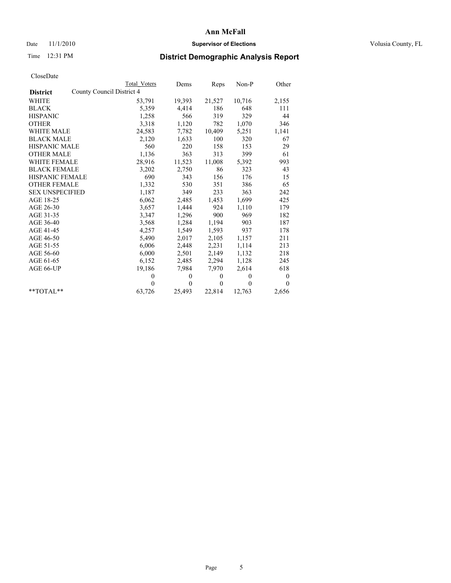### Date 11/1/2010 **Supervisor of Elections Supervisor of Elections** Volusia County, FL

# Time 12:31 PM **District Demographic Analysis Report**

|                                              | <b>Total Voters</b> | Dems           | Reps         | $Non-P$  | Other            |
|----------------------------------------------|---------------------|----------------|--------------|----------|------------------|
| County Council District 4<br><b>District</b> |                     |                |              |          |                  |
| <b>WHITE</b>                                 | 53,791              | 19,393         | 21,527       | 10,716   | 2,155            |
| <b>BLACK</b>                                 | 5,359               | 4,414          | 186          | 648      | 111              |
| <b>HISPANIC</b>                              | 1,258               | 566            | 319          | 329      | 44               |
| <b>OTHER</b>                                 | 3,318               | 1,120          | 782          | 1,070    | 346              |
| <b>WHITE MALE</b>                            | 24,583              | 7,782          | 10,409       | 5,251    | 1,141            |
| <b>BLACK MALE</b>                            | 2,120               | 1,633          | 100          | 320      | 67               |
| <b>HISPANIC MALE</b>                         | 560                 | 220            | 158          | 153      | 29               |
| <b>OTHER MALE</b>                            | 1,136               | 363            | 313          | 399      | 61               |
| <b>WHITE FEMALE</b>                          | 28,916              | 11,523         | 11,008       | 5,392    | 993              |
| <b>BLACK FEMALE</b>                          | 3,202               | 2,750          | 86           | 323      | 43               |
| HISPANIC FEMALE                              | 690                 | 343            | 156          | 176      | 15               |
| <b>OTHER FEMALE</b>                          | 1,332               | 530            | 351          | 386      | 65               |
| <b>SEX UNSPECIFIED</b>                       | 1,187               | 349            | 233          | 363      | 242              |
| AGE 18-25                                    | 6,062               | 2,485          | 1,453        | 1,699    | 425              |
| AGE 26-30                                    | 3,657               | 1,444          | 924          | 1,110    | 179              |
| AGE 31-35                                    | 3,347               | 1,296          | 900          | 969      | 182              |
| AGE 36-40                                    | 3,568               | 1,284          | 1,194        | 903      | 187              |
| AGE 41-45                                    | 4,257               | 1,549          | 1,593        | 937      | 178              |
| AGE 46-50                                    | 5,490               | 2,017          | 2,105        | 1,157    | 211              |
| AGE 51-55                                    | 6,006               | 2,448          | 2,231        | 1,114    | 213              |
| AGE 56-60                                    | 6,000               | 2,501          | 2,149        | 1,132    | 218              |
| AGE 61-65                                    | 6,152               | 2,485          | 2,294        | 1,128    | 245              |
| AGE 66-UP                                    | 19,186              | 7,984          | 7,970        | 2,614    | 618              |
|                                              | $\theta$            | $\theta$       | $\mathbf{0}$ | $\theta$ | $\boldsymbol{0}$ |
|                                              | $\theta$            | $\overline{0}$ | $\mathbf{0}$ | $\theta$ | $\mathbf{0}$     |
| $*$ $TOTAI.**$                               | 63,726              | 25,493         | 22,814       | 12,763   | 2,656            |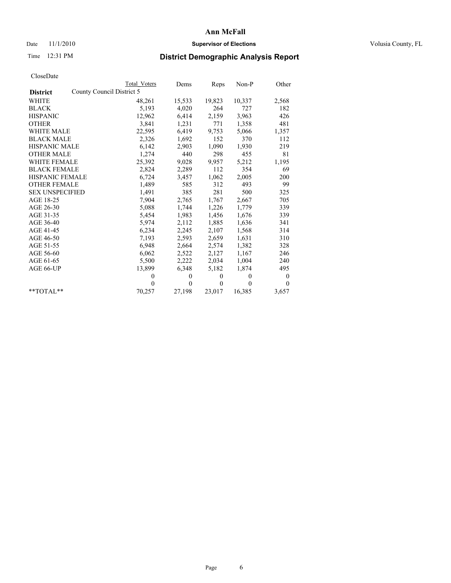## Date 11/1/2010 **Supervisor of Elections Supervisor of Elections** Volusia County, FL

# Time 12:31 PM **District Demographic Analysis Report**

|                                              | <b>Total Voters</b> | Dems         | Reps         | Non-P        | Other          |
|----------------------------------------------|---------------------|--------------|--------------|--------------|----------------|
| County Council District 5<br><b>District</b> |                     |              |              |              |                |
| <b>WHITE</b>                                 | 48,261              | 15,533       | 19,823       | 10,337       | 2,568          |
| <b>BLACK</b>                                 | 5,193               | 4,020        | 264          | 727          | 182            |
| <b>HISPANIC</b>                              | 12,962              | 6,414        | 2,159        | 3,963        | 426            |
| <b>OTHER</b>                                 | 3,841               | 1,231        | 771          | 1,358        | 481            |
| <b>WHITE MALE</b>                            | 22,595              | 6,419        | 9,753        | 5,066        | 1,357          |
| <b>BLACK MALE</b>                            | 2,326               | 1,692        | 152          | 370          | 112            |
| <b>HISPANIC MALE</b>                         | 6,142               | 2,903        | 1,090        | 1,930        | 219            |
| <b>OTHER MALE</b>                            | 1,274               | 440          | 298          | 455          | 81             |
| <b>WHITE FEMALE</b>                          | 25,392              | 9,028        | 9,957        | 5,212        | 1,195          |
| <b>BLACK FEMALE</b>                          | 2,824               | 2,289        | 112          | 354          | 69             |
| <b>HISPANIC FEMALE</b>                       | 6,724               | 3,457        | 1,062        | 2,005        | 200            |
| <b>OTHER FEMALE</b>                          | 1,489               | 585          | 312          | 493          | 99             |
| <b>SEX UNSPECIFIED</b>                       | 1,491               | 385          | 281          | 500          | 325            |
| AGE 18-25                                    | 7,904               | 2,765        | 1,767        | 2,667        | 705            |
| AGE 26-30                                    | 5,088               | 1,744        | 1,226        | 1,779        | 339            |
| AGE 31-35                                    | 5,454               | 1,983        | 1,456        | 1,676        | 339            |
| AGE 36-40                                    | 5,974               | 2,112        | 1,885        | 1,636        | 341            |
| AGE 41-45                                    | 6,234               | 2,245        | 2,107        | 1,568        | 314            |
| AGE 46-50                                    | 7,193               | 2,593        | 2,659        | 1,631        | 310            |
| AGE 51-55                                    | 6,948               | 2,664        | 2,574        | 1,382        | 328            |
| AGE 56-60                                    | 6,062               | 2,522        | 2,127        | 1,167        | 246            |
| AGE 61-65                                    | 5,500               | 2,222        | 2,034        | 1,004        | 240            |
| AGE 66-UP                                    | 13,899              | 6,348        | 5,182        | 1,874        | 495            |
|                                              | $\mathbf{0}$        | $\mathbf{0}$ | $\mathbf{0}$ | $\mathbf{0}$ | $\overline{0}$ |
|                                              | $\theta$            | $\theta$     | $\mathbf{0}$ | $\theta$     | $\theta$       |
| $*$ $TOTAI.**$                               | 70,257              | 27,198       | 23,017       | 16,385       | 3,657          |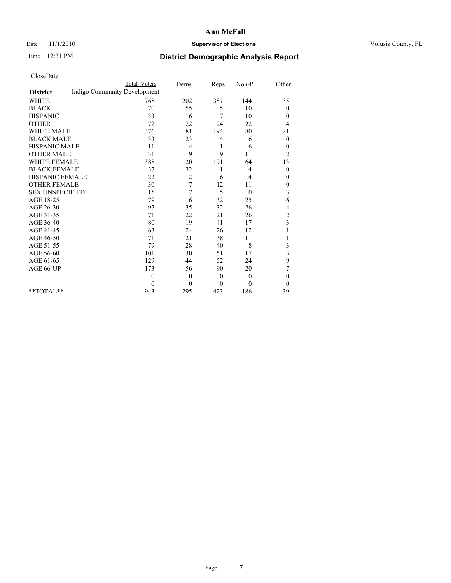### Date 11/1/2010 **Supervisor of Elections Supervisor of Elections** Volusia County, FL

## Time 12:31 PM **District Demographic Analysis Report**

|                                                 | Total Voters | Dems             | Reps         | Non-P          | Other            |
|-------------------------------------------------|--------------|------------------|--------------|----------------|------------------|
| Indigo Community Development<br><b>District</b> |              |                  |              |                |                  |
| <b>WHITE</b>                                    | 768          | 202              | 387          | 144            | 35               |
| <b>BLACK</b>                                    | 70           | 55               | 5            | 10             | $\overline{0}$   |
| <b>HISPANIC</b>                                 | 33           | 16               | 7            | 10             | $\overline{0}$   |
| <b>OTHER</b>                                    | 72           | 22               | 24           | 22             | 4                |
| <b>WHITE MALE</b>                               | 376          | 81               | 194          | 80             | 21               |
| <b>BLACK MALE</b>                               | 33           | 23               | 4            | 6              | $\boldsymbol{0}$ |
| <b>HISPANIC MALE</b>                            | 11           | 4                | 1            | 6              | $\theta$         |
| <b>OTHER MALE</b>                               | 31           | 9                | 9            | 11             | $\overline{c}$   |
| WHITE FEMALE                                    | 388          | 120              | 191          | 64             | 13               |
| <b>BLACK FEMALE</b>                             | 37           | 32               |              | 4              | $\theta$         |
| HISPANIC FEMALE                                 | 22           | 12               | 6            | 4              | 0                |
| <b>OTHER FEMALE</b>                             | 30           | 7                | 12           | 11             | $\mathbf{0}$     |
| <b>SEX UNSPECIFIED</b>                          | 15           | 7                | 5            | $\theta$       | 3                |
| AGE 18-25                                       | 79           | 16               | 32           | 25             | 6                |
| AGE 26-30                                       | 97           | 35               | 32           | 26             | 4                |
| AGE 31-35                                       | 71           | 22               | 21           | 26             | $\overline{c}$   |
| AGE 36-40                                       | 80           | 19               | 41           | 17             | 3                |
| AGE 41-45                                       | 63           | 24               | 26           | 12             |                  |
| AGE 46-50                                       | 71           | 21               | 38           | 11             |                  |
| AGE 51-55                                       | 79           | 28               | 40           | 8              | 3                |
| AGE 56-60                                       | 101          | 30               | 51           | 17             | 3                |
| AGE 61-65                                       | 129          | 44               | 52           | 24             | 9                |
| AGE 66-UP                                       | 173          | 56               | 90           | 20             | 7                |
|                                                 | $\mathbf{0}$ | $\overline{0}$   | $\mathbf{0}$ | $\overline{0}$ | $\theta$         |
|                                                 | $\theta$     | $\boldsymbol{0}$ | $\theta$     | $\theta$       | $\Omega$         |
| $**TOTAI.**$                                    | 943          | 295              | 423          | 186            | 39               |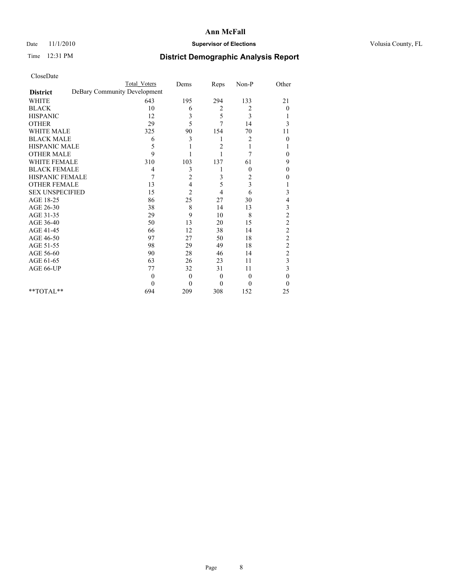### Date 11/1/2010 **Supervisor of Elections Supervisor of Elections** Volusia County, FL

# Time 12:31 PM **District Demographic Analysis Report**

|                                                 | <b>Total Voters</b> | Dems           | Reps           | Non-P            | Other            |
|-------------------------------------------------|---------------------|----------------|----------------|------------------|------------------|
| DeBary Community Development<br><b>District</b> |                     |                |                |                  |                  |
| <b>WHITE</b>                                    | 643                 | 195            | 294            | 133              | 21               |
| <b>BLACK</b>                                    | 10                  | 6              | 2              | 2                | $\boldsymbol{0}$ |
| <b>HISPANIC</b>                                 | 12                  | 3              | 5              | 3                |                  |
| <b>OTHER</b>                                    | 29                  | 5              | 7              | 14               | 3                |
| <b>WHITE MALE</b>                               | 325                 | 90             | 154            | 70               | 11               |
| <b>BLACK MALE</b>                               | 6                   | 3              | 1              | 2                | $\Omega$         |
| <b>HISPANIC MALE</b>                            | 5                   |                | $\overline{c}$ |                  |                  |
| <b>OTHER MALE</b>                               | 9                   |                |                | 7                | 0                |
| <b>WHITE FEMALE</b>                             | 310                 | 103            | 137            | 61               | 9                |
| <b>BLACK FEMALE</b>                             | 4                   | 3              |                | $\boldsymbol{0}$ | 0                |
| HISPANIC FEMALE                                 | 7                   | $\overline{c}$ | 3              | 2                | 0                |
| <b>OTHER FEMALE</b>                             | 13                  | 4              | 5              | 3                |                  |
| <b>SEX UNSPECIFIED</b>                          | 15                  | $\overline{c}$ | 4              | 6                | 3                |
| AGE 18-25                                       | 86                  | 25             | 27             | 30               | 4                |
| AGE 26-30                                       | 38                  | 8              | 14             | 13               | 3                |
| AGE 31-35                                       | 29                  | 9              | 10             | 8                | $\overline{c}$   |
| AGE 36-40                                       | 50                  | 13             | 20             | 15               | $\overline{c}$   |
| AGE 41-45                                       | 66                  | 12             | 38             | 14               | $\overline{c}$   |
| AGE 46-50                                       | 97                  | 27             | 50             | 18               | $\overline{c}$   |
| AGE 51-55                                       | 98                  | 29             | 49             | 18               | $\overline{c}$   |
| AGE 56-60                                       | 90                  | 28             | 46             | 14               | $\overline{c}$   |
| AGE 61-65                                       | 63                  | 26             | 23             | 11               | 3                |
| AGE 66-UP                                       | 77                  | 32             | 31             | 11               | 3                |
|                                                 | $\theta$            | $\theta$       | $\overline{0}$ | $\theta$         | 0                |
|                                                 | $\theta$            | $\theta$       | $\theta$       | $\theta$         | $\theta$         |
| $*$ TOTAL $*$                                   | 694                 | 209            | 308            | 152              | 25               |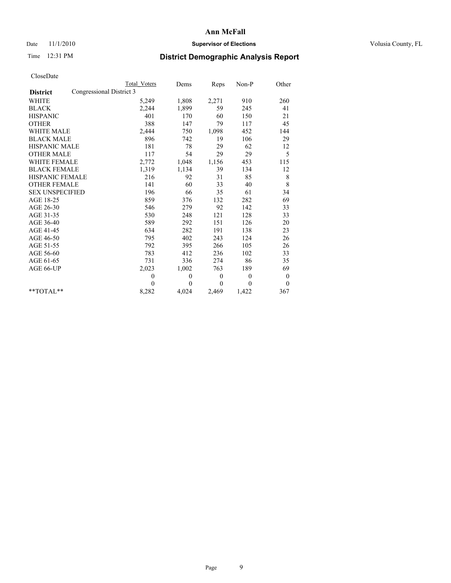### Date 11/1/2010 **Supervisor of Elections Supervisor of Elections** Volusia County, FL

# Time 12:31 PM **District Demographic Analysis Report**

|                                             | Total Voters   | Dems         | <b>Reps</b> | Non-P        | Other        |
|---------------------------------------------|----------------|--------------|-------------|--------------|--------------|
| Congressional District 3<br><b>District</b> |                |              |             |              |              |
| WHITE                                       | 5,249          | 1,808        | 2,271       | 910          | 260          |
| <b>BLACK</b>                                | 2,244          | 1,899        | 59          | 245          | 41           |
| <b>HISPANIC</b>                             | 401            | 170          | 60          | 150          | 21           |
| <b>OTHER</b>                                | 388            | 147          | 79          | 117          | 45           |
| <b>WHITE MALE</b>                           | 2,444          | 750          | 1,098       | 452          | 144          |
| <b>BLACK MALE</b>                           | 896            | 742          | 19          | 106          | 29           |
| <b>HISPANIC MALE</b>                        | 181            | 78           | 29          | 62           | 12           |
| <b>OTHER MALE</b>                           | 117            | 54           | 29          | 29           | 5            |
| WHITE FEMALE                                | 2,772          | 1,048        | 1,156       | 453          | 115          |
| <b>BLACK FEMALE</b>                         | 1,319          | 1,134        | 39          | 134          | 12           |
| HISPANIC FEMALE                             | 216            | 92           | 31          | 85           | 8            |
| <b>OTHER FEMALE</b>                         | 141            | 60           | 33          | 40           | 8            |
| <b>SEX UNSPECIFIED</b>                      | 196            | 66           | 35          | 61           | 34           |
| AGE 18-25                                   | 859            | 376          | 132         | 282          | 69           |
| AGE 26-30                                   | 546            | 279          | 92          | 142          | 33           |
| AGE 31-35                                   | 530            | 248          | 121         | 128          | 33           |
| AGE 36-40                                   | 589            | 292          | 151         | 126          | 20           |
| AGE 41-45                                   | 634            | 282          | 191         | 138          | 23           |
| AGE 46-50                                   | 795            | 402          | 243         | 124          | 26           |
| AGE 51-55                                   | 792            | 395          | 266         | 105          | 26           |
| AGE 56-60                                   | 783            | 412          | 236         | 102          | 33           |
| AGE 61-65                                   | 731            | 336          | 274         | 86           | 35           |
| AGE 66-UP                                   | 2,023          | 1,002        | 763         | 189          | 69           |
|                                             | $\overline{0}$ | $\theta$     | $\theta$    | $\mathbf{0}$ | $\mathbf{0}$ |
|                                             | $\Omega$       | $\mathbf{0}$ | $\Omega$    | $\theta$     | $\theta$     |
| $*$ $TOTAI.**$                              | 8,282          | 4,024        | 2,469       | 1,422        | 367          |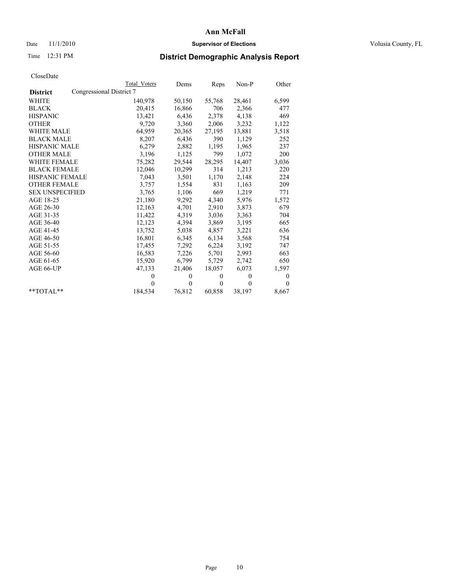## Date 11/1/2010 **Supervisor of Elections Supervisor of Elections** Volusia County, FL

# Time 12:31 PM **District Demographic Analysis Report**

|                                             | Total Voters | Dems     | Reps         | $Non-P$  | Other        |
|---------------------------------------------|--------------|----------|--------------|----------|--------------|
| Congressional District 7<br><b>District</b> |              |          |              |          |              |
| WHITE                                       | 140,978      | 50,150   | 55,768       | 28,461   | 6,599        |
| <b>BLACK</b>                                | 20,415       | 16,866   | 706          | 2,366    | 477          |
| <b>HISPANIC</b>                             | 13,421       | 6,436    | 2,378        | 4,138    | 469          |
| <b>OTHER</b>                                | 9,720        | 3,360    | 2,006        | 3,232    | 1,122        |
| <b>WHITE MALE</b>                           | 64,959       | 20,365   | 27,195       | 13,881   | 3,518        |
| <b>BLACK MALE</b>                           | 8,207        | 6,436    | 390          | 1,129    | 252          |
| <b>HISPANIC MALE</b>                        | 6,279        | 2,882    | 1,195        | 1,965    | 237          |
| <b>OTHER MALE</b>                           | 3,196        | 1,125    | 799          | 1,072    | 200          |
| <b>WHITE FEMALE</b>                         | 75,282       | 29,544   | 28,295       | 14,407   | 3,036        |
| <b>BLACK FEMALE</b>                         | 12,046       | 10,299   | 314          | 1,213    | 220          |
| HISPANIC FEMALE                             | 7,043        | 3,501    | 1,170        | 2,148    | 224          |
| <b>OTHER FEMALE</b>                         | 3,757        | 1,554    | 831          | 1,163    | 209          |
| <b>SEX UNSPECIFIED</b>                      | 3,765        | 1,106    | 669          | 1,219    | 771          |
| AGE 18-25                                   | 21,180       | 9,292    | 4,340        | 5,976    | 1,572        |
| AGE 26-30                                   | 12,163       | 4,701    | 2,910        | 3,873    | 679          |
| AGE 31-35                                   | 11,422       | 4,319    | 3,036        | 3,363    | 704          |
| AGE 36-40                                   | 12,123       | 4,394    | 3,869        | 3,195    | 665          |
| AGE 41-45                                   | 13,752       | 5,038    | 4,857        | 3,221    | 636          |
| AGE 46-50                                   | 16,801       | 6,345    | 6,134        | 3,568    | 754          |
| AGE 51-55                                   | 17,455       | 7,292    | 6,224        | 3,192    | 747          |
| AGE 56-60                                   | 16,583       | 7,226    | 5,701        | 2,993    | 663          |
| AGE 61-65                                   | 15,920       | 6,799    | 5,729        | 2,742    | 650          |
| AGE 66-UP                                   | 47,133       | 21,406   | 18,057       | 6,073    | 1,597        |
|                                             | $\mathbf{0}$ | $\theta$ | $\mathbf{0}$ | $\theta$ | $\mathbf{0}$ |
|                                             | $\theta$     | $\theta$ | $\theta$     | $\theta$ | $\theta$     |
| $*$ $TOTAI.**$                              | 184,534      | 76,812   | 60,858       | 38,197   | 8,667        |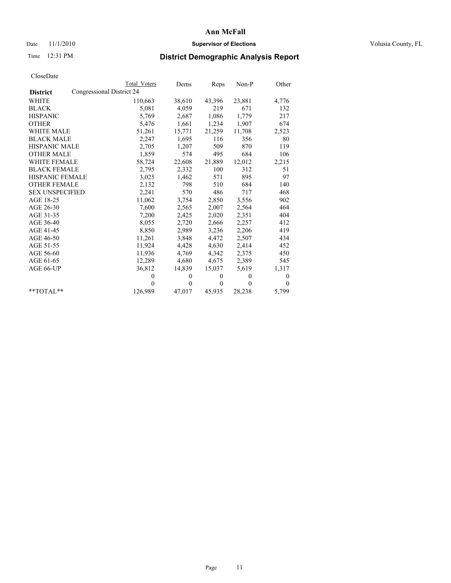## Date 11/1/2010 **Supervisor of Elections Supervisor of Elections** Volusia County, FL

# Time 12:31 PM **District Demographic Analysis Report**

|                        | Total Voters              | Dems     | Reps         | $Non-P$  | Other        |
|------------------------|---------------------------|----------|--------------|----------|--------------|
| <b>District</b>        | Congressional District 24 |          |              |          |              |
| <b>WHITE</b>           | 110,663                   | 38,610   | 43,396       | 23,881   | 4,776        |
| <b>BLACK</b>           | 5,081                     | 4,059    | 219          | 671      | 132          |
| <b>HISPANIC</b>        | 5,769                     | 2,687    | 1,086        | 1,779    | 217          |
| <b>OTHER</b>           | 5,476                     | 1,661    | 1,234        | 1,907    | 674          |
| <b>WHITE MALE</b>      | 51,261                    | 15,771   | 21,259       | 11,708   | 2,523        |
| <b>BLACK MALE</b>      | 2,247                     | 1,695    | 116          | 356      | 80           |
| HISPANIC MALE          | 2,705                     | 1,207    | 509          | 870      | 119          |
| <b>OTHER MALE</b>      | 1,859                     | 574      | 495          | 684      | 106          |
| <b>WHITE FEMALE</b>    | 58,724                    | 22,608   | 21,889       | 12,012   | 2,215        |
| <b>BLACK FEMALE</b>    | 2,795                     | 2,332    | 100          | 312      | 51           |
| HISPANIC FEMALE        | 3,025                     | 1,462    | 571          | 895      | 97           |
| <b>OTHER FEMALE</b>    | 2,132                     | 798      | 510          | 684      | 140          |
| <b>SEX UNSPECIFIED</b> | 2,241                     | 570      | 486          | 717      | 468          |
| AGE 18-25              | 11,062                    | 3,754    | 2,850        | 3,556    | 902          |
| AGE 26-30              | 7,600                     | 2,565    | 2,007        | 2,564    | 464          |
| AGE 31-35              | 7,200                     | 2,425    | 2,020        | 2,351    | 404          |
| AGE 36-40              | 8,055                     | 2,720    | 2,666        | 2,257    | 412          |
| AGE 41-45              | 8,850                     | 2,989    | 3,236        | 2,206    | 419          |
| AGE 46-50              | 11,261                    | 3,848    | 4,472        | 2,507    | 434          |
| AGE 51-55              | 11,924                    | 4,428    | 4,630        | 2,414    | 452          |
| AGE 56-60              | 11,936                    | 4,769    | 4,342        | 2,375    | 450          |
| AGE 61-65              | 12,289                    | 4,680    | 4,675        | 2,389    | 545          |
| AGE 66-UP              | 36,812                    | 14,839   | 15,037       | 5,619    | 1,317        |
|                        | $\theta$                  | $\theta$ | $\mathbf{0}$ | $\theta$ | $\mathbf{0}$ |
|                        | $\Omega$                  | $\theta$ | $\mathbf{0}$ | $\theta$ | $\Omega$     |
| $*$ $TOTAI.**$         | 126,989                   | 47,017   | 45,935       | 28,238   | 5,799        |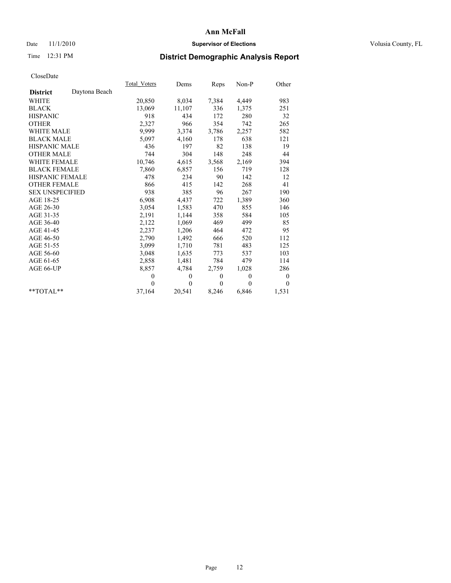## Date 11/1/2010 **Supervisor of Elections Supervisor of Elections** Volusia County, FL

## Time 12:31 PM **District Demographic Analysis Report**

|                                  | Total Voters | Dems           | <b>Reps</b> | $Non-P$  | Other            |
|----------------------------------|--------------|----------------|-------------|----------|------------------|
| Daytona Beach<br><b>District</b> |              |                |             |          |                  |
| WHITE                            | 20,850       | 8,034          | 7,384       | 4,449    | 983              |
| <b>BLACK</b>                     | 13,069       | 11,107         | 336         | 1,375    | 251              |
| <b>HISPANIC</b>                  | 918          | 434            | 172         | 280      | 32               |
| <b>OTHER</b>                     | 2,327        | 966            | 354         | 742      | 265              |
| <b>WHITE MALE</b>                | 9,999        | 3,374          | 3,786       | 2,257    | 582              |
| <b>BLACK MALE</b>                | 5,097        | 4,160          | 178         | 638      | 121              |
| <b>HISPANIC MALE</b>             | 436          | 197            | 82          | 138      | 19               |
| <b>OTHER MALE</b>                | 744          | 304            | 148         | 248      | 44               |
| WHITE FEMALE                     | 10,746       | 4,615          | 3,568       | 2,169    | 394              |
| <b>BLACK FEMALE</b>              | 7,860        | 6,857          | 156         | 719      | 128              |
| HISPANIC FEMALE                  | 478          | 234            | 90          | 142      | 12               |
| <b>OTHER FEMALE</b>              | 866          | 415            | 142         | 268      | 41               |
| <b>SEX UNSPECIFIED</b>           | 938          | 385            | 96          | 267      | 190              |
| AGE 18-25                        | 6,908        | 4,437          | 722         | 1,389    | 360              |
| AGE 26-30                        | 3,054        | 1,583          | 470         | 855      | 146              |
| AGE 31-35                        | 2,191        | 1,144          | 358         | 584      | 105              |
| AGE 36-40                        | 2,122        | 1,069          | 469         | 499      | 85               |
| AGE 41-45                        | 2,237        | 1,206          | 464         | 472      | 95               |
| AGE 46-50                        | 2,790        | 1,492          | 666         | 520      | 112              |
| AGE 51-55                        | 3,099        | 1,710          | 781         | 483      | 125              |
| AGE 56-60                        | 3,048        | 1,635          | 773         | 537      | 103              |
| AGE 61-65                        | 2,858        | 1,481          | 784         | 479      | 114              |
| AGE 66-UP                        | 8,857        | 4,784          | 2,759       | 1,028    | 286              |
|                                  | $\mathbf{0}$ | $\theta$       | $\theta$    | $\theta$ | $\boldsymbol{0}$ |
|                                  | $\Omega$     | $\overline{0}$ | $\theta$    | $\theta$ | $\theta$         |
| $*$ $TOTAI.**$                   | 37,164       | 20,541         | 8,246       | 6,846    | 1,531            |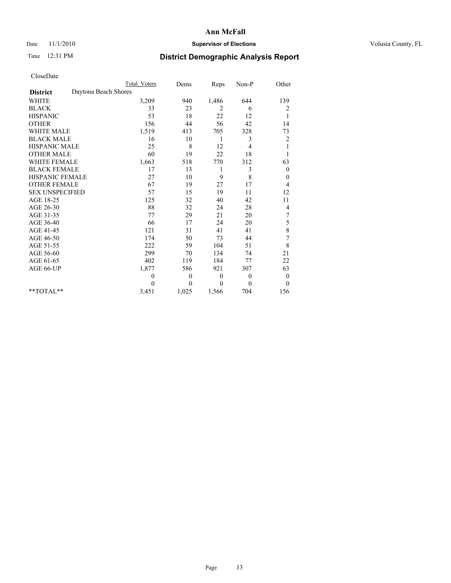## Date 11/1/2010 **Supervisor of Elections Supervisor of Elections** Volusia County, FL

## Time 12:31 PM **District Demographic Analysis Report**

|                                         | <b>Total Voters</b> | Dems         | Reps     | Non-P          | Other            |
|-----------------------------------------|---------------------|--------------|----------|----------------|------------------|
| Daytona Beach Shores<br><b>District</b> |                     |              |          |                |                  |
| <b>WHITE</b>                            | 3,209               | 940          | 1,486    | 644            | 139              |
| <b>BLACK</b>                            | 33                  | 23           | 2        | 6              | 2                |
| <b>HISPANIC</b>                         | 53                  | 18           | 22       | 12             | 1                |
| <b>OTHER</b>                            | 156                 | 44           | 56       | 42             | 14               |
| <b>WHITE MALE</b>                       | 1,519               | 413          | 705      | 328            | 73               |
| <b>BLACK MALE</b>                       | 16                  | 10           | 1        | 3              | $\overline{c}$   |
| HISPANIC MALE                           | 25                  | 8            | 12       | 4              | 1                |
| <b>OTHER MALE</b>                       | 60                  | 19           | 22       | 18             |                  |
| <b>WHITE FEMALE</b>                     | 1,663               | 518          | 770      | 312            | 63               |
| <b>BLACK FEMALE</b>                     | 17                  | 13           | 1        | 3              | $\boldsymbol{0}$ |
| HISPANIC FEMALE                         | 27                  | 10           | 9        | 8              | $\boldsymbol{0}$ |
| <b>OTHER FEMALE</b>                     | 67                  | 19           | 27       | 17             | 4                |
| <b>SEX UNSPECIFIED</b>                  | 57                  | 15           | 19       | 11             | 12               |
| AGE 18-25                               | 125                 | 32           | 40       | 42             | 11               |
| AGE 26-30                               | 88                  | 32           | 24       | 28             | 4                |
| AGE 31-35                               | 77                  | 29           | 21       | 20             | $\sqrt{ }$       |
| AGE 36-40                               | 66                  | 17           | 24       | 20             | 5                |
| AGE 41-45                               | 121                 | 31           | 41       | 41             | 8                |
| AGE 46-50                               | 174                 | 50           | 73       | 44             | $\overline{7}$   |
| AGE 51-55                               | 222                 | 59           | 104      | 51             | 8                |
| AGE 56-60                               | 299                 | 70           | 134      | 74             | 21               |
| AGE 61-65                               | 402                 | 119          | 184      | 77             | 22               |
| AGE 66-UP                               | 1,877               | 586          | 921      | 307            | 63               |
|                                         | $\theta$            | $\mathbf{0}$ | $\theta$ | $\overline{0}$ | $\boldsymbol{0}$ |
|                                         | $\theta$            | $\theta$     | $\theta$ | $\theta$       | $\theta$         |
| $*$ TOTAL $*$                           | 3,451               | 1,025        | 1,566    | 704            | 156              |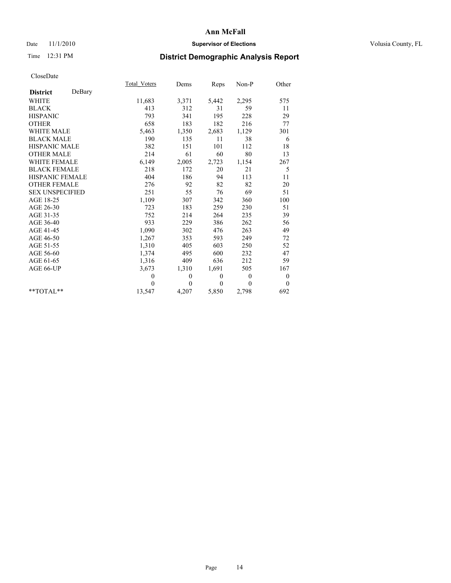## Date 11/1/2010 **Supervisor of Elections Supervisor of Elections** Volusia County, FL

## Time 12:31 PM **District Demographic Analysis Report**

|                           | Total Voters | Dems     | Reps     | Non-P        | Other            |  |
|---------------------------|--------------|----------|----------|--------------|------------------|--|
| DeBary<br><b>District</b> |              |          |          |              |                  |  |
| WHITE                     | 11,683       | 3,371    | 5,442    | 2,295        | 575              |  |
| <b>BLACK</b>              | 413          | 312      | 31       | 59           | 11               |  |
| <b>HISPANIC</b>           | 793          | 341      | 195      | 228          | 29               |  |
| <b>OTHER</b>              | 658          | 183      | 182      | 216          | 77               |  |
| <b>WHITE MALE</b>         | 5,463        | 1,350    | 2,683    | 1,129        | 301              |  |
| <b>BLACK MALE</b>         | 190          | 135      | 11       | 38           | 6                |  |
| <b>HISPANIC MALE</b>      | 382          | 151      | 101      | 112          | 18               |  |
| <b>OTHER MALE</b>         | 214          | 61       | 60       | 80           | 13               |  |
| <b>WHITE FEMALE</b>       | 6,149        | 2,005    | 2,723    | 1,154        | 267              |  |
| <b>BLACK FEMALE</b>       | 218          | 172      | 20       | 21           | 5                |  |
| HISPANIC FEMALE           | 404          | 186      | 94       | 113          | 11               |  |
| <b>OTHER FEMALE</b>       | 276          | 92       | 82       | 82           | 20               |  |
| <b>SEX UNSPECIFIED</b>    | 251          | 55       | 76       | 69           | 51               |  |
| AGE 18-25                 | 1,109        | 307      | 342      | 360          | 100              |  |
| AGE 26-30                 | 723          | 183      | 259      | 230          | 51               |  |
| AGE 31-35                 | 752          | 214      | 264      | 235          | 39               |  |
| AGE 36-40                 | 933          | 229      | 386      | 262          | 56               |  |
| AGE 41-45                 | 1,090        | 302      | 476      | 263          | 49               |  |
| AGE 46-50                 | 1,267        | 353      | 593      | 249          | 72               |  |
| AGE 51-55                 | 1,310        | 405      | 603      | 250          | 52               |  |
| AGE 56-60                 | 1,374        | 495      | 600      | 232          | 47               |  |
| AGE 61-65                 | 1,316        | 409      | 636      | 212          | 59               |  |
| AGE 66-UP                 | 3,673        | 1,310    | 1,691    | 505          | 167              |  |
|                           | $\mathbf{0}$ | $\theta$ | $\theta$ | $\mathbf{0}$ | $\boldsymbol{0}$ |  |
|                           | $\theta$     | $\theta$ | $\Omega$ | $\theta$     | $\theta$         |  |
| $*$ $TOTAI.**$            | 13,547       | 4,207    | 5,850    | 2,798        | 692              |  |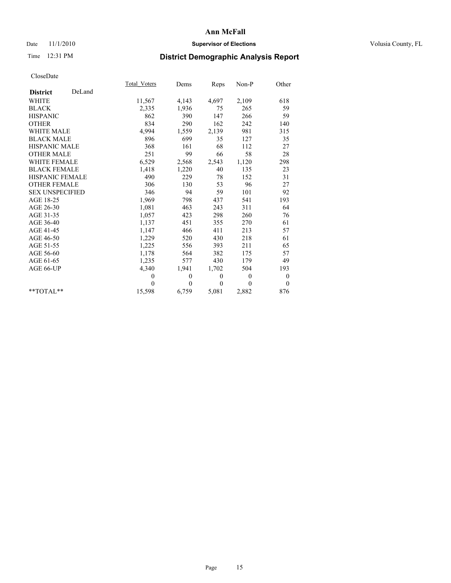## Date 11/1/2010 **Supervisor of Elections Supervisor of Elections** Volusia County, FL

# Time 12:31 PM **District Demographic Analysis Report**

|                           | Total Voters | Dems         | Reps     | $Non-P$  | Other            |  |
|---------------------------|--------------|--------------|----------|----------|------------------|--|
| DeLand<br><b>District</b> |              |              |          |          |                  |  |
| <b>WHITE</b>              | 11,567       | 4,143        | 4,697    | 2,109    | 618              |  |
| <b>BLACK</b>              | 2,335        | 1,936        | 75       | 265      | 59               |  |
| <b>HISPANIC</b>           | 862          | 390          | 147      | 266      | 59               |  |
| <b>OTHER</b>              | 834          | 290          | 162      | 242      | 140              |  |
| <b>WHITE MALE</b>         | 4,994        | 1,559        | 2,139    | 981      | 315              |  |
| <b>BLACK MALE</b>         | 896          | 699          | 35       | 127      | 35               |  |
| <b>HISPANIC MALE</b>      | 368          | 161          | 68       | 112      | 27               |  |
| <b>OTHER MALE</b>         | 251          | 99           | 66       | 58       | 28               |  |
| <b>WHITE FEMALE</b>       | 6,529        | 2,568        | 2,543    | 1,120    | 298              |  |
| <b>BLACK FEMALE</b>       | 1,418        | 1,220        | 40       | 135      | 23               |  |
| HISPANIC FEMALE           | 490          | 229          | 78       | 152      | 31               |  |
| <b>OTHER FEMALE</b>       | 306          | 130          | 53       | 96       | 27               |  |
| <b>SEX UNSPECIFIED</b>    | 346          | 94           | 59       | 101      | 92               |  |
| AGE 18-25                 | 1,969        | 798          | 437      | 541      | 193              |  |
| AGE 26-30                 | 1,081        | 463          | 243      | 311      | 64               |  |
| AGE 31-35                 | 1,057        | 423          | 298      | 260      | 76               |  |
| AGE 36-40                 | 1,137        | 451          | 355      | 270      | 61               |  |
| AGE 41-45                 | 1,147        | 466          | 411      | 213      | 57               |  |
| AGE 46-50                 | 1,229        | 520          | 430      | 218      | 61               |  |
| AGE 51-55                 | 1,225        | 556          | 393      | 211      | 65               |  |
| AGE 56-60                 | 1,178        | 564          | 382      | 175      | 57               |  |
| AGE 61-65                 | 1,235        | 577          | 430      | 179      | 49               |  |
| AGE 66-UP                 | 4,340        | 1,941        | 1,702    | 504      | 193              |  |
|                           | $\mathbf{0}$ | $\mathbf{0}$ | $\theta$ | $\theta$ | $\boldsymbol{0}$ |  |
|                           | $\Omega$     | $\theta$     | $\theta$ | $\theta$ | $\theta$         |  |
| $*$ $TOTAI.**$            | 15,598       | 6,759        | 5,081    | 2,882    | 876              |  |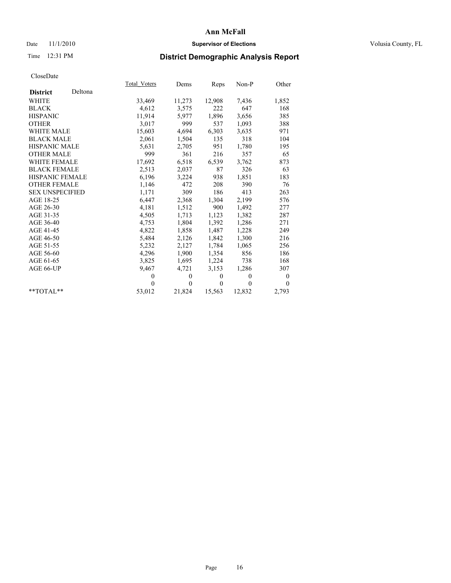## Date 11/1/2010 **Supervisor of Elections Supervisor of Elections** Volusia County, FL

# Time 12:31 PM **District Demographic Analysis Report**

|                        |         | Total Voters | Dems     | <u>Reps</u>  | Non-P        | Other            |  |
|------------------------|---------|--------------|----------|--------------|--------------|------------------|--|
| <b>District</b>        | Deltona |              |          |              |              |                  |  |
| <b>WHITE</b>           |         | 33,469       | 11,273   | 12,908       | 7,436        | 1,852            |  |
| <b>BLACK</b>           |         | 4,612        | 3,575    | 222          | 647          | 168              |  |
| <b>HISPANIC</b>        |         | 11,914       | 5,977    | 1,896        | 3,656        | 385              |  |
| <b>OTHER</b>           |         | 3,017        | 999      | 537          | 1,093        | 388              |  |
| <b>WHITE MALE</b>      |         | 15,603       | 4,694    | 6,303        | 3,635        | 971              |  |
| <b>BLACK MALE</b>      |         | 2,061        | 1,504    | 135          | 318          | 104              |  |
| <b>HISPANIC MALE</b>   |         | 5,631        | 2,705    | 951          | 1,780        | 195              |  |
| <b>OTHER MALE</b>      |         | 999          | 361      | 216          | 357          | 65               |  |
| WHITE FEMALE           |         | 17,692       | 6,518    | 6,539        | 3,762        | 873              |  |
| <b>BLACK FEMALE</b>    |         | 2,513        | 2,037    | 87           | 326          | 63               |  |
| <b>HISPANIC FEMALE</b> |         | 6,196        | 3,224    | 938          | 1,851        | 183              |  |
| <b>OTHER FEMALE</b>    |         | 1,146        | 472      | 208          | 390          | 76               |  |
| <b>SEX UNSPECIFIED</b> |         | 1,171        | 309      | 186          | 413          | 263              |  |
| AGE 18-25              |         | 6,447        | 2,368    | 1,304        | 2,199        | 576              |  |
| AGE 26-30              |         | 4,181        | 1,512    | 900          | 1,492        | 277              |  |
| AGE 31-35              |         | 4,505        | 1,713    | 1,123        | 1,382        | 287              |  |
| AGE 36-40              |         | 4,753        | 1,804    | 1,392        | 1,286        | 271              |  |
| AGE 41-45              |         | 4,822        | 1,858    | 1,487        | 1,228        | 249              |  |
| AGE 46-50              |         | 5,484        | 2,126    | 1,842        | 1,300        | 216              |  |
| AGE 51-55              |         | 5,232        | 2,127    | 1,784        | 1,065        | 256              |  |
| AGE 56-60              |         | 4,296        | 1,900    | 1,354        | 856          | 186              |  |
| AGE 61-65              |         | 3,825        | 1,695    | 1,224        | 738          | 168              |  |
| AGE 66-UP              |         | 9,467        | 4,721    | 3,153        | 1,286        | 307              |  |
|                        |         | $\theta$     | $\theta$ | $\mathbf{0}$ | $\mathbf{0}$ | $\boldsymbol{0}$ |  |
|                        |         | $\theta$     | $\theta$ | $\theta$     | $\theta$     | $\theta$         |  |
| $*$ $TOTAI.**$         |         | 53,012       | 21,824   | 15,563       | 12,832       | 2,793            |  |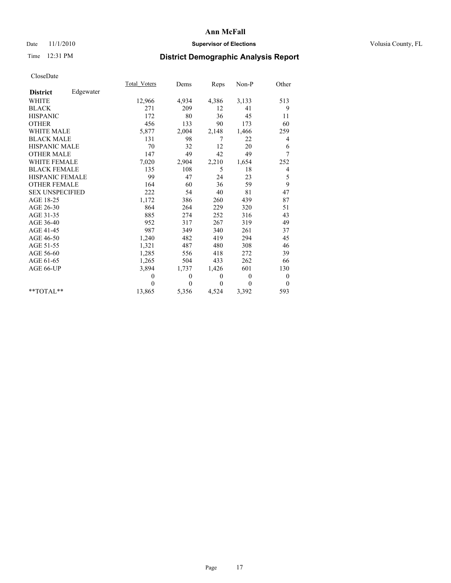## Date 11/1/2010 **Supervisor of Elections Supervisor of Elections** Volusia County, FL

## Time 12:31 PM **District Demographic Analysis Report**

|                        |           | <b>Total Voters</b> | Dems         | Reps     | Non-P    | Other            |
|------------------------|-----------|---------------------|--------------|----------|----------|------------------|
| <b>District</b>        | Edgewater |                     |              |          |          |                  |
| <b>WHITE</b>           |           | 12,966              | 4,934        | 4,386    | 3,133    | 513              |
| <b>BLACK</b>           |           | 271                 | 209          | 12       | 41       | 9                |
| <b>HISPANIC</b>        |           | 172                 | 80           | 36       | 45       | 11               |
| <b>OTHER</b>           |           | 456                 | 133          | 90       | 173      | 60               |
| <b>WHITE MALE</b>      |           | 5,877               | 2,004        | 2,148    | 1,466    | 259              |
| <b>BLACK MALE</b>      |           | 131                 | 98           | 7        | 22       | 4                |
| <b>HISPANIC MALE</b>   |           | 70                  | 32           | 12       | 20       | 6                |
| <b>OTHER MALE</b>      |           | 147                 | 49           | 42       | 49       | 7                |
| <b>WHITE FEMALE</b>    |           | 7,020               | 2,904        | 2,210    | 1,654    | 252              |
| <b>BLACK FEMALE</b>    |           | 135                 | 108          | 5        | 18       | 4                |
| HISPANIC FEMALE        |           | 99                  | 47           | 24       | 23       | 5                |
| <b>OTHER FEMALE</b>    |           | 164                 | 60           | 36       | 59       | 9                |
| <b>SEX UNSPECIFIED</b> |           | 222                 | 54           | 40       | 81       | 47               |
| AGE 18-25              |           | 1,172               | 386          | 260      | 439      | 87               |
| AGE 26-30              |           | 864                 | 264          | 229      | 320      | 51               |
| AGE 31-35              |           | 885                 | 274          | 252      | 316      | 43               |
| AGE 36-40              |           | 952                 | 317          | 267      | 319      | 49               |
| AGE 41-45              |           | 987                 | 349          | 340      | 261      | 37               |
| AGE 46-50              |           | 1,240               | 482          | 419      | 294      | 45               |
| AGE 51-55              |           | 1,321               | 487          | 480      | 308      | 46               |
| AGE 56-60              |           | 1,285               | 556          | 418      | 272      | 39               |
| AGE 61-65              |           | 1,265               | 504          | 433      | 262      | 66               |
| AGE 66-UP              |           | 3,894               | 1,737        | 1,426    | 601      | 130              |
|                        |           | $\theta$            | $\mathbf{0}$ | 0        | $\theta$ | $\boldsymbol{0}$ |
|                        |           | $\theta$            | $\theta$     | $\Omega$ | $\theta$ | $\theta$         |
| $*$ $TOTAI.**$         |           | 13,865              | 5,356        | 4,524    | 3,392    | 593              |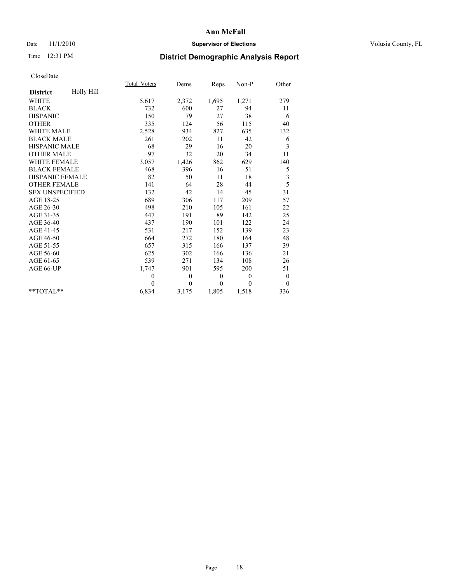## Date 11/1/2010 **Supervisor of Elections Supervisor of Elections** Volusia County, FL

# Time 12:31 PM **District Demographic Analysis Report**

|                        |            | Total Voters | Dems     | Reps         | Non-P        | Other            |
|------------------------|------------|--------------|----------|--------------|--------------|------------------|
| <b>District</b>        | Holly Hill |              |          |              |              |                  |
| <b>WHITE</b>           |            | 5,617        | 2,372    | 1,695        | 1,271        | 279              |
| <b>BLACK</b>           |            | 732          | 600      | 27           | 94           | 11               |
| <b>HISPANIC</b>        |            | 150          | 79       | 27           | 38           | 6                |
| <b>OTHER</b>           |            | 335          | 124      | 56           | 115          | 40               |
| <b>WHITE MALE</b>      |            | 2,528        | 934      | 827          | 635          | 132              |
| <b>BLACK MALE</b>      |            | 261          | 202      | 11           | 42           | 6                |
| <b>HISPANIC MALE</b>   |            | 68           | 29       | 16           | 20           | 3                |
| <b>OTHER MALE</b>      |            | 97           | 32       | 20           | 34           | 11               |
| <b>WHITE FEMALE</b>    |            | 3,057        | 1,426    | 862          | 629          | 140              |
| <b>BLACK FEMALE</b>    |            | 468          | 396      | 16           | 51           | 5                |
| HISPANIC FEMALE        |            | 82           | 50       | 11           | 18           | 3                |
| <b>OTHER FEMALE</b>    |            | 141          | 64       | 28           | 44           | 5                |
| <b>SEX UNSPECIFIED</b> |            | 132          | 42       | 14           | 45           | 31               |
| AGE 18-25              |            | 689          | 306      | 117          | 209          | 57               |
| AGE 26-30              |            | 498          | 210      | 105          | 161          | 22               |
| AGE 31-35              |            | 447          | 191      | 89           | 142          | 25               |
| AGE 36-40              |            | 437          | 190      | 101          | 122          | 24               |
| AGE 41-45              |            | 531          | 217      | 152          | 139          | 23               |
| AGE 46-50              |            | 664          | 272      | 180          | 164          | 48               |
| AGE 51-55              |            | 657          | 315      | 166          | 137          | 39               |
| AGE 56-60              |            | 625          | 302      | 166          | 136          | 21               |
| AGE 61-65              |            | 539          | 271      | 134          | 108          | 26               |
| AGE 66-UP              |            | 1,747        | 901      | 595          | 200          | 51               |
|                        |            | $\mathbf{0}$ | $\theta$ | $\mathbf{0}$ | $\mathbf{0}$ | $\boldsymbol{0}$ |
|                        |            | $\theta$     | $\theta$ | $\theta$     | $\theta$     | $\mathbf{0}$     |
| $*$ $TOTAI.**$         |            | 6,834        | 3,175    | 1,805        | 1,518        | 336              |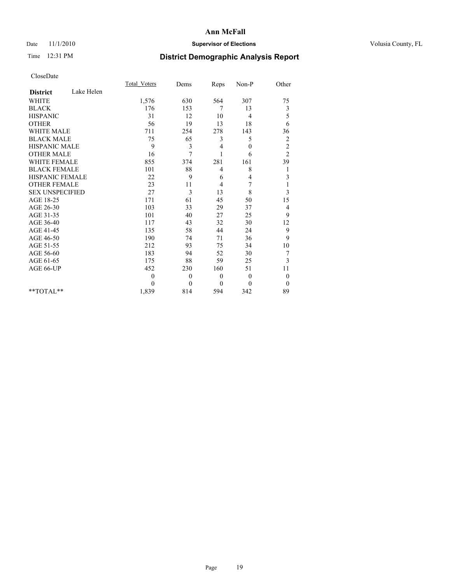## Date 11/1/2010 **Supervisor of Elections Supervisor of Elections** Volusia County, FL

## Time 12:31 PM **District Demographic Analysis Report**

|                        |            | <b>Total Voters</b> | Dems           | Reps             | Non-P        | Other            |
|------------------------|------------|---------------------|----------------|------------------|--------------|------------------|
| <b>District</b>        | Lake Helen |                     |                |                  |              |                  |
| <b>WHITE</b>           |            | 1,576               | 630            | 564              | 307          | 75               |
| <b>BLACK</b>           |            | 176                 | 153            | 7                | 13           | 3                |
| <b>HISPANIC</b>        |            | 31                  | 12             | 10               | 4            | 5                |
| <b>OTHER</b>           |            | 56                  | 19             | 13               | 18           | 6                |
| <b>WHITE MALE</b>      |            | 711                 | 254            | 278              | 143          | 36               |
| <b>BLACK MALE</b>      |            | 75                  | 65             | 3                | 5            | $\overline{c}$   |
| HISPANIC MALE          |            | 9                   | 3              | 4                | $\mathbf{0}$ | $\sqrt{2}$       |
| <b>OTHER MALE</b>      |            | 16                  | 7              | $\mathbf{1}$     | 6            | $\overline{2}$   |
| <b>WHITE FEMALE</b>    |            | 855                 | 374            | 281              | 161          | 39               |
| <b>BLACK FEMALE</b>    |            | 101                 | $88\,$         | 4                | 8            | 1                |
| <b>HISPANIC FEMALE</b> |            | 22                  | 9              | 6                | 4            | 3                |
| <b>OTHER FEMALE</b>    |            | 23                  | 11             | 4                | 7            | 1                |
| <b>SEX UNSPECIFIED</b> |            | 27                  | 3              | 13               | 8            | 3                |
| AGE 18-25              |            | 171                 | 61             | 45               | 50           | 15               |
| AGE 26-30              |            | 103                 | 33             | 29               | 37           | 4                |
| AGE 31-35              |            | 101                 | 40             | 27               | 25           | 9                |
| AGE 36-40              |            | 117                 | 43             | 32               | 30           | 12               |
| AGE 41-45              |            | 135                 | 58             | 44               | 24           | 9                |
| AGE 46-50              |            | 190                 | 74             | 71               | 36           | 9                |
| AGE 51-55              |            | 212                 | 93             | 75               | 34           | 10               |
| AGE 56-60              |            | 183                 | 94             | 52               | 30           | 7                |
| AGE 61-65              |            | 175                 | 88             | 59               | 25           | 3                |
| AGE 66-UP              |            | 452                 | 230            | 160              | 51           | 11               |
|                        |            | $\mathbf{0}$        | $\overline{0}$ | $\boldsymbol{0}$ | $\mathbf{0}$ | $\boldsymbol{0}$ |
|                        |            | $\theta$            | $\Omega$       | $\theta$         | $\theta$     | $\theta$         |
| $**TOTAI.**$           |            | 1,839               | 814            | 594              | 342          | 89               |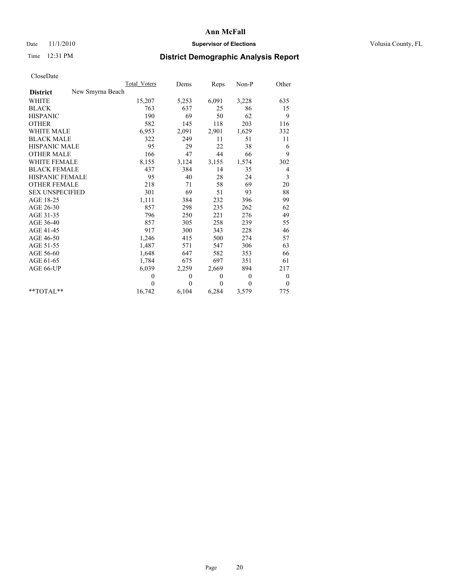## Date 11/1/2010 **Supervisor of Elections Supervisor of Elections** Volusia County, FL

## Time 12:31 PM **District Demographic Analysis Report**

|                                     | Total Voters | Dems         | Reps         | $Non-P$      | Other    |
|-------------------------------------|--------------|--------------|--------------|--------------|----------|
| New Smyrna Beach<br><b>District</b> |              |              |              |              |          |
| WHITE                               | 15,207       | 5,253        | 6,091        | 3,228        | 635      |
| <b>BLACK</b>                        | 763          | 637          | 25           | 86           | 15       |
| <b>HISPANIC</b>                     | 190          | 69           | 50           | 62           | 9        |
| <b>OTHER</b>                        | 582          | 145          | 118          | 203          | 116      |
| <b>WHITE MALE</b>                   | 6,953        | 2,091        | 2,901        | 1,629        | 332      |
| <b>BLACK MALE</b>                   | 322          | 249          | 11           | 51           | 11       |
| <b>HISPANIC MALE</b>                | 95           | 29           | 22           | 38           | 6        |
| <b>OTHER MALE</b>                   | 166          | 47           | 44           | 66           | 9        |
| <b>WHITE FEMALE</b>                 | 8,155        | 3,124        | 3,155        | 1,574        | 302      |
| <b>BLACK FEMALE</b>                 | 437          | 384          | 14           | 35           | 4        |
| HISPANIC FEMALE                     | 95           | 40           | 28           | 24           | 3        |
| <b>OTHER FEMALE</b>                 | 218          | 71           | 58           | 69           | 20       |
| <b>SEX UNSPECIFIED</b>              | 301          | 69           | 51           | 93           | 88       |
| AGE 18-25                           | 1,111        | 384          | 232          | 396          | 99       |
| AGE 26-30                           | 857          | 298          | 235          | 262          | 62       |
| AGE 31-35                           | 796          | 250          | 221          | 276          | 49       |
| AGE 36-40                           | 857          | 305          | 258          | 239          | 55       |
| AGE 41-45                           | 917          | 300          | 343          | 228          | 46       |
| AGE 46-50                           | 1,246        | 415          | 500          | 274          | 57       |
| AGE 51-55                           | 1,487        | 571          | 547          | 306          | 63       |
| AGE 56-60                           | 1,648        | 647          | 582          | 353          | 66       |
| AGE 61-65                           | 1,784        | 675          | 697          | 351          | 61       |
| AGE 66-UP                           | 6,039        | 2,259        | 2,669        | 894          | 217      |
|                                     | $\theta$     | $\mathbf{0}$ | $\mathbf{0}$ | $\mathbf{0}$ | 0        |
|                                     | $\Omega$     | $\theta$     | $\theta$     | $\theta$     | $\theta$ |
| $*$ $TOTAL**$                       | 16,742       | 6,104        | 6,284        | 3,579        | 775      |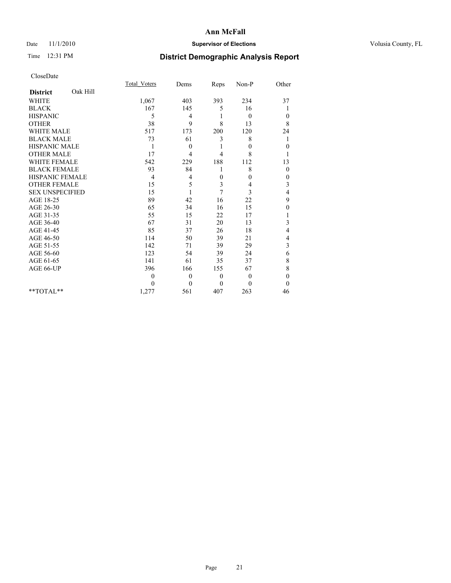## Date 11/1/2010 **Supervisor of Elections Supervisor of Elections** Volusia County, FL

# Time 12:31 PM **District Demographic Analysis Report**

|                        |          | <b>Total Voters</b> | Dems           | Reps           | Non-P        | Other        |
|------------------------|----------|---------------------|----------------|----------------|--------------|--------------|
| <b>District</b>        | Oak Hill |                     |                |                |              |              |
| <b>WHITE</b>           |          | 1,067               | 403            | 393            | 234          | 37           |
| <b>BLACK</b>           |          | 167                 | 145            | 5              | 16           |              |
| <b>HISPANIC</b>        |          | 5                   | 4              |                | $\mathbf{0}$ | $\theta$     |
| <b>OTHER</b>           |          | 38                  | 9              | 8              | 13           | 8            |
| <b>WHITE MALE</b>      |          | 517                 | 173            | 200            | 120          | 24           |
| <b>BLACK MALE</b>      |          | 73                  | 61             | 3              | 8            | 1            |
| <b>HISPANIC MALE</b>   |          | 1                   | $\mathbf{0}$   |                | $\theta$     | $\theta$     |
| <b>OTHER MALE</b>      |          | 17                  | 4              | 4              | 8            |              |
| WHITE FEMALE           |          | 542                 | 229            | 188            | 112          | 13           |
| <b>BLACK FEMALE</b>    |          | 93                  | 84             | 1              | 8            | $\theta$     |
| HISPANIC FEMALE        |          | 4                   | 4              | $\overline{0}$ | $\theta$     | $\theta$     |
| <b>OTHER FEMALE</b>    |          | 15                  | 5              | 3              | 4            | 3            |
| <b>SEX UNSPECIFIED</b> |          | 15                  |                | 7              | 3            | 4            |
| AGE 18-25              |          | 89                  | 42             | 16             | 22           | 9            |
| AGE 26-30              |          | 65                  | 34             | 16             | 15           | $\theta$     |
| AGE 31-35              |          | 55                  | 15             | 22             | 17           |              |
| AGE 36-40              |          | 67                  | 31             | 20             | 13           | 3            |
| AGE 41-45              |          | 85                  | 37             | 26             | 18           | 4            |
| AGE 46-50              |          | 114                 | 50             | 39             | 21           | 4            |
| AGE 51-55              |          | 142                 | 71             | 39             | 29           | 3            |
| AGE 56-60              |          | 123                 | 54             | 39             | 24           | 6            |
| AGE 61-65              |          | 141                 | 61             | 35             | 37           | 8            |
| AGE 66-UP              |          | 396                 | 166            | 155            | 67           | 8            |
|                        |          | $\Omega$            | $\overline{0}$ | $\mathbf{0}$   | $\mathbf{0}$ | $\mathbf{0}$ |
|                        |          | $\Omega$            | $\overline{0}$ | $\theta$       | $\theta$     | $\theta$     |
| $*$ TOTAL $*$          |          | 1,277               | 561            | 407            | 263          | 46           |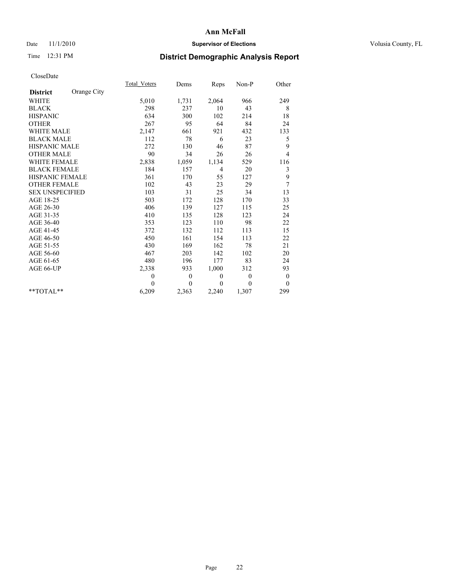## Date 11/1/2010 **Supervisor of Elections Supervisor of Elections** Volusia County, FL

# Time 12:31 PM **District Demographic Analysis Report**

|                        |             | Total Voters | Dems           | Reps           | Non-P        | Other          |
|------------------------|-------------|--------------|----------------|----------------|--------------|----------------|
| <b>District</b>        | Orange City |              |                |                |              |                |
| <b>WHITE</b>           |             | 5,010        | 1,731          | 2,064          | 966          | 249            |
| <b>BLACK</b>           |             | 298          | 237            | 10             | 43           | 8              |
| <b>HISPANIC</b>        |             | 634          | 300            | 102            | 214          | 18             |
| <b>OTHER</b>           |             | 267          | 95             | 64             | 84           | 24             |
| <b>WHITE MALE</b>      |             | 2,147        | 661            | 921            | 432          | 133            |
| <b>BLACK MALE</b>      |             | 112          | 78             | 6              | 23           | 5              |
| <b>HISPANIC MALE</b>   |             | 272          | 130            | 46             | 87           | 9              |
| <b>OTHER MALE</b>      |             | 90           | 34             | 26             | 26           | $\overline{4}$ |
| <b>WHITE FEMALE</b>    |             | 2,838        | 1,059          | 1,134          | 529          | 116            |
| <b>BLACK FEMALE</b>    |             | 184          | 157            | $\overline{4}$ | 20           | 3              |
| HISPANIC FEMALE        |             | 361          | 170            | 55             | 127          | 9              |
| <b>OTHER FEMALE</b>    |             | 102          | 43             | 23             | 29           | 7              |
| <b>SEX UNSPECIFIED</b> |             | 103          | 31             | 25             | 34           | 13             |
| AGE 18-25              |             | 503          | 172            | 128            | 170          | 33             |
| AGE 26-30              |             | 406          | 139            | 127            | 115          | 25             |
| AGE 31-35              |             | 410          | 135            | 128            | 123          | 24             |
| AGE 36-40              |             | 353          | 123            | 110            | 98           | 22             |
| AGE 41-45              |             | 372          | 132            | 112            | 113          | 15             |
| AGE 46-50              |             | 450          | 161            | 154            | 113          | 22             |
| AGE 51-55              |             | 430          | 169            | 162            | 78           | 21             |
| AGE 56-60              |             | 467          | 203            | 142            | 102          | 20             |
| AGE 61-65              |             | 480          | 196            | 177            | 83           | 24             |
| AGE 66-UP              |             | 2,338        | 933            | 1,000          | 312          | 93             |
|                        |             | $\mathbf{0}$ | $\overline{0}$ | $\theta$       | $\mathbf{0}$ | $\theta$       |
|                        |             | $\theta$     | $\theta$       | $\mathbf{0}$   | $\mathbf{0}$ | $\overline{0}$ |
| $**TOTAI.**$           |             | 6,209        | 2,363          | 2,240          | 1,307        | 299            |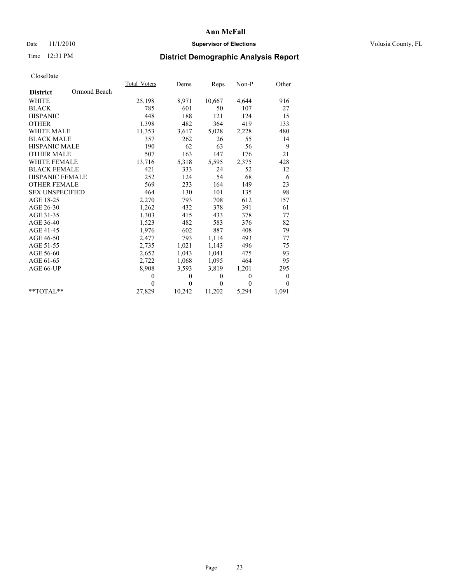## Date 11/1/2010 **Supervisor of Elections Supervisor of Elections** Volusia County, FL

## Time 12:31 PM **District Demographic Analysis Report**

|                        |              | Total Voters | Dems     | <b>Reps</b> | $Non-P$  | Other            |  |
|------------------------|--------------|--------------|----------|-------------|----------|------------------|--|
| <b>District</b>        | Ormond Beach |              |          |             |          |                  |  |
| <b>WHITE</b>           |              | 25,198       | 8,971    | 10,667      | 4,644    | 916              |  |
| <b>BLACK</b>           |              | 785          | 601      | 50          | 107      | 27               |  |
| <b>HISPANIC</b>        |              | 448          | 188      | 121         | 124      | 15               |  |
| <b>OTHER</b>           |              | 1,398        | 482      | 364         | 419      | 133              |  |
| <b>WHITE MALE</b>      |              | 11,353       | 3,617    | 5,028       | 2,228    | 480              |  |
| <b>BLACK MALE</b>      |              | 357          | 262      | 26          | 55       | 14               |  |
| <b>HISPANIC MALE</b>   |              | 190          | 62       | 63          | 56       | 9                |  |
| <b>OTHER MALE</b>      |              | 507          | 163      | 147         | 176      | 21               |  |
| <b>WHITE FEMALE</b>    |              | 13,716       | 5,318    | 5,595       | 2,375    | 428              |  |
| <b>BLACK FEMALE</b>    |              | 421          | 333      | 24          | 52       | 12               |  |
| HISPANIC FEMALE        |              | 252          | 124      | 54          | 68       | 6                |  |
| <b>OTHER FEMALE</b>    |              | 569          | 233      | 164         | 149      | 23               |  |
| <b>SEX UNSPECIFIED</b> |              | 464          | 130      | 101         | 135      | 98               |  |
| AGE 18-25              |              | 2,270        | 793      | 708         | 612      | 157              |  |
| AGE 26-30              |              | 1,262        | 432      | 378         | 391      | 61               |  |
| AGE 31-35              |              | 1,303        | 415      | 433         | 378      | 77               |  |
| AGE 36-40              |              | 1,523        | 482      | 583         | 376      | 82               |  |
| AGE 41-45              |              | 1,976        | 602      | 887         | 408      | 79               |  |
| AGE 46-50              |              | 2,477        | 793      | 1,114       | 493      | 77               |  |
| AGE 51-55              |              | 2,735        | 1,021    | 1,143       | 496      | 75               |  |
| AGE 56-60              |              | 2,652        | 1,043    | 1,041       | 475      | 93               |  |
| AGE 61-65              |              | 2,722        | 1,068    | 1,095       | 464      | 95               |  |
| AGE 66-UP              |              | 8,908        | 3,593    | 3,819       | 1,201    | 295              |  |
|                        |              | $\theta$     | $\theta$ | $\theta$    | $\theta$ | $\boldsymbol{0}$ |  |
|                        |              | $\Omega$     | $\theta$ | $\theta$    | $\theta$ | $\theta$         |  |
| $*$ $TOTAI.**$         |              | 27,829       | 10,242   | 11,202      | 5,294    | 1,091            |  |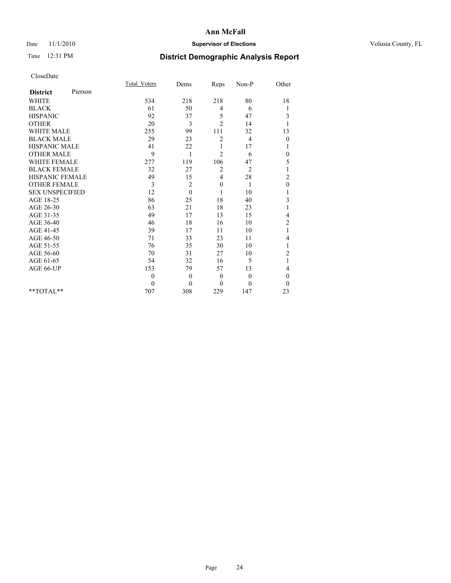## Date 11/1/2010 **Supervisor of Elections Supervisor of Elections** Volusia County, FL

## Time 12:31 PM **District Demographic Analysis Report**

|                        |         | <b>Total Voters</b> | Dems         | Reps           | Non-P          | Other            |  |
|------------------------|---------|---------------------|--------------|----------------|----------------|------------------|--|
| <b>District</b>        | Pierson |                     |              |                |                |                  |  |
| <b>WHITE</b>           |         | 534                 | 218          | 218            | 80             | 18               |  |
| <b>BLACK</b>           |         | 61                  | 50           | 4              | 6              | 1                |  |
| <b>HISPANIC</b>        |         | 92                  | 37           | 5              | 47             | 3                |  |
| <b>OTHER</b>           |         | 20                  | 3            | $\overline{2}$ | 14             |                  |  |
| <b>WHITE MALE</b>      |         | 255                 | 99           | 111            | 32             | 13               |  |
| <b>BLACK MALE</b>      |         | 29                  | 23           | $\overline{c}$ | $\overline{4}$ | $\boldsymbol{0}$ |  |
| <b>HISPANIC MALE</b>   |         | 41                  | 22           | 1              | 17             |                  |  |
| <b>OTHER MALE</b>      |         | 9                   | 1            | $\overline{c}$ | 6              | 0                |  |
| <b>WHITE FEMALE</b>    |         | 277                 | 119          | 106            | 47             | 5                |  |
| <b>BLACK FEMALE</b>    |         | 32                  | 27           | 2              | $\overline{2}$ |                  |  |
| HISPANIC FEMALE        |         | 49                  | 15           | 4              | 28             | $\overline{c}$   |  |
| <b>OTHER FEMALE</b>    |         | 3                   | 2            | $\mathbf{0}$   | 1              | $\overline{0}$   |  |
| <b>SEX UNSPECIFIED</b> |         | 12                  | $\mathbf{0}$ | 1              | 10             |                  |  |
| AGE 18-25              |         | 86                  | 25           | 18             | 40             | 3                |  |
| AGE 26-30              |         | 63                  | 21           | 18             | 23             |                  |  |
| AGE 31-35              |         | 49                  | 17           | 13             | 15             | 4                |  |
| AGE 36-40              |         | 46                  | 18           | 16             | 10             | $\overline{2}$   |  |
| AGE 41-45              |         | 39                  | 17           | 11             | 10             |                  |  |
| AGE 46-50              |         | 71                  | 33           | 23             | 11             | 4                |  |
| AGE 51-55              |         | 76                  | 35           | 30             | 10             |                  |  |
| AGE 56-60              |         | 70                  | 31           | 27             | 10             | $\overline{c}$   |  |
| AGE 61-65              |         | 54                  | 32           | 16             | 5              | 1                |  |
| AGE 66-UP              |         | 153                 | 79           | 57             | 13             | 4                |  |
|                        |         | $\theta$            | $\theta$     | $\mathbf{0}$   | $\mathbf{0}$   | $\overline{0}$   |  |
|                        |         | $\theta$            | $\theta$     | $\theta$       | $\Omega$       | $\theta$         |  |
| $*$ TOTAL $*$          |         | 707                 | 308          | 229            | 147            | 23               |  |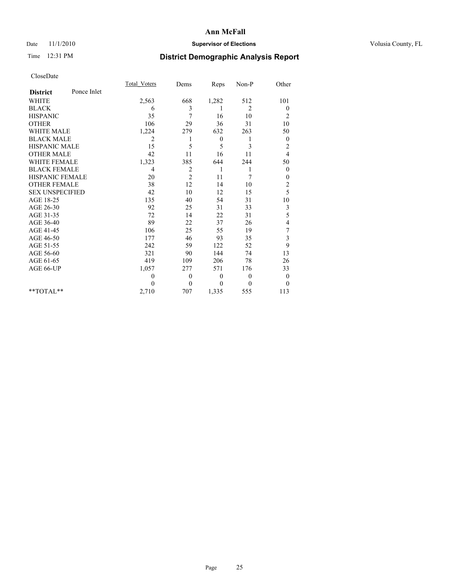## Date 11/1/2010 **Supervisor of Elections Supervisor of Elections** Volusia County, FL

## Time 12:31 PM **District Demographic Analysis Report**

|                        |             | Total Voters | Dems           | Reps         | Non-P          | Other                   |
|------------------------|-------------|--------------|----------------|--------------|----------------|-------------------------|
| <b>District</b>        | Ponce Inlet |              |                |              |                |                         |
| <b>WHITE</b>           |             | 2,563        | 668            | 1,282        | 512            | 101                     |
| <b>BLACK</b>           |             | 6            | 3              | 1            | $\overline{2}$ | $\theta$                |
| <b>HISPANIC</b>        |             | 35           | 7              | 16           | 10             | $\overline{c}$          |
| <b>OTHER</b>           |             | 106          | 29             | 36           | 31             | 10                      |
| <b>WHITE MALE</b>      |             | 1,224        | 279            | 632          | 263            | 50                      |
| <b>BLACK MALE</b>      |             | 2            | 1              | $\mathbf{0}$ | 1              | $\theta$                |
| HISPANIC MALE          |             | 15           | 5              | 5            | 3              | $\overline{c}$          |
| <b>OTHER MALE</b>      |             | 42           | 11             | 16           | 11             | $\overline{4}$          |
| <b>WHITE FEMALE</b>    |             | 1,323        | 385            | 644          | 244            | 50                      |
| <b>BLACK FEMALE</b>    |             | 4            | 2              | 1            | 1              | $\boldsymbol{0}$        |
| HISPANIC FEMALE        |             | 20           | $\overline{c}$ | 11           | 7              | 0                       |
| <b>OTHER FEMALE</b>    |             | 38           | 12             | 14           | 10             | $\overline{\mathbf{c}}$ |
| <b>SEX UNSPECIFIED</b> |             | 42           | 10             | 12           | 15             | 5                       |
| AGE 18-25              |             | 135          | 40             | 54           | 31             | 10                      |
| AGE 26-30              |             | 92           | 25             | 31           | 33             | 3                       |
| AGE 31-35              |             | 72           | 14             | 22           | 31             | 5                       |
| AGE 36-40              |             | 89           | 22             | 37           | 26             | 4                       |
| AGE 41-45              |             | 106          | 25             | 55           | 19             | 7                       |
| AGE 46-50              |             | 177          | 46             | 93           | 35             | 3                       |
| AGE 51-55              |             | 242          | 59             | 122          | 52             | 9                       |
| AGE 56-60              |             | 321          | 90             | 144          | 74             | 13                      |
| AGE 61-65              |             | 419          | 109            | 206          | 78             | 26                      |
| AGE 66-UP              |             | 1,057        | 277            | 571          | 176            | 33                      |
|                        |             | $\theta$     | $\mathbf{0}$   | $\theta$     | $\theta$       | $\boldsymbol{0}$        |
|                        |             | $\theta$     | $\theta$       | $\mathbf{0}$ | $\theta$       | $\theta$                |
| $*$ TOTAL $*$          |             | 2,710        | 707            | 1,335        | 555            | 113                     |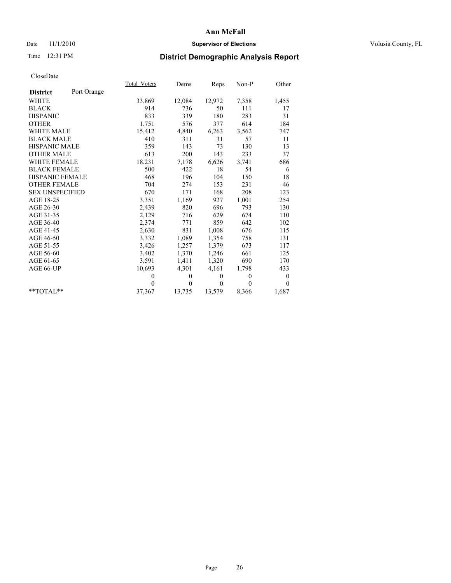## Date 11/1/2010 **Supervisor of Elections Supervisor of Elections** Volusia County, FL

# Time 12:31 PM **District Demographic Analysis Report**

|                        |             | Total Voters | Dems     | Reps         | $Non-P$  | Other            |
|------------------------|-------------|--------------|----------|--------------|----------|------------------|
| <b>District</b>        | Port Orange |              |          |              |          |                  |
| WHITE                  |             | 33,869       | 12,084   | 12,972       | 7,358    | 1,455            |
| <b>BLACK</b>           |             | 914          | 736      | 50           | 111      | 17               |
| <b>HISPANIC</b>        |             | 833          | 339      | 180          | 283      | 31               |
| <b>OTHER</b>           |             | 1,751        | 576      | 377          | 614      | 184              |
| <b>WHITE MALE</b>      |             | 15,412       | 4,840    | 6,263        | 3,562    | 747              |
| <b>BLACK MALE</b>      |             | 410          | 311      | 31           | 57       | 11               |
| <b>HISPANIC MALE</b>   |             | 359          | 143      | 73           | 130      | 13               |
| <b>OTHER MALE</b>      |             | 613          | 200      | 143          | 233      | 37               |
| WHITE FEMALE           |             | 18,231       | 7,178    | 6,626        | 3,741    | 686              |
| <b>BLACK FEMALE</b>    |             | 500          | 422      | 18           | 54       | 6                |
| HISPANIC FEMALE        |             | 468          | 196      | 104          | 150      | 18               |
| <b>OTHER FEMALE</b>    |             | 704          | 274      | 153          | 231      | 46               |
| <b>SEX UNSPECIFIED</b> |             | 670          | 171      | 168          | 208      | 123              |
| AGE 18-25              |             | 3,351        | 1,169    | 927          | 1,001    | 254              |
| AGE 26-30              |             | 2,439        | 820      | 696          | 793      | 130              |
| AGE 31-35              |             | 2,129        | 716      | 629          | 674      | 110              |
| AGE 36-40              |             | 2,374        | 771      | 859          | 642      | 102              |
| AGE 41-45              |             | 2,630        | 831      | 1,008        | 676      | 115              |
| AGE 46-50              |             | 3,332        | 1,089    | 1,354        | 758      | 131              |
| AGE 51-55              |             | 3,426        | 1,257    | 1,379        | 673      | 117              |
| AGE 56-60              |             | 3,402        | 1,370    | 1,246        | 661      | 125              |
| AGE 61-65              |             | 3,591        | 1,411    | 1,320        | 690      | 170              |
| AGE 66-UP              |             | 10,693       | 4,301    | 4,161        | 1,798    | 433              |
|                        |             | $\theta$     | $\theta$ | $\mathbf{0}$ | $\theta$ | $\boldsymbol{0}$ |
|                        |             | $\theta$     | $\theta$ | $\theta$     | $\theta$ | $\theta$         |
| $*$ $TOTAI.**$         |             | 37,367       | 13,735   | 13,579       | 8,366    | 1,687            |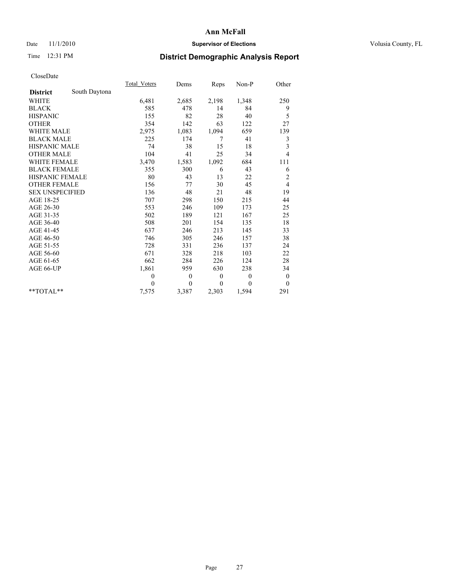## Date 11/1/2010 **Supervisor of Elections Supervisor of Elections** Volusia County, FL

## Time 12:31 PM **District Demographic Analysis Report**

|                        |               | Total Voters | Dems     | Reps     | $Non-P$  | Other            |
|------------------------|---------------|--------------|----------|----------|----------|------------------|
| <b>District</b>        | South Daytona |              |          |          |          |                  |
| <b>WHITE</b>           |               | 6,481        | 2,685    | 2,198    | 1,348    | 250              |
| <b>BLACK</b>           |               | 585          | 478      | 14       | 84       | 9                |
| <b>HISPANIC</b>        |               | 155          | 82       | 28       | 40       | 5                |
| <b>OTHER</b>           |               | 354          | 142      | 63       | 122      | 27               |
| <b>WHITE MALE</b>      |               | 2,975        | 1,083    | 1,094    | 659      | 139              |
| <b>BLACK MALE</b>      |               | 225          | 174      | 7        | 41       | 3                |
| HISPANIC MALE          |               | 74           | 38       | 15       | 18       | 3                |
| <b>OTHER MALE</b>      |               | 104          | 41       | 25       | 34       | $\overline{4}$   |
| <b>WHITE FEMALE</b>    |               | 3,470        | 1,583    | 1,092    | 684      | 111              |
| <b>BLACK FEMALE</b>    |               | 355          | 300      | 6        | 43       | 6                |
| HISPANIC FEMALE        |               | 80           | 43       | 13       | 22       | $\overline{c}$   |
| <b>OTHER FEMALE</b>    |               | 156          | 77       | 30       | 45       | $\overline{4}$   |
| <b>SEX UNSPECIFIED</b> |               | 136          | 48       | 21       | 48       | 19               |
| AGE 18-25              |               | 707          | 298      | 150      | 215      | 44               |
| AGE 26-30              |               | 553          | 246      | 109      | 173      | 25               |
| AGE 31-35              |               | 502          | 189      | 121      | 167      | 25               |
| AGE 36-40              |               | 508          | 201      | 154      | 135      | 18               |
| AGE 41-45              |               | 637          | 246      | 213      | 145      | 33               |
| AGE 46-50              |               | 746          | 305      | 246      | 157      | 38               |
| AGE 51-55              |               | 728          | 331      | 236      | 137      | 24               |
| AGE 56-60              |               | 671          | 328      | 218      | 103      | 22               |
| AGE 61-65              |               | 662          | 284      | 226      | 124      | 28               |
| AGE 66-UP              |               | 1,861        | 959      | 630      | 238      | 34               |
|                        |               | $\mathbf{0}$ | $\theta$ | $\theta$ | $\theta$ | $\boldsymbol{0}$ |
|                        |               | $\theta$     | $\theta$ | $\theta$ | $\theta$ | $\theta$         |
| $*$ $TOTAI.**$         |               | 7,575        | 3,387    | 2,303    | 1,594    | 291              |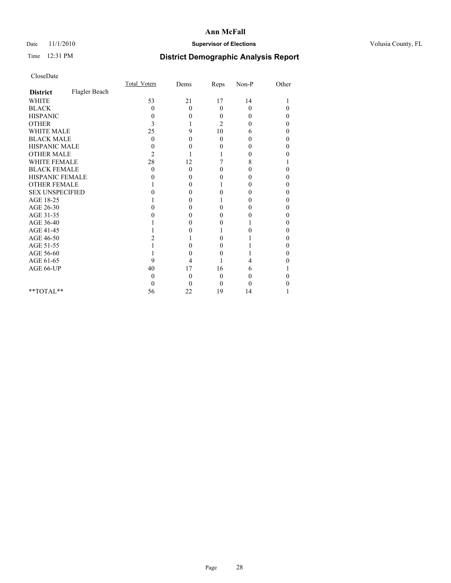## Date 11/1/2010 **Supervisor of Elections Supervisor of Elections** Volusia County, FL

## Time 12:31 PM **District Demographic Analysis Report**

|                        |               | Total Voters   | Dems             | Reps           | $Non-P$  | Other |  |
|------------------------|---------------|----------------|------------------|----------------|----------|-------|--|
| <b>District</b>        | Flagler Beach |                |                  |                |          |       |  |
| <b>WHITE</b>           |               | 53             | 21               | 17             | 14       |       |  |
| <b>BLACK</b>           |               | 0              | $\theta$         | $\mathbf{0}$   | $\theta$ | 0     |  |
| <b>HISPANIC</b>        |               | $\theta$       | 0                | $\theta$       | $\theta$ | 0     |  |
| <b>OTHER</b>           |               | 3              |                  | $\overline{c}$ | $\theta$ |       |  |
| <b>WHITE MALE</b>      |               | 25             | 9                | 10             | 6        | 0     |  |
| <b>BLACK MALE</b>      |               | $\theta$       | 0                | $\Omega$       | $\Omega$ | 0     |  |
| <b>HISPANIC MALE</b>   |               |                | 0                | 0              | 0        |       |  |
| <b>OTHER MALE</b>      |               | $\overline{c}$ |                  |                | 0        |       |  |
| WHITE FEMALE           |               | 28             | 12               |                | 8        |       |  |
| <b>BLACK FEMALE</b>    |               | $\theta$       | $\overline{0}$   | $_{0}$         | 0        |       |  |
| HISPANIC FEMALE        |               |                | 0                | $_{0}$         | $\theta$ |       |  |
| <b>OTHER FEMALE</b>    |               |                | 0                |                | 0        |       |  |
| <b>SEX UNSPECIFIED</b> |               |                | 0                | 0              | 0        |       |  |
| AGE 18-25              |               |                | 0                |                | $\theta$ |       |  |
| AGE 26-30              |               |                | 0                | 0              | $\theta$ |       |  |
| AGE 31-35              |               |                | 0                | $_{0}$         | 0        |       |  |
| AGE 36-40              |               |                | 0                | $_{0}$         |          |       |  |
| AGE 41-45              |               |                | 0                |                | 0        |       |  |
| AGE 46-50              |               |                |                  | 0              |          |       |  |
| AGE 51-55              |               |                | 0                | $_{0}$         |          |       |  |
| AGE 56-60              |               |                | 0                | 0              |          |       |  |
| AGE 61-65              |               | 9              | 4                |                | 4        |       |  |
| AGE 66-UP              |               | 40             | 17               | 16             | 6        |       |  |
|                        |               | $\mathbf{0}$   | $\boldsymbol{0}$ | 0              | 0        |       |  |
|                        |               | $\theta$       | $\theta$         | $\theta$       | 0        |       |  |
| $*$ $TOTAI.**$         |               | 56             | 22               | 19             | 14       |       |  |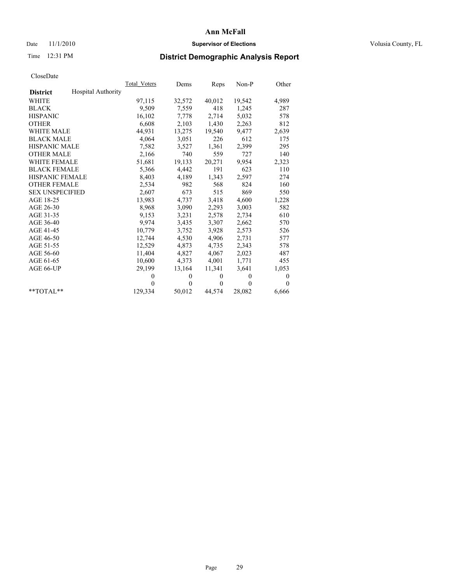## Date 11/1/2010 **Supervisor of Elections Supervisor of Elections** Volusia County, FL

## Time 12:31 PM **District Demographic Analysis Report**

|                                              | Total Voters | Dems     | Reps         | $Non-P$  | Other            |
|----------------------------------------------|--------------|----------|--------------|----------|------------------|
| <b>Hospital Authority</b><br><b>District</b> |              |          |              |          |                  |
| <b>WHITE</b>                                 | 97,115       | 32,572   | 40,012       | 19,542   | 4,989            |
| <b>BLACK</b>                                 | 9,509        | 7,559    | 418          | 1,245    | 287              |
| <b>HISPANIC</b>                              | 16,102       | 7.778    | 2,714        | 5,032    | 578              |
| <b>OTHER</b>                                 | 6,608        | 2,103    | 1,430        | 2,263    | 812              |
| <b>WHITE MALE</b>                            | 44,931       | 13,275   | 19,540       | 9,477    | 2,639            |
| <b>BLACK MALE</b>                            | 4,064        | 3,051    | 226          | 612      | 175              |
| <b>HISPANIC MALE</b>                         | 7,582        | 3,527    | 1,361        | 2,399    | 295              |
| <b>OTHER MALE</b>                            | 2,166        | 740      | 559          | 727      | 140              |
| <b>WHITE FEMALE</b>                          | 51,681       | 19,133   | 20,271       | 9,954    | 2,323            |
| <b>BLACK FEMALE</b>                          | 5,366        | 4,442    | 191          | 623      | 110              |
| HISPANIC FEMALE                              | 8,403        | 4,189    | 1,343        | 2,597    | 274              |
| <b>OTHER FEMALE</b>                          | 2,534        | 982      | 568          | 824      | 160              |
| <b>SEX UNSPECIFIED</b>                       | 2,607        | 673      | 515          | 869      | 550              |
| AGE 18-25                                    | 13,983       | 4,737    | 3,418        | 4,600    | 1,228            |
| AGE 26-30                                    | 8,968        | 3,090    | 2,293        | 3,003    | 582              |
| AGE 31-35                                    | 9,153        | 3,231    | 2,578        | 2,734    | 610              |
| AGE 36-40                                    | 9,974        | 3,435    | 3,307        | 2,662    | 570              |
| AGE 41-45                                    | 10.779       | 3,752    | 3,928        | 2,573    | 526              |
| AGE 46-50                                    | 12,744       | 4,530    | 4,906        | 2,731    | 577              |
| AGE 51-55                                    | 12,529       | 4,873    | 4,735        | 2,343    | 578              |
| AGE 56-60                                    | 11,404       | 4,827    | 4,067        | 2,023    | 487              |
| AGE 61-65                                    | 10,600       | 4,373    | 4,001        | 1,771    | 455              |
| AGE 66-UP                                    | 29,199       | 13,164   | 11,341       | 3,641    | 1,053            |
|                                              | $\theta$     | $\theta$ | $\theta$     | $\theta$ | $\boldsymbol{0}$ |
|                                              | $\theta$     | $\theta$ | $\mathbf{0}$ | $\theta$ | $\theta$         |
| $*$ $TOTAI.**$                               | 129,334      | 50,012   | 44,574       | 28,082   | 6,666            |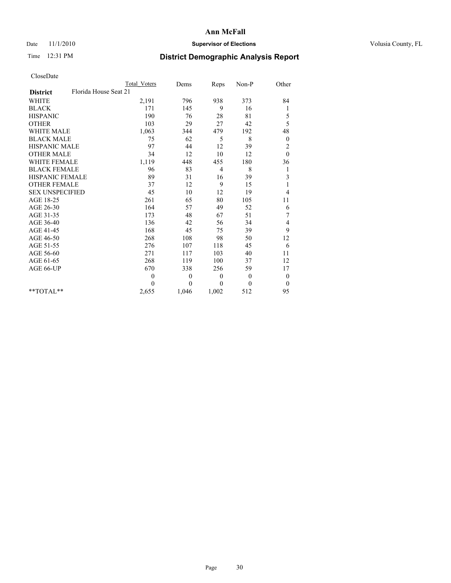## Date 11/1/2010 **Supervisor of Elections Supervisor of Elections** Volusia County, FL

## Time 12:31 PM **District Demographic Analysis Report**

|                                          | <b>Total Voters</b> | Dems         | Reps         | Non-P    | Other          |
|------------------------------------------|---------------------|--------------|--------------|----------|----------------|
| Florida House Seat 21<br><b>District</b> |                     |              |              |          |                |
| <b>WHITE</b>                             | 2,191               | 796          | 938          | 373      | 84             |
| <b>BLACK</b>                             | 171                 | 145          | 9            | 16       | 1              |
| <b>HISPANIC</b>                          | 190                 | 76           | 28           | 81       | 5              |
| <b>OTHER</b>                             | 103                 | 29           | 27           | 42       | 5              |
| <b>WHITE MALE</b>                        | 1,063               | 344          | 479          | 192      | 48             |
| <b>BLACK MALE</b>                        | 75                  | 62           | 5            | 8        | $\mathbf{0}$   |
| <b>HISPANIC MALE</b>                     | 97                  | 44           | 12           | 39       | $\overline{c}$ |
| <b>OTHER MALE</b>                        | 34                  | 12           | 10           | 12       | $\theta$       |
| WHITE FEMALE                             | 1,119               | 448          | 455          | 180      | 36             |
| <b>BLACK FEMALE</b>                      | 96                  | 83           | 4            | 8        | 1              |
| HISPANIC FEMALE                          | 89                  | 31           | 16           | 39       | 3              |
| <b>OTHER FEMALE</b>                      | 37                  | 12           | 9            | 15       | 1              |
| <b>SEX UNSPECIFIED</b>                   | 45                  | 10           | 12           | 19       | 4              |
| AGE 18-25                                | 261                 | 65           | 80           | 105      | 11             |
| AGE 26-30                                | 164                 | 57           | 49           | 52       | 6              |
| AGE 31-35                                | 173                 | 48           | 67           | 51       | $\sqrt{ }$     |
| AGE 36-40                                | 136                 | 42           | 56           | 34       | 4              |
| AGE 41-45                                | 168                 | 45           | 75           | 39       | 9              |
| AGE 46-50                                | 268                 | 108          | 98           | 50       | 12             |
| AGE 51-55                                | 276                 | 107          | 118          | 45       | 6              |
| AGE 56-60                                | 271                 | 117          | 103          | 40       | 11             |
| AGE 61-65                                | 268                 | 119          | 100          | 37       | 12             |
| AGE 66-UP                                | 670                 | 338          | 256          | 59       | 17             |
|                                          | $\overline{0}$      | $\theta$     | $\mathbf{0}$ | $\theta$ | $\theta$       |
|                                          | $\Omega$            | $\mathbf{0}$ | $\theta$     | $\theta$ | $\overline{0}$ |
| $*$ $TOTAI.**$                           | 2,655               | 1,046        | 1,002        | 512      | 95             |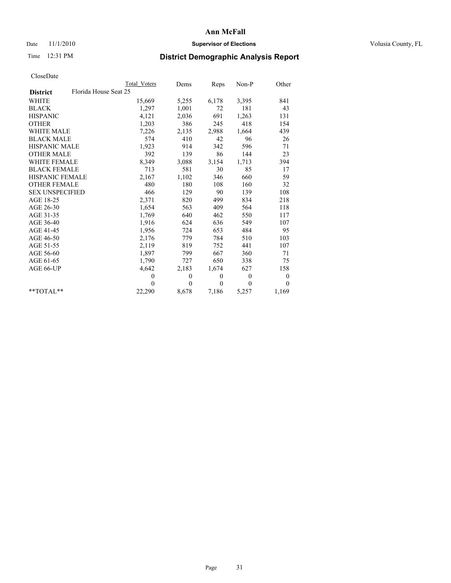## Date 11/1/2010 **Supervisor of Elections Supervisor of Elections** Volusia County, FL

## Time 12:31 PM **District Demographic Analysis Report**

|                                          | Total Voters | Dems           | Reps         | $Non-P$  | Other            |  |
|------------------------------------------|--------------|----------------|--------------|----------|------------------|--|
| Florida House Seat 25<br><b>District</b> |              |                |              |          |                  |  |
| <b>WHITE</b>                             | 15,669       | 5,255          | 6,178        | 3,395    | 841              |  |
| <b>BLACK</b>                             | 1,297        | 1,001          | 72           | 181      | 43               |  |
| <b>HISPANIC</b>                          | 4,121        | 2,036          | 691          | 1,263    | 131              |  |
| <b>OTHER</b>                             | 1,203        | 386            | 245          | 418      | 154              |  |
| <b>WHITE MALE</b>                        | 7,226        | 2,135          | 2,988        | 1,664    | 439              |  |
| <b>BLACK MALE</b>                        | 574          | 410            | 42           | 96       | 26               |  |
| <b>HISPANIC MALE</b>                     | 1,923        | 914            | 342          | 596      | 71               |  |
| <b>OTHER MALE</b>                        | 392          | 139            | 86           | 144      | 23               |  |
| WHITE FEMALE                             | 8,349        | 3,088          | 3,154        | 1,713    | 394              |  |
| <b>BLACK FEMALE</b>                      | 713          | 581            | 30           | 85       | 17               |  |
| HISPANIC FEMALE                          | 2,167        | 1,102          | 346          | 660      | 59               |  |
| <b>OTHER FEMALE</b>                      | 480          | 180            | 108          | 160      | 32               |  |
| <b>SEX UNSPECIFIED</b>                   | 466          | 129            | 90           | 139      | 108              |  |
| AGE 18-25                                | 2,371        | 820            | 499          | 834      | 218              |  |
| AGE 26-30                                | 1,654        | 563            | 409          | 564      | 118              |  |
| AGE 31-35                                | 1,769        | 640            | 462          | 550      | 117              |  |
| AGE 36-40                                | 1,916        | 624            | 636          | 549      | 107              |  |
| AGE 41-45                                | 1,956        | 724            | 653          | 484      | 95               |  |
| AGE 46-50                                | 2,176        | 779            | 784          | 510      | 103              |  |
| AGE 51-55                                | 2,119        | 819            | 752          | 441      | 107              |  |
| AGE 56-60                                | 1,897        | 799            | 667          | 360      | 71               |  |
| AGE 61-65                                | 1,790        | 727            | 650          | 338      | 75               |  |
| AGE 66-UP                                | 4,642        | 2,183          | 1,674        | 627      | 158              |  |
|                                          | $\mathbf{0}$ | $\mathbf{0}$   | $\mathbf{0}$ | $\theta$ | $\boldsymbol{0}$ |  |
|                                          | $\Omega$     | $\overline{0}$ | $\theta$     | $\theta$ | $\mathbf{0}$     |  |
| $*$ $TOTAI.**$                           | 22,290       | 8,678          | 7,186        | 5,257    | 1,169            |  |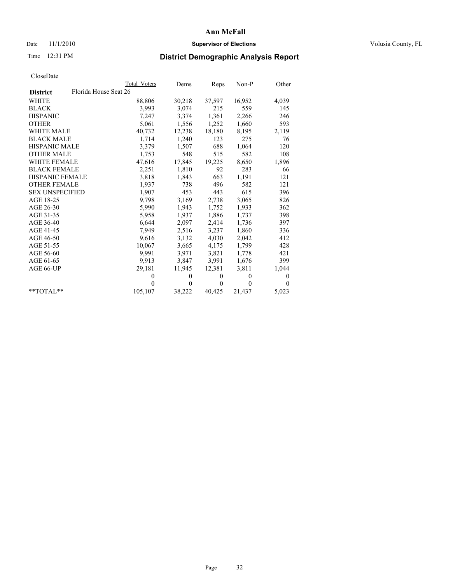## Date 11/1/2010 **Supervisor of Elections Supervisor of Elections** Volusia County, FL

# Time 12:31 PM **District Demographic Analysis Report**

|                                          | Total Voters | Dems         | Reps     | $Non-P$        | Other    |
|------------------------------------------|--------------|--------------|----------|----------------|----------|
| Florida House Seat 26<br><b>District</b> |              |              |          |                |          |
| <b>WHITE</b>                             | 88,806       | 30,218       | 37,597   | 16,952         | 4,039    |
| <b>BLACK</b>                             | 3,993        | 3,074        | 215      | 559            | 145      |
| <b>HISPANIC</b>                          | 7,247        | 3,374        | 1,361    | 2,266          | 246      |
| <b>OTHER</b>                             | 5,061        | 1,556        | 1,252    | 1,660          | 593      |
| <b>WHITE MALE</b>                        | 40,732       | 12,238       | 18,180   | 8,195          | 2,119    |
| <b>BLACK MALE</b>                        | 1,714        | 1,240        | 123      | 275            | 76       |
| <b>HISPANIC MALE</b>                     | 3,379        | 1,507        | 688      | 1,064          | 120      |
| <b>OTHER MALE</b>                        | 1,753        | 548          | 515      | 582            | 108      |
| WHITE FEMALE                             | 47,616       | 17,845       | 19,225   | 8,650          | 1,896    |
| <b>BLACK FEMALE</b>                      | 2,251        | 1,810        | 92       | 283            | 66       |
| <b>HISPANIC FEMALE</b>                   | 3,818        | 1,843        | 663      | 1,191          | 121      |
| <b>OTHER FEMALE</b>                      | 1,937        | 738          | 496      | 582            | 121      |
| <b>SEX UNSPECIFIED</b>                   | 1,907        | 453          | 443      | 615            | 396      |
| AGE 18-25                                | 9,798        | 3,169        | 2,738    | 3,065          | 826      |
| AGE 26-30                                | 5,990        | 1,943        | 1,752    | 1,933          | 362      |
| AGE 31-35                                | 5,958        | 1,937        | 1,886    | 1,737          | 398      |
| AGE 36-40                                | 6,644        | 2,097        | 2,414    | 1,736          | 397      |
| AGE 41-45                                | 7,949        | 2,516        | 3,237    | 1,860          | 336      |
| AGE 46-50                                | 9,616        | 3,132        | 4,030    | 2,042          | 412      |
| AGE 51-55                                | 10,067       | 3,665        | 4,175    | 1,799          | 428      |
| AGE 56-60                                | 9.991        | 3,971        | 3,821    | 1,778          | 421      |
| AGE 61-65                                | 9,913        | 3,847        | 3,991    | 1,676          | 399      |
| AGE 66-UP                                | 29,181       | 11,945       | 12,381   | 3,811          | 1,044    |
|                                          | $\theta$     | $\mathbf{0}$ | $\theta$ | $\overline{0}$ | 0        |
|                                          | $\theta$     | $\theta$     | $\Omega$ | $\theta$       | $\theta$ |
| $*$ TOTAL $*$                            | 105,107      | 38,222       | 40,425   | 21,437         | 5,023    |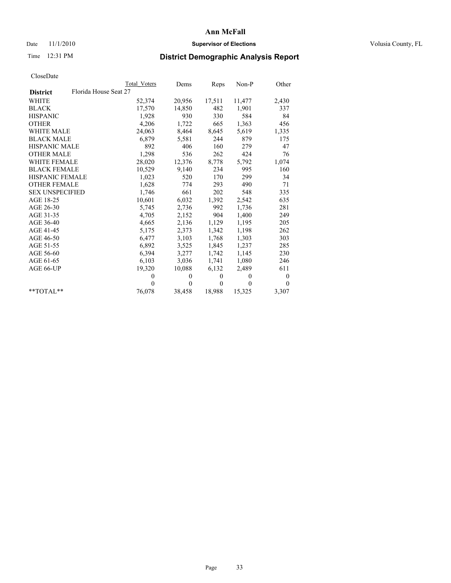## Date 11/1/2010 **Supervisor of Elections Supervisor of Elections** Volusia County, FL

# Time 12:31 PM **District Demographic Analysis Report**

|                                          | Total Voters | Dems     | Reps         | $Non-P$  | Other            |
|------------------------------------------|--------------|----------|--------------|----------|------------------|
| Florida House Seat 27<br><b>District</b> |              |          |              |          |                  |
| <b>WHITE</b>                             | 52,374       | 20,956   | 17,511       | 11,477   | 2,430            |
| <b>BLACK</b>                             | 17,570       | 14,850   | 482          | 1,901    | 337              |
| <b>HISPANIC</b>                          | 1,928        | 930      | 330          | 584      | 84               |
| <b>OTHER</b>                             | 4,206        | 1,722    | 665          | 1,363    | 456              |
| <b>WHITE MALE</b>                        | 24,063       | 8,464    | 8,645        | 5,619    | 1,335            |
| <b>BLACK MALE</b>                        | 6,879        | 5,581    | 244          | 879      | 175              |
| HISPANIC MALE                            | 892          | 406      | 160          | 279      | 47               |
| <b>OTHER MALE</b>                        | 1,298        | 536      | 262          | 424      | 76               |
| <b>WHITE FEMALE</b>                      | 28,020       | 12,376   | 8,778        | 5,792    | 1,074            |
| <b>BLACK FEMALE</b>                      | 10,529       | 9,140    | 234          | 995      | 160              |
| HISPANIC FEMALE                          | 1,023        | 520      | 170          | 299      | 34               |
| <b>OTHER FEMALE</b>                      | 1,628        | 774      | 293          | 490      | 71               |
| <b>SEX UNSPECIFIED</b>                   | 1,746        | 661      | 202          | 548      | 335              |
| AGE 18-25                                | 10,601       | 6,032    | 1,392        | 2,542    | 635              |
| AGE 26-30                                | 5,745        | 2,736    | 992          | 1,736    | 281              |
| AGE 31-35                                | 4,705        | 2,152    | 904          | 1,400    | 249              |
| AGE 36-40                                | 4,665        | 2,136    | 1,129        | 1,195    | 205              |
| AGE 41-45                                | 5,175        | 2,373    | 1,342        | 1,198    | 262              |
| AGE 46-50                                | 6,477        | 3,103    | 1,768        | 1,303    | 303              |
| AGE 51-55                                | 6,892        | 3,525    | 1,845        | 1,237    | 285              |
| AGE 56-60                                | 6,394        | 3,277    | 1,742        | 1,145    | 230              |
| AGE 61-65                                | 6,103        | 3,036    | 1,741        | 1,080    | 246              |
| AGE 66-UP                                | 19,320       | 10,088   | 6,132        | 2,489    | 611              |
|                                          | $\Omega$     | $\theta$ | $\mathbf{0}$ | $\theta$ | $\boldsymbol{0}$ |
|                                          | $\Omega$     | $\theta$ | $\mathbf{0}$ | $\theta$ | $\theta$         |
| $*$ $TOTAI.**$                           | 76,078       | 38,458   | 18,988       | 15,325   | 3,307            |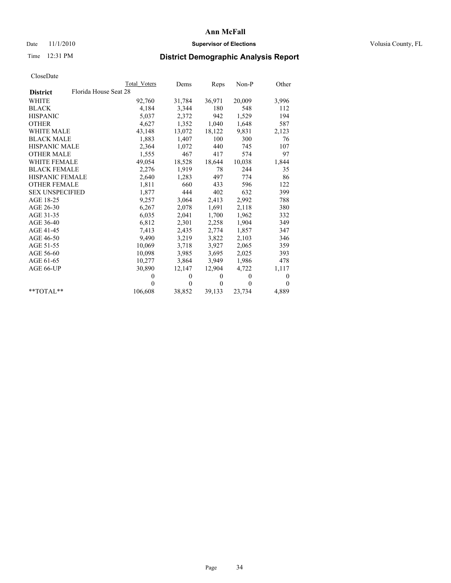## Date 11/1/2010 **Supervisor of Elections Supervisor of Elections** Volusia County, FL

## Time 12:31 PM **District Demographic Analysis Report**

|                                          | Total Voters | Dems         | Reps         | $Non-P$  | Other        |
|------------------------------------------|--------------|--------------|--------------|----------|--------------|
| Florida House Seat 28<br><b>District</b> |              |              |              |          |              |
| <b>WHITE</b>                             | 92,760       | 31,784       | 36,971       | 20,009   | 3,996        |
| <b>BLACK</b>                             | 4,184        | 3,344        | 180          | 548      | 112          |
| <b>HISPANIC</b>                          | 5,037        | 2,372        | 942          | 1,529    | 194          |
| <b>OTHER</b>                             | 4,627        | 1,352        | 1,040        | 1,648    | 587          |
| <b>WHITE MALE</b>                        | 43,148       | 13,072       | 18,122       | 9,831    | 2,123        |
| <b>BLACK MALE</b>                        | 1,883        | 1,407        | 100          | 300      | 76           |
| <b>HISPANIC MALE</b>                     | 2,364        | 1,072        | 440          | 745      | 107          |
| <b>OTHER MALE</b>                        | 1,555        | 467          | 417          | 574      | 97           |
| <b>WHITE FEMALE</b>                      | 49,054       | 18,528       | 18,644       | 10,038   | 1,844        |
| <b>BLACK FEMALE</b>                      | 2,276        | 1,919        | 78           | 244      | 35           |
| HISPANIC FEMALE                          | 2,640        | 1,283        | 497          | 774      | 86           |
| <b>OTHER FEMALE</b>                      | 1,811        | 660          | 433          | 596      | 122          |
| <b>SEX UNSPECIFIED</b>                   | 1,877        | 444          | 402          | 632      | 399          |
| AGE 18-25                                | 9,257        | 3,064        | 2,413        | 2,992    | 788          |
| AGE 26-30                                | 6,267        | 2,078        | 1,691        | 2,118    | 380          |
| AGE 31-35                                | 6,035        | 2,041        | 1,700        | 1,962    | 332          |
| AGE 36-40                                | 6,812        | 2,301        | 2,258        | 1,904    | 349          |
| AGE 41-45                                | 7.413        | 2,435        | 2,774        | 1,857    | 347          |
| AGE 46-50                                | 9,490        | 3,219        | 3,822        | 2,103    | 346          |
| AGE 51-55                                | 10,069       | 3,718        | 3,927        | 2,065    | 359          |
| AGE 56-60                                | 10,098       | 3,985        | 3,695        | 2,025    | 393          |
| AGE 61-65                                | 10,277       | 3,864        | 3,949        | 1,986    | 478          |
| AGE 66-UP                                | 30,890       | 12,147       | 12,904       | 4,722    | 1,117        |
|                                          | $\theta$     | $\mathbf{0}$ | $\mathbf{0}$ | $\theta$ | $\mathbf{0}$ |
|                                          | $\Omega$     | $\theta$     | $\mathbf{0}$ | $\theta$ | $\mathbf{0}$ |
| $*$ TOTAL $*$                            | 106,608      | 38,852       | 39,133       | 23,734   | 4,889        |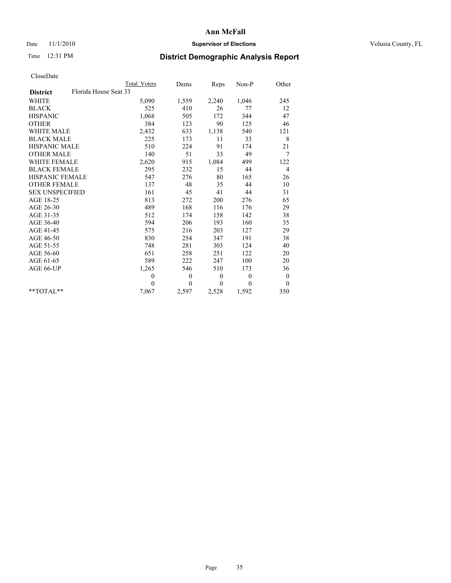## Date 11/1/2010 **Supervisor of Elections Supervisor of Elections** Volusia County, FL

## Time 12:31 PM **District Demographic Analysis Report**

|                                          | <b>Total Voters</b> | Dems         | Reps         | Non-P    | Other            |
|------------------------------------------|---------------------|--------------|--------------|----------|------------------|
| Florida House Seat 33<br><b>District</b> |                     |              |              |          |                  |
| <b>WHITE</b>                             | 5,090               | 1,559        | 2,240        | 1,046    | 245              |
| <b>BLACK</b>                             | 525                 | 410          | 26           | 77       | 12               |
| <b>HISPANIC</b>                          | 1,068               | 505          | 172          | 344      | 47               |
| <b>OTHER</b>                             | 384                 | 123          | 90           | 125      | 46               |
| <b>WHITE MALE</b>                        | 2,432               | 633          | 1,138        | 540      | 121              |
| <b>BLACK MALE</b>                        | 225                 | 173          | 11           | 33       | 8                |
| <b>HISPANIC MALE</b>                     | 510                 | 224          | 91           | 174      | 21               |
| <b>OTHER MALE</b>                        | 140                 | 51           | 33           | 49       | 7                |
| <b>WHITE FEMALE</b>                      | 2,620               | 915          | 1,084        | 499      | 122              |
| <b>BLACK FEMALE</b>                      | 295                 | 232          | 15           | 44       | $\overline{4}$   |
| HISPANIC FEMALE                          | 547                 | 276          | 80           | 165      | 26               |
| <b>OTHER FEMALE</b>                      | 137                 | 48           | 35           | 44       | 10               |
| <b>SEX UNSPECIFIED</b>                   | 161                 | 45           | 41           | 44       | 31               |
| AGE 18-25                                | 813                 | 272          | 200          | 276      | 65               |
| AGE 26-30                                | 489                 | 168          | 116          | 176      | 29               |
| AGE 31-35                                | 512                 | 174          | 158          | 142      | 38               |
| AGE 36-40                                | 594                 | 206          | 193          | 160      | 35               |
| AGE 41-45                                | 575                 | 216          | 203          | 127      | 29               |
| AGE 46-50                                | 830                 | 254          | 347          | 191      | 38               |
| AGE 51-55                                | 748                 | 281          | 303          | 124      | 40               |
| AGE 56-60                                | 651                 | 258          | 251          | 122      | 20               |
| AGE 61-65                                | 589                 | 222          | 247          | 100      | 20               |
| AGE 66-UP                                | 1,265               | 546          | 510          | 173      | 36               |
|                                          | $\mathbf{0}$        | $\mathbf{0}$ | $\mathbf{0}$ | $\theta$ | $\boldsymbol{0}$ |
|                                          | $\theta$            | $\theta$     | $\theta$     | $\theta$ | $\theta$         |
| $*$ TOTAL $*$                            | 7,067               | 2,597        | 2,528        | 1,592    | 350              |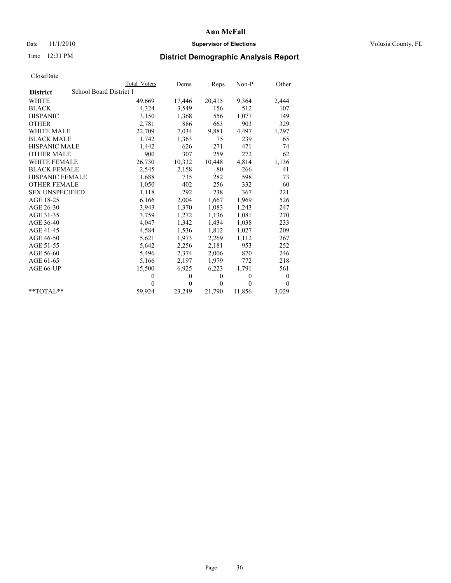## Date 11/1/2010 **Supervisor of Elections Supervisor of Elections** Volusia County, FL

## Time 12:31 PM **District Demographic Analysis Report**

|                        | <b>Total Voters</b>     | Dems         | Reps         | $Non-P$      | Other    |
|------------------------|-------------------------|--------------|--------------|--------------|----------|
| <b>District</b>        | School Board District 1 |              |              |              |          |
| WHITE                  | 49,669                  | 17,446       | 20,415       | 9,364        | 2,444    |
| <b>BLACK</b>           | 4,324                   | 3,549        | 156          | 512          | 107      |
| <b>HISPANIC</b>        | 3,150                   | 1,368        | 556          | 1,077        | 149      |
| <b>OTHER</b>           | 2,781                   | 886          | 663          | 903          | 329      |
| <b>WHITE MALE</b>      | 22,709                  | 7,034        | 9,881        | 4,497        | 1,297    |
| <b>BLACK MALE</b>      | 1,742                   | 1,363        | 75           | 239          | 65       |
| <b>HISPANIC MALE</b>   | 1,442                   | 626          | 271          | 471          | 74       |
| <b>OTHER MALE</b>      | 900                     | 307          | 259          | 272          | 62       |
| <b>WHITE FEMALE</b>    | 26,730                  | 10,332       | 10,448       | 4,814        | 1,136    |
| <b>BLACK FEMALE</b>    | 2,545                   | 2,158        | 80           | 266          | 41       |
| HISPANIC FEMALE        | 1,688                   | 735          | 282          | 598          | 73       |
| <b>OTHER FEMALE</b>    | 1,050                   | 402          | 256          | 332          | 60       |
| <b>SEX UNSPECIFIED</b> | 1,118                   | 292          | 238          | 367          | 221      |
| AGE 18-25              | 6,166                   | 2,004        | 1,667        | 1,969        | 526      |
| AGE 26-30              | 3,943                   | 1,370        | 1,083        | 1,243        | 247      |
| AGE 31-35              | 3,759                   | 1,272        | 1,136        | 1,081        | 270      |
| AGE 36-40              | 4,047                   | 1,342        | 1,434        | 1,038        | 233      |
| AGE 41-45              | 4,584                   | 1,536        | 1,812        | 1,027        | 209      |
| AGE 46-50              | 5,621                   | 1,973        | 2,269        | 1,112        | 267      |
| AGE 51-55              | 5,642                   | 2,256        | 2,181        | 953          | 252      |
| AGE 56-60              | 5,496                   | 2,374        | 2,006        | 870          | 246      |
| AGE 61-65              | 5,166                   | 2,197        | 1,979        | 772          | 218      |
| AGE 66-UP              | 15,500                  | 6,925        | 6,223        | 1,791        | 561      |
|                        | $\theta$                | $\mathbf{0}$ | $\mathbf{0}$ | $\mathbf{0}$ | 0        |
|                        | $\theta$                | $\theta$     | $\theta$     | $\theta$     | $\theta$ |
| $*$ TOTAL $*$          | 59,924                  | 23,249       | 21,790       | 11,856       | 3,029    |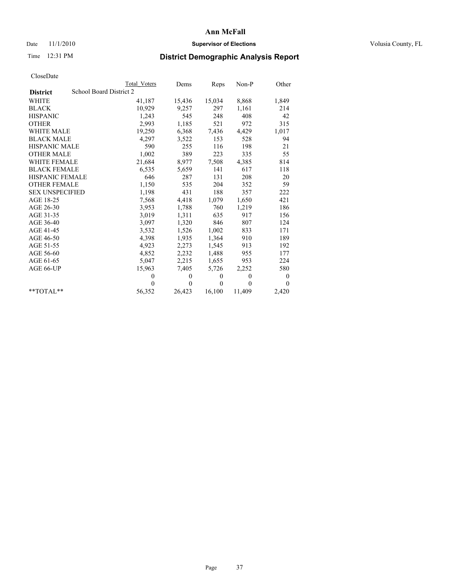## Date 11/1/2010 **Supervisor of Elections Supervisor of Elections** Volusia County, FL

# Time 12:31 PM **District Demographic Analysis Report**

|                        | Total Voters            | Dems         | Reps         | $Non-P$  | Other            |  |  |  |
|------------------------|-------------------------|--------------|--------------|----------|------------------|--|--|--|
| <b>District</b>        | School Board District 2 |              |              |          |                  |  |  |  |
| <b>WHITE</b>           | 41,187                  | 15,436       | 15,034       | 8,868    | 1,849            |  |  |  |
| <b>BLACK</b>           | 10,929                  | 9,257        | 297          | 1,161    | 214              |  |  |  |
| <b>HISPANIC</b>        | 1,243                   | 545          | 248          | 408      | 42               |  |  |  |
| <b>OTHER</b>           | 2,993                   | 1,185        | 521          | 972      | 315              |  |  |  |
| <b>WHITE MALE</b>      | 19,250                  | 6,368        | 7,436        | 4,429    | 1,017            |  |  |  |
| <b>BLACK MALE</b>      | 4,297                   | 3,522        | 153          | 528      | 94               |  |  |  |
| <b>HISPANIC MALE</b>   | 590                     | 255          | 116          | 198      | 21               |  |  |  |
| <b>OTHER MALE</b>      | 1,002                   | 389          | 223          | 335      | 55               |  |  |  |
| WHITE FEMALE           | 21,684                  | 8,977        | 7,508        | 4,385    | 814              |  |  |  |
| <b>BLACK FEMALE</b>    | 6,535                   | 5,659        | 141          | 617      | 118              |  |  |  |
| <b>HISPANIC FEMALE</b> | 646                     | 287          | 131          | 208      | 20               |  |  |  |
| <b>OTHER FEMALE</b>    | 1,150                   | 535          | 204          | 352      | 59               |  |  |  |
| <b>SEX UNSPECIFIED</b> | 1,198                   | 431          | 188          | 357      | 222              |  |  |  |
| AGE 18-25              | 7,568                   | 4,418        | 1,079        | 1,650    | 421              |  |  |  |
| AGE 26-30              | 3,953                   | 1,788        | 760          | 1,219    | 186              |  |  |  |
| AGE 31-35              | 3,019                   | 1,311        | 635          | 917      | 156              |  |  |  |
| AGE 36-40              | 3,097                   | 1,320        | 846          | 807      | 124              |  |  |  |
| AGE 41-45              | 3,532                   | 1,526        | 1,002        | 833      | 171              |  |  |  |
| AGE 46-50              | 4,398                   | 1,935        | 1,364        | 910      | 189              |  |  |  |
| AGE 51-55              | 4,923                   | 2,273        | 1,545        | 913      | 192              |  |  |  |
| AGE 56-60              | 4,852                   | 2,232        | 1,488        | 955      | 177              |  |  |  |
| AGE 61-65              | 5,047                   | 2,215        | 1,655        | 953      | 224              |  |  |  |
| AGE 66-UP              | 15,963                  | 7,405        | 5,726        | 2,252    | 580              |  |  |  |
|                        | $\theta$                | $\mathbf{0}$ | $\mathbf{0}$ | $\theta$ | $\boldsymbol{0}$ |  |  |  |
|                        | $\theta$                | $\theta$     | $\theta$     | $\theta$ | $\theta$         |  |  |  |
| $*$ $TOTAI.**$         | 56,352                  | 26,423       | 16,100       | 11,409   | 2,420            |  |  |  |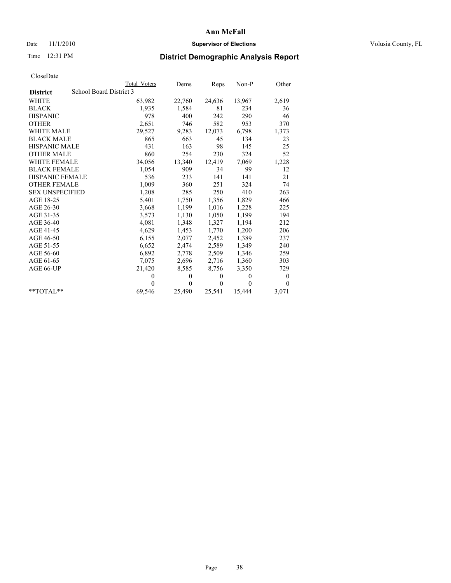## Date 11/1/2010 **Supervisor of Elections Supervisor of Elections** Volusia County, FL

# Time 12:31 PM **District Demographic Analysis Report**

|                        |                         | <b>Total Voters</b> | Dems         | Reps         | $Non-P$      | Other            |
|------------------------|-------------------------|---------------------|--------------|--------------|--------------|------------------|
| <b>District</b>        | School Board District 3 |                     |              |              |              |                  |
| <b>WHITE</b>           |                         | 63,982              | 22,760       | 24,636       | 13,967       | 2,619            |
| <b>BLACK</b>           |                         | 1,935               | 1,584        | 81           | 234          | 36               |
| <b>HISPANIC</b>        |                         | 978                 | 400          | 242          | 290          | 46               |
| <b>OTHER</b>           |                         | 2,651               | 746          | 582          | 953          | 370              |
| <b>WHITE MALE</b>      |                         | 29,527              | 9,283        | 12,073       | 6,798        | 1,373            |
| <b>BLACK MALE</b>      |                         | 865                 | 663          | 45           | 134          | 23               |
| <b>HISPANIC MALE</b>   |                         | 431                 | 163          | 98           | 145          | 25               |
| <b>OTHER MALE</b>      |                         | 860                 | 254          | 230          | 324          | 52               |
| <b>WHITE FEMALE</b>    |                         | 34,056              | 13,340       | 12,419       | 7,069        | 1,228            |
| <b>BLACK FEMALE</b>    |                         | 1,054               | 909          | 34           | 99           | 12               |
| HISPANIC FEMALE        |                         | 536                 | 233          | 141          | 141          | 21               |
| <b>OTHER FEMALE</b>    |                         | 1,009               | 360          | 251          | 324          | 74               |
| <b>SEX UNSPECIFIED</b> |                         | 1,208               | 285          | 250          | 410          | 263              |
| AGE 18-25              |                         | 5,401               | 1,750        | 1,356        | 1,829        | 466              |
| AGE 26-30              |                         | 3,668               | 1,199        | 1,016        | 1,228        | 225              |
| AGE 31-35              |                         | 3,573               | 1,130        | 1,050        | 1,199        | 194              |
| AGE 36-40              |                         | 4,081               | 1,348        | 1,327        | 1,194        | 212              |
| AGE 41-45              |                         | 4,629               | 1,453        | 1,770        | 1,200        | 206              |
| AGE 46-50              |                         | 6,155               | 2,077        | 2,452        | 1,389        | 237              |
| AGE 51-55              |                         | 6,652               | 2,474        | 2,589        | 1,349        | 240              |
| AGE 56-60              |                         | 6,892               | 2,778        | 2,509        | 1,346        | 259              |
| AGE 61-65              |                         | 7,075               | 2,696        | 2,716        | 1,360        | 303              |
| AGE 66-UP              |                         | 21,420              | 8,585        | 8,756        | 3,350        | 729              |
|                        |                         | 0                   | $\mathbf{0}$ | $\mathbf{0}$ | $\mathbf{0}$ | $\boldsymbol{0}$ |
|                        |                         | 0                   | $\theta$     | $\mathbf{0}$ | $\theta$     | $\mathbf{0}$     |
| $*$ $TOTAI.**$         |                         | 69,546              | 25,490       | 25,541       | 15,444       | 3,071            |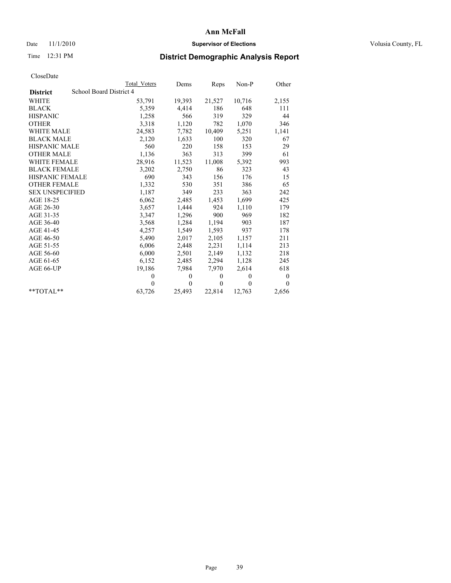## Date 11/1/2010 **Supervisor of Elections Supervisor of Elections** Volusia County, FL

# Time 12:31 PM **District Demographic Analysis Report**

|                        | Total Voters            | Dems         | Reps         | $Non-P$  | Other            |  |  |  |  |
|------------------------|-------------------------|--------------|--------------|----------|------------------|--|--|--|--|
| <b>District</b>        | School Board District 4 |              |              |          |                  |  |  |  |  |
| <b>WHITE</b>           | 53,791                  | 19,393       | 21,527       | 10,716   | 2,155            |  |  |  |  |
| <b>BLACK</b>           | 5,359                   | 4,414        | 186          | 648      | 111              |  |  |  |  |
| <b>HISPANIC</b>        | 1,258                   | 566          | 319          | 329      | 44               |  |  |  |  |
| <b>OTHER</b>           | 3,318                   | 1,120        | 782          | 1,070    | 346              |  |  |  |  |
| <b>WHITE MALE</b>      | 24,583                  | 7,782        | 10,409       | 5,251    | 1,141            |  |  |  |  |
| <b>BLACK MALE</b>      | 2,120                   | 1,633        | 100          | 320      | 67               |  |  |  |  |
| <b>HISPANIC MALE</b>   | 560                     | 220          | 158          | 153      | 29               |  |  |  |  |
| <b>OTHER MALE</b>      | 1,136                   | 363          | 313          | 399      | 61               |  |  |  |  |
| WHITE FEMALE           | 28,916                  | 11,523       | 11,008       | 5,392    | 993              |  |  |  |  |
| <b>BLACK FEMALE</b>    | 3,202                   | 2,750        | 86           | 323      | 43               |  |  |  |  |
| <b>HISPANIC FEMALE</b> | 690                     | 343          | 156          | 176      | 15               |  |  |  |  |
| <b>OTHER FEMALE</b>    | 1,332                   | 530          | 351          | 386      | 65               |  |  |  |  |
| <b>SEX UNSPECIFIED</b> | 1,187                   | 349          | 233          | 363      | 242              |  |  |  |  |
| AGE 18-25              | 6,062                   | 2,485        | 1,453        | 1,699    | 425              |  |  |  |  |
| AGE 26-30              | 3,657                   | 1,444        | 924          | 1,110    | 179              |  |  |  |  |
| AGE 31-35              | 3,347                   | 1,296        | 900          | 969      | 182              |  |  |  |  |
| AGE 36-40              | 3,568                   | 1,284        | 1,194        | 903      | 187              |  |  |  |  |
| AGE 41-45              | 4,257                   | 1,549        | 1,593        | 937      | 178              |  |  |  |  |
| AGE 46-50              | 5,490                   | 2,017        | 2,105        | 1,157    | 211              |  |  |  |  |
| AGE 51-55              | 6,006                   | 2,448        | 2,231        | 1,114    | 213              |  |  |  |  |
| AGE 56-60              | 6,000                   | 2,501        | 2,149        | 1,132    | 218              |  |  |  |  |
| AGE 61-65              | 6,152                   | 2,485        | 2,294        | 1,128    | 245              |  |  |  |  |
| AGE 66-UP              | 19,186                  | 7,984        | 7,970        | 2,614    | 618              |  |  |  |  |
|                        | $\mathbf{0}$            | $\mathbf{0}$ | $\mathbf{0}$ | $\theta$ | $\boldsymbol{0}$ |  |  |  |  |
|                        | $\theta$                | $\theta$     | $\theta$     | $\theta$ | $\theta$         |  |  |  |  |
| $*$ $TOTAI.**$         | 63,726                  | 25,493       | 22,814       | 12,763   | 2,656            |  |  |  |  |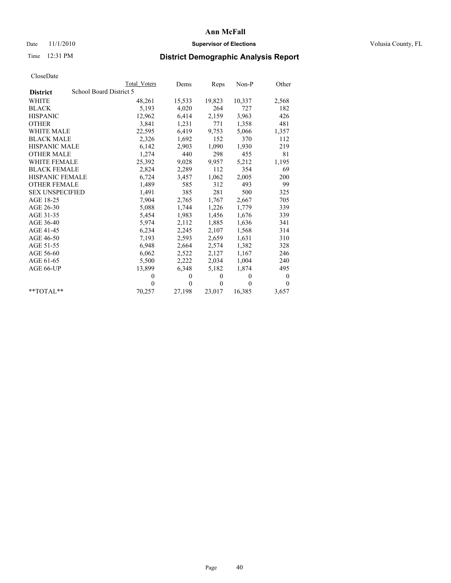## Date 11/1/2010 **Supervisor of Elections Supervisor of Elections** Volusia County, FL

# Time 12:31 PM **District Demographic Analysis Report**

|                                            | <b>Total Voters</b> | Dems         | Reps     | Non-P        | Other            |
|--------------------------------------------|---------------------|--------------|----------|--------------|------------------|
| School Board District 5<br><b>District</b> |                     |              |          |              |                  |
| <b>WHITE</b>                               | 48,261              | 15,533       | 19,823   | 10,337       | 2,568            |
| <b>BLACK</b>                               | 5,193               | 4,020        | 264      | 727          | 182              |
| <b>HISPANIC</b>                            | 12,962              | 6,414        | 2,159    | 3,963        | 426              |
| <b>OTHER</b>                               | 3,841               | 1,231        | 771      | 1,358        | 481              |
| <b>WHITE MALE</b>                          | 22,595              | 6,419        | 9,753    | 5,066        | 1,357            |
| <b>BLACK MALE</b>                          | 2,326               | 1,692        | 152      | 370          | 112              |
| <b>HISPANIC MALE</b>                       | 6,142               | 2,903        | 1,090    | 1,930        | 219              |
| <b>OTHER MALE</b>                          | 1,274               | 440          | 298      | 455          | 81               |
| WHITE FEMALE                               | 25,392              | 9,028        | 9,957    | 5,212        | 1,195            |
| <b>BLACK FEMALE</b>                        | 2,824               | 2,289        | 112      | 354          | 69               |
| <b>HISPANIC FEMALE</b>                     | 6,724               | 3,457        | 1,062    | 2,005        | 200              |
| <b>OTHER FEMALE</b>                        | 1,489               | 585          | 312      | 493          | 99               |
| <b>SEX UNSPECIFIED</b>                     | 1,491               | 385          | 281      | 500          | 325              |
| AGE 18-25                                  | 7,904               | 2,765        | 1,767    | 2,667        | 705              |
| AGE 26-30                                  | 5,088               | 1,744        | 1,226    | 1,779        | 339              |
| AGE 31-35                                  | 5,454               | 1,983        | 1,456    | 1,676        | 339              |
| AGE 36-40                                  | 5,974               | 2,112        | 1,885    | 1,636        | 341              |
| AGE 41-45                                  | 6,234               | 2,245        | 2,107    | 1,568        | 314              |
| AGE 46-50                                  | 7,193               | 2,593        | 2,659    | 1,631        | 310              |
| AGE 51-55                                  | 6,948               | 2,664        | 2,574    | 1,382        | 328              |
| AGE 56-60                                  | 6,062               | 2,522        | 2,127    | 1,167        | 246              |
| AGE 61-65                                  | 5,500               | 2,222        | 2,034    | 1,004        | 240              |
| AGE 66-UP                                  | 13,899              | 6,348        | 5,182    | 1,874        | 495              |
|                                            | $\theta$            | $\mathbf{0}$ | $\theta$ | $\mathbf{0}$ | $\boldsymbol{0}$ |
|                                            | $\theta$            | $\theta$     | $\theta$ | $\theta$     | $\theta$         |
| $*$ TOTAL $*$                              | 70,257              | 27,198       | 23,017   | 16,385       | 3,657            |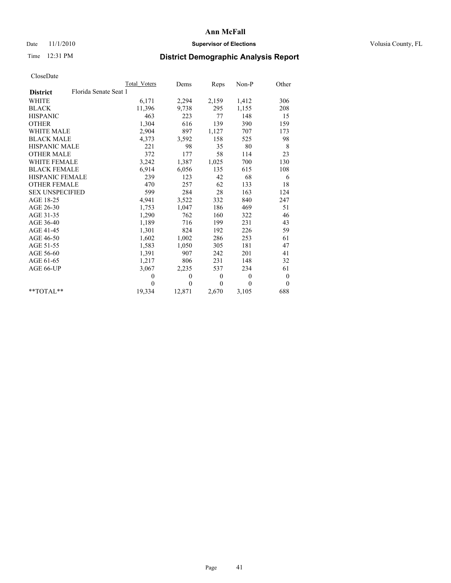## Date 11/1/2010 **Supervisor of Elections Supervisor of Elections** Volusia County, FL

# Time 12:31 PM **District Demographic Analysis Report**

|                                          | <b>Total Voters</b> | Dems           | <b>Reps</b>  | Non-P        | Other            |
|------------------------------------------|---------------------|----------------|--------------|--------------|------------------|
| Florida Senate Seat 1<br><b>District</b> |                     |                |              |              |                  |
| WHITE                                    | 6,171               | 2,294          | 2,159        | 1,412        | 306              |
| <b>BLACK</b>                             | 11,396              | 9,738          | 295          | 1,155        | 208              |
| <b>HISPANIC</b>                          | 463                 | 223            | 77           | 148          | 15               |
| <b>OTHER</b>                             | 1,304               | 616            | 139          | 390          | 159              |
| <b>WHITE MALE</b>                        | 2,904               | 897            | 1,127        | 707          | 173              |
| <b>BLACK MALE</b>                        | 4,373               | 3,592          | 158          | 525          | 98               |
| HISPANIC MALE                            | 221                 | 98             | 35           | 80           | 8                |
| <b>OTHER MALE</b>                        | 372                 | 177            | 58           | 114          | 23               |
| WHITE FEMALE                             | 3,242               | 1,387          | 1,025        | 700          | 130              |
| <b>BLACK FEMALE</b>                      | 6,914               | 6,056          | 135          | 615          | 108              |
| HISPANIC FEMALE                          | 239                 | 123            | 42           | 68           | 6                |
| <b>OTHER FEMALE</b>                      | 470                 | 257            | 62           | 133          | 18               |
| <b>SEX UNSPECIFIED</b>                   | 599                 | 284            | 28           | 163          | 124              |
| AGE 18-25                                | 4,941               | 3,522          | 332          | 840          | 247              |
| AGE 26-30                                | 1,753               | 1,047          | 186          | 469          | 51               |
| AGE 31-35                                | 1,290               | 762            | 160          | 322          | 46               |
| AGE 36-40                                | 1,189               | 716            | 199          | 231          | 43               |
| AGE 41-45                                | 1,301               | 824            | 192          | 226          | 59               |
| AGE 46-50                                | 1,602               | 1,002          | 286          | 253          | 61               |
| AGE 51-55                                | 1,583               | 1,050          | 305          | 181          | 47               |
| AGE 56-60                                | 1,391               | 907            | 242          | 201          | 41               |
| AGE 61-65                                | 1,217               | 806            | 231          | 148          | 32               |
| AGE 66-UP                                | 3,067               | 2,235          | 537          | 234          | 61               |
|                                          | $\theta$            | $\theta$       | $\mathbf{0}$ | $\mathbf{0}$ | $\boldsymbol{0}$ |
|                                          | $\theta$            | $\overline{0}$ | $\Omega$     | $\Omega$     | $\theta$         |
| $*$ $TOTAI.**$                           | 19,334              | 12,871         | 2,670        | 3,105        | 688              |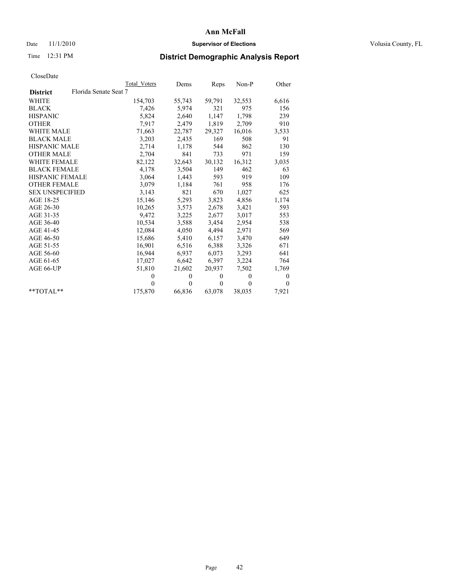## Date 11/1/2010 **Supervisor of Elections Supervisor of Elections** Volusia County, FL

# Time 12:31 PM **District Demographic Analysis Report**

|                                          | Total Voters | Dems     | Reps     | $Non-P$  | Other        |
|------------------------------------------|--------------|----------|----------|----------|--------------|
| Florida Senate Seat 7<br><b>District</b> |              |          |          |          |              |
| WHITE                                    | 154,703      | 55,743   | 59,791   | 32,553   | 6,616        |
| <b>BLACK</b>                             | 7,426        | 5,974    | 321      | 975      | 156          |
| <b>HISPANIC</b>                          | 5,824        | 2,640    | 1,147    | 1,798    | 239          |
| <b>OTHER</b>                             | 7,917        | 2,479    | 1,819    | 2,709    | 910          |
| <b>WHITE MALE</b>                        | 71,663       | 22,787   | 29,327   | 16,016   | 3,533        |
| <b>BLACK MALE</b>                        | 3,203        | 2,435    | 169      | 508      | 91           |
| <b>HISPANIC MALE</b>                     | 2,714        | 1,178    | 544      | 862      | 130          |
| <b>OTHER MALE</b>                        | 2,704        | 841      | 733      | 971      | 159          |
| WHITE FEMALE                             | 82,122       | 32,643   | 30,132   | 16,312   | 3,035        |
| <b>BLACK FEMALE</b>                      | 4,178        | 3,504    | 149      | 462      | 63           |
| HISPANIC FEMALE                          | 3,064        | 1,443    | 593      | 919      | 109          |
| <b>OTHER FEMALE</b>                      | 3,079        | 1,184    | 761      | 958      | 176          |
| <b>SEX UNSPECIFIED</b>                   | 3,143        | 821      | 670      | 1,027    | 625          |
| AGE 18-25                                | 15,146       | 5,293    | 3,823    | 4,856    | 1,174        |
| AGE 26-30                                | 10,265       | 3,573    | 2,678    | 3,421    | 593          |
| AGE 31-35                                | 9,472        | 3,225    | 2,677    | 3,017    | 553          |
| AGE 36-40                                | 10,534       | 3,588    | 3,454    | 2,954    | 538          |
| AGE 41-45                                | 12,084       | 4,050    | 4,494    | 2,971    | 569          |
| AGE 46-50                                | 15,686       | 5,410    | 6,157    | 3,470    | 649          |
| AGE 51-55                                | 16,901       | 6,516    | 6,388    | 3,326    | 671          |
| AGE 56-60                                | 16,944       | 6,937    | 6,073    | 3,293    | 641          |
| AGE 61-65                                | 17,027       | 6,642    | 6,397    | 3,224    | 764          |
| AGE 66-UP                                | 51,810       | 21,602   | 20.937   | 7,502    | 1,769        |
|                                          | $\theta$     | $\theta$ | $\theta$ | $\theta$ | $\mathbf{0}$ |
|                                          | $\theta$     | $\theta$ | $\theta$ | $\theta$ | $\theta$     |
| $*$ $TOTAI.**$                           | 175,870      | 66,836   | 63,078   | 38,035   | 7,921        |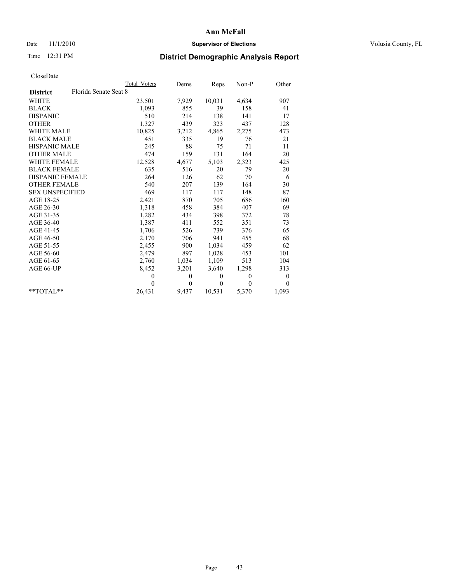## Date 11/1/2010 **Supervisor of Elections Supervisor of Elections** Volusia County, FL

# Time 12:31 PM **District Demographic Analysis Report**

|                                          | <b>Total Voters</b> | Dems         | Reps         | $Non-P$        | Other            |
|------------------------------------------|---------------------|--------------|--------------|----------------|------------------|
| Florida Senate Seat 8<br><b>District</b> |                     |              |              |                |                  |
| <b>WHITE</b>                             | 23,501              | 7,929        | 10,031       | 4,634          | 907              |
| <b>BLACK</b>                             | 1,093               | 855          | 39           | 158            | 41               |
| <b>HISPANIC</b>                          | 510                 | 214          | 138          | 141            | 17               |
| <b>OTHER</b>                             | 1,327               | 439          | 323          | 437            | 128              |
| <b>WHITE MALE</b>                        | 10,825              | 3,212        | 4,865        | 2,275          | 473              |
| <b>BLACK MALE</b>                        | 451                 | 335          | 19           | 76             | 21               |
| <b>HISPANIC MALE</b>                     | 245                 | 88           | 75           | 71             | 11               |
| <b>OTHER MALE</b>                        | 474                 | 159          | 131          | 164            | 20               |
| <b>WHITE FEMALE</b>                      | 12,528              | 4,677        | 5,103        | 2,323          | 425              |
| <b>BLACK FEMALE</b>                      | 635                 | 516          | 20           | 79             | 20               |
| HISPANIC FEMALE                          | 264                 | 126          | 62           | 70             | 6                |
| <b>OTHER FEMALE</b>                      | 540                 | 207          | 139          | 164            | 30               |
| <b>SEX UNSPECIFIED</b>                   | 469                 | 117          | 117          | 148            | 87               |
| AGE 18-25                                | 2,421               | 870          | 705          | 686            | 160              |
| AGE 26-30                                | 1,318               | 458          | 384          | 407            | 69               |
| AGE 31-35                                | 1,282               | 434          | 398          | 372            | 78               |
| AGE 36-40                                | 1,387               | 411          | 552          | 351            | 73               |
| AGE 41-45                                | 1,706               | 526          | 739          | 376            | 65               |
| AGE 46-50                                | 2,170               | 706          | 941          | 455            | 68               |
| AGE 51-55                                | 2,455               | 900          | 1,034        | 459            | 62               |
| AGE 56-60                                | 2,479               | 897          | 1,028        | 453            | 101              |
| AGE 61-65                                | 2,760               | 1,034        | 1,109        | 513            | 104              |
| AGE 66-UP                                | 8,452               | 3,201        | 3,640        | 1,298          | 313              |
|                                          | $\mathbf{0}$        | $\mathbf{0}$ | $\mathbf{0}$ | $\overline{0}$ | $\boldsymbol{0}$ |
|                                          | $\theta$            | $\theta$     | $\theta$     | $\theta$       | $\theta$         |
| $*$ TOTAL $*$                            | 26,431              | 9,437        | 10,531       | 5,370          | 1,093            |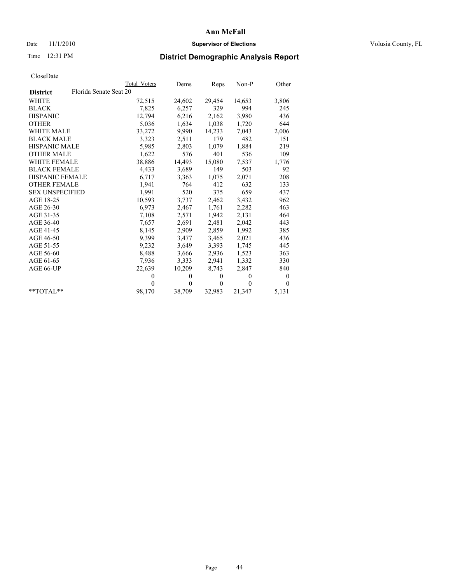## Date 11/1/2010 **Supervisor of Elections Supervisor of Elections** Volusia County, FL

# Time 12:31 PM **District Demographic Analysis Report**

|                        |                        | Total Voters | Dems           | Reps         | $Non-P$      | Other    |
|------------------------|------------------------|--------------|----------------|--------------|--------------|----------|
| <b>District</b>        | Florida Senate Seat 20 |              |                |              |              |          |
| <b>WHITE</b>           |                        | 72,515       | 24,602         | 29,454       | 14,653       | 3,806    |
| <b>BLACK</b>           |                        | 7,825        | 6,257          | 329          | 994          | 245      |
| <b>HISPANIC</b>        |                        | 12,794       | 6,216          | 2,162        | 3,980        | 436      |
| <b>OTHER</b>           |                        | 5,036        | 1,634          | 1,038        | 1,720        | 644      |
| <b>WHITE MALE</b>      |                        | 33,272       | 9,990          | 14,233       | 7,043        | 2,006    |
| <b>BLACK MALE</b>      |                        | 3,323        | 2,511          | 179          | 482          | 151      |
| <b>HISPANIC MALE</b>   |                        | 5,985        | 2,803          | 1,079        | 1,884        | 219      |
| <b>OTHER MALE</b>      |                        | 1,622        | 576            | 401          | 536          | 109      |
| <b>WHITE FEMALE</b>    |                        | 38,886       | 14,493         | 15,080       | 7,537        | 1,776    |
| <b>BLACK FEMALE</b>    |                        | 4,433        | 3,689          | 149          | 503          | 92       |
| HISPANIC FEMALE        |                        | 6,717        | 3,363          | 1,075        | 2,071        | 208      |
| <b>OTHER FEMALE</b>    |                        | 1,941        | 764            | 412          | 632          | 133      |
| <b>SEX UNSPECIFIED</b> |                        | 1,991        | 520            | 375          | 659          | 437      |
| AGE 18-25              |                        | 10,593       | 3,737          | 2,462        | 3,432        | 962      |
| AGE 26-30              |                        | 6,973        | 2,467          | 1,761        | 2,282        | 463      |
| AGE 31-35              |                        | 7,108        | 2,571          | 1,942        | 2,131        | 464      |
| AGE 36-40              |                        | 7,657        | 2,691          | 2,481        | 2,042        | 443      |
| AGE 41-45              |                        | 8,145        | 2,909          | 2,859        | 1,992        | 385      |
| AGE 46-50              |                        | 9,399        | 3,477          | 3,465        | 2,021        | 436      |
| AGE 51-55              |                        | 9,232        | 3,649          | 3,393        | 1.745        | 445      |
| AGE 56-60              |                        | 8,488        | 3,666          | 2,936        | 1,523        | 363      |
| AGE 61-65              |                        | 7,936        | 3,333          | 2,941        | 1,332        | 330      |
| AGE 66-UP              |                        | 22,639       | 10,209         | 8,743        | 2,847        | 840      |
|                        |                        | $\theta$     | $\mathbf{0}$   | $\mathbf{0}$ | $\mathbf{0}$ | $\theta$ |
|                        |                        | $\theta$     | $\overline{0}$ | $\mathbf{0}$ | $\theta$     | $\theta$ |
| $*$ $TOTAI.**$         |                        | 98,170       | 38,709         | 32,983       | 21,347       | 5,131    |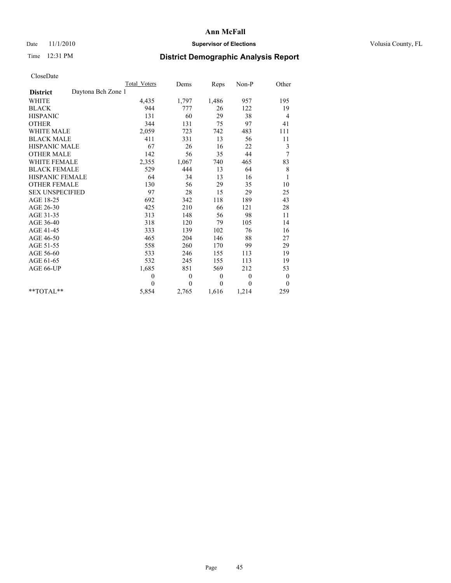## Date 11/1/2010 **Supervisor of Elections Supervisor of Elections** Volusia County, FL

# Time 12:31 PM **District Demographic Analysis Report**

|                                       | <b>Total Voters</b> | Dems         | Reps             | Non-P        | Other            |
|---------------------------------------|---------------------|--------------|------------------|--------------|------------------|
| Daytona Bch Zone 1<br><b>District</b> |                     |              |                  |              |                  |
| <b>WHITE</b>                          | 4,435               | 1,797        | 1,486            | 957          | 195              |
| <b>BLACK</b>                          | 944                 | 777          | 26               | 122          | 19               |
| <b>HISPANIC</b>                       | 131                 | 60           | 29               | 38           | 4                |
| <b>OTHER</b>                          | 344                 | 131          | 75               | 97           | 41               |
| <b>WHITE MALE</b>                     | 2,059               | 723          | 742              | 483          | 111              |
| <b>BLACK MALE</b>                     | 411                 | 331          | 13               | 56           | 11               |
| <b>HISPANIC MALE</b>                  | 67                  | 26           | 16               | 22           | 3                |
| <b>OTHER MALE</b>                     | 142                 | 56           | 35               | 44           | 7                |
| <b>WHITE FEMALE</b>                   | 2,355               | 1,067        | 740              | 465          | 83               |
| <b>BLACK FEMALE</b>                   | 529                 | 444          | 13               | 64           | 8                |
| HISPANIC FEMALE                       | 64                  | 34           | 13               | 16           | $\mathbf{1}$     |
| <b>OTHER FEMALE</b>                   | 130                 | 56           | 29               | 35           | 10               |
| <b>SEX UNSPECIFIED</b>                | 97                  | 28           | 15               | 29           | 25               |
| AGE 18-25                             | 692                 | 342          | 118              | 189          | 43               |
| AGE 26-30                             | 425                 | 210          | 66               | 121          | 28               |
| AGE 31-35                             | 313                 | 148          | 56               | 98           | 11               |
| AGE 36-40                             | 318                 | 120          | 79               | 105          | 14               |
| AGE 41-45                             | 333                 | 139          | 102              | 76           | 16               |
| AGE 46-50                             | 465                 | 204          | 146              | 88           | 27               |
| AGE 51-55                             | 558                 | 260          | 170              | 99           | 29               |
| AGE 56-60                             | 533                 | 246          | 155              | 113          | 19               |
| AGE 61-65                             | 532                 | 245          | 155              | 113          | 19               |
| AGE 66-UP                             | 1,685               | 851          | 569              | 212          | 53               |
|                                       | $\mathbf{0}$        | $\mathbf{0}$ | $\boldsymbol{0}$ | $\mathbf{0}$ | $\boldsymbol{0}$ |
|                                       | $\theta$            | $\theta$     | $\theta$         | $\theta$     | $\theta$         |
| $*$ TOTAL $*$                         | 5,854               | 2,765        | 1,616            | 1,214        | 259              |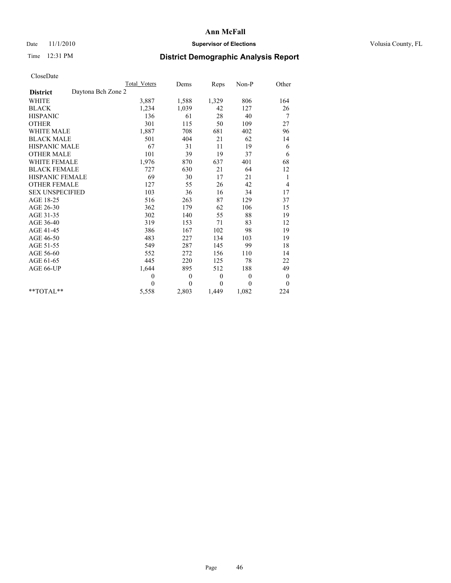## Date 11/1/2010 **Supervisor of Elections Supervisor of Elections** Volusia County, FL

# Time 12:31 PM **District Demographic Analysis Report**

|                                       | Total Voters | Dems           | Reps         | $Non-P$  | Other            |
|---------------------------------------|--------------|----------------|--------------|----------|------------------|
| Daytona Bch Zone 2<br><b>District</b> |              |                |              |          |                  |
| <b>WHITE</b>                          | 3,887        | 1,588          | 1,329        | 806      | 164              |
| <b>BLACK</b>                          | 1,234        | 1,039          | 42           | 127      | 26               |
| <b>HISPANIC</b>                       | 136          | 61             | 28           | 40       | 7                |
| <b>OTHER</b>                          | 301          | 115            | 50           | 109      | 27               |
| <b>WHITE MALE</b>                     | 1,887        | 708            | 681          | 402      | 96               |
| <b>BLACK MALE</b>                     | 501          | 404            | 21           | 62       | 14               |
| <b>HISPANIC MALE</b>                  | 67           | 31             | 11           | 19       | 6                |
| <b>OTHER MALE</b>                     | 101          | 39             | 19           | 37       | 6                |
| WHITE FEMALE                          | 1,976        | 870            | 637          | 401      | 68               |
| <b>BLACK FEMALE</b>                   | 727          | 630            | 21           | 64       | 12               |
| HISPANIC FEMALE                       | 69           | 30             | 17           | 21       | 1                |
| <b>OTHER FEMALE</b>                   | 127          | 55             | 26           | 42       | 4                |
| <b>SEX UNSPECIFIED</b>                | 103          | 36             | 16           | 34       | 17               |
| AGE 18-25                             | 516          | 263            | 87           | 129      | 37               |
| AGE 26-30                             | 362          | 179            | 62           | 106      | 15               |
| AGE 31-35                             | 302          | 140            | 55           | 88       | 19               |
| AGE 36-40                             | 319          | 153            | 71           | 83       | 12               |
| AGE 41-45                             | 386          | 167            | 102          | 98       | 19               |
| AGE 46-50                             | 483          | 227            | 134          | 103      | 19               |
| AGE 51-55                             | 549          | 287            | 145          | 99       | 18               |
| AGE 56-60                             | 552          | 272            | 156          | 110      | 14               |
| AGE 61-65                             | 445          | 220            | 125          | 78       | 22               |
| AGE 66-UP                             | 1,644        | 895            | 512          | 188      | 49               |
|                                       | $\mathbf{0}$ | $\mathbf{0}$   | $\mathbf{0}$ | $\theta$ | $\boldsymbol{0}$ |
|                                       | $\Omega$     | $\overline{0}$ | $\mathbf{0}$ | $\theta$ | $\theta$         |
| $*$ $TOTAI.**$                        | 5,558        | 2,803          | 1,449        | 1,082    | 224              |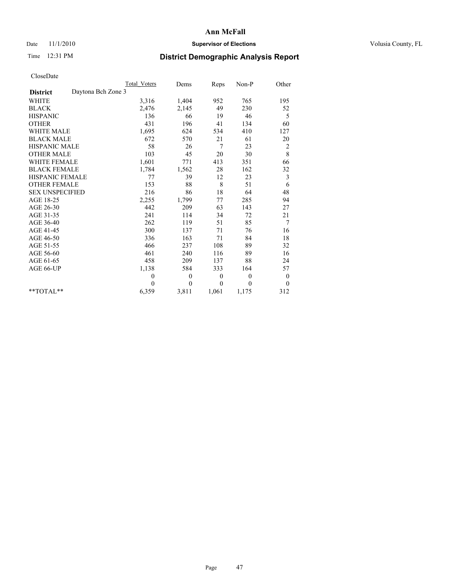## Date 11/1/2010 **Supervisor of Elections Supervisor of Elections** Volusia County, FL

# Time 12:31 PM **District Demographic Analysis Report**

|                                       | <b>Total Voters</b> | Dems         | Reps     | Non-P        | Other            |
|---------------------------------------|---------------------|--------------|----------|--------------|------------------|
| Daytona Bch Zone 3<br><b>District</b> |                     |              |          |              |                  |
| <b>WHITE</b>                          | 3,316               | 1,404        | 952      | 765          | 195              |
| <b>BLACK</b>                          | 2,476               | 2,145        | 49       | 230          | 52               |
| <b>HISPANIC</b>                       | 136                 | 66           | 19       | 46           | 5                |
| <b>OTHER</b>                          | 431                 | 196          | 41       | 134          | 60               |
| <b>WHITE MALE</b>                     | 1,695               | 624          | 534      | 410          | 127              |
| <b>BLACK MALE</b>                     | 672                 | 570          | 21       | 61           | 20               |
| <b>HISPANIC MALE</b>                  | 58                  | 26           | 7        | 23           | $\overline{c}$   |
| <b>OTHER MALE</b>                     | 103                 | 45           | 20       | 30           | 8                |
| <b>WHITE FEMALE</b>                   | 1,601               | 771          | 413      | 351          | 66               |
| <b>BLACK FEMALE</b>                   | 1,784               | 1,562        | 28       | 162          | 32               |
| HISPANIC FEMALE                       | 77                  | 39           | 12       | 23           | 3                |
| <b>OTHER FEMALE</b>                   | 153                 | 88           | 8        | 51           | 6                |
| <b>SEX UNSPECIFIED</b>                | 216                 | 86           | 18       | 64           | 48               |
| AGE 18-25                             | 2,255               | 1,799        | 77       | 285          | 94               |
| AGE 26-30                             | 442                 | 209          | 63       | 143          | 27               |
| AGE 31-35                             | 241                 | 114          | 34       | 72           | 21               |
| AGE 36-40                             | 262                 | 119          | 51       | 85           | 7                |
| AGE 41-45                             | 300                 | 137          | 71       | 76           | 16               |
| AGE 46-50                             | 336                 | 163          | 71       | 84           | $18\,$           |
| AGE 51-55                             | 466                 | 237          | 108      | 89           | 32               |
| AGE 56-60                             | 461                 | 240          | 116      | 89           | 16               |
| AGE 61-65                             | 458                 | 209          | 137      | 88           | 24               |
| AGE 66-UP                             | 1,138               | 584          | 333      | 164          | 57               |
|                                       | $\mathbf{0}$        | $\mathbf{0}$ | $\theta$ | $\mathbf{0}$ | $\boldsymbol{0}$ |
|                                       | $\theta$            | $\theta$     | $\theta$ | $\theta$     | $\mathbf{0}$     |
| $*$ TOTAL $*$                         | 6,359               | 3,811        | 1,061    | 1,175        | 312              |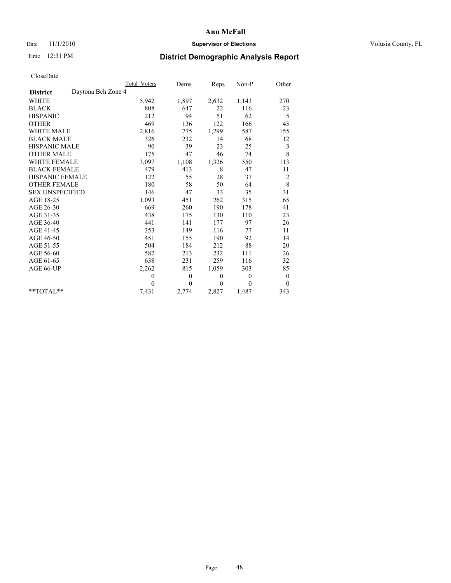## Date 11/1/2010 **Supervisor of Elections Supervisor of Elections** Volusia County, FL

# Time 12:31 PM **District Demographic Analysis Report**

|                                       | <b>Total Voters</b> | Dems         | Reps         | $Non-P$  | Other            |
|---------------------------------------|---------------------|--------------|--------------|----------|------------------|
| Daytona Bch Zone 4<br><b>District</b> |                     |              |              |          |                  |
| <b>WHITE</b>                          | 5,942               | 1,897        | 2,632        | 1,143    | 270              |
| <b>BLACK</b>                          | 808                 | 647          | 22           | 116      | 23               |
| <b>HISPANIC</b>                       | 212                 | 94           | 51           | 62       | 5                |
| <b>OTHER</b>                          | 469                 | 136          | 122          | 166      | 45               |
| <b>WHITE MALE</b>                     | 2,816               | 775          | 1,299        | 587      | 155              |
| <b>BLACK MALE</b>                     | 326                 | 232          | 14           | 68       | 12               |
| <b>HISPANIC MALE</b>                  | 90                  | 39           | 23           | 25       | 3                |
| <b>OTHER MALE</b>                     | 175                 | 47           | 46           | 74       | 8                |
| <b>WHITE FEMALE</b>                   | 3,097               | 1,108        | 1,326        | 550      | 113              |
| <b>BLACK FEMALE</b>                   | 479                 | 413          | $\,$ 8 $\,$  | 47       | 11               |
| HISPANIC FEMALE                       | 122                 | 55           | 28           | 37       | $\overline{c}$   |
| <b>OTHER FEMALE</b>                   | 180                 | 58           | 50           | 64       | $\,$ 8 $\,$      |
| <b>SEX UNSPECIFIED</b>                | 146                 | 47           | 33           | 35       | 31               |
| AGE 18-25                             | 1,093               | 451          | 262          | 315      | 65               |
| AGE 26-30                             | 669                 | 260          | 190          | 178      | 41               |
| AGE 31-35                             | 438                 | 175          | 130          | 110      | 23               |
| AGE 36-40                             | 441                 | 141          | 177          | 97       | 26               |
| AGE 41-45                             | 353                 | 149          | 116          | 77       | 11               |
| AGE 46-50                             | 451                 | 155          | 190          | 92       | 14               |
| AGE 51-55                             | 504                 | 184          | 212          | 88       | 20               |
| AGE 56-60                             | 582                 | 213          | 232          | 111      | 26               |
| AGE 61-65                             | 638                 | 231          | 259          | 116      | 32               |
| AGE 66-UP                             | 2,262               | 815          | 1,059        | 303      | 85               |
|                                       | $\mathbf{0}$        | $\mathbf{0}$ | $\mathbf{0}$ | $\theta$ | $\boldsymbol{0}$ |
|                                       | $\theta$            | $\theta$     | $\theta$     | $\theta$ | $\theta$         |
| $*$ TOTAL $*$                         | 7,431               | 2,774        | 2,827        | 1,487    | 343              |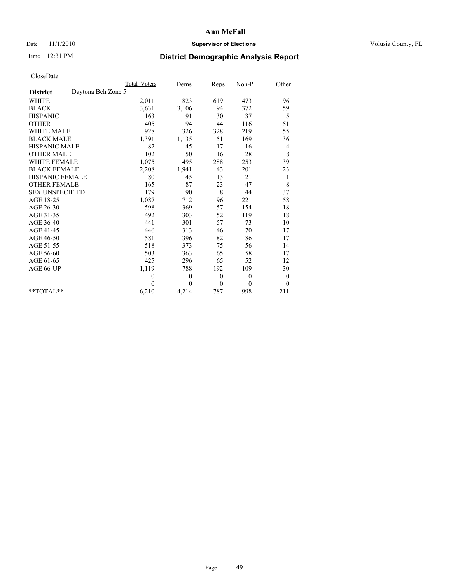## Date 11/1/2010 **Supervisor of Elections Supervisor of Elections** Volusia County, FL

# Time 12:31 PM **District Demographic Analysis Report**

|                                       | Total Voters | Dems         | Reps             | Non-P    | Other                    |
|---------------------------------------|--------------|--------------|------------------|----------|--------------------------|
| Daytona Bch Zone 5<br><b>District</b> |              |              |                  |          |                          |
| <b>WHITE</b>                          | 2,011        | 823          | 619              | 473      | 96                       |
| <b>BLACK</b>                          | 3,631        | 3,106        | 94               | 372      | 59                       |
| <b>HISPANIC</b>                       | 163          | 91           | 30               | 37       | 5                        |
| <b>OTHER</b>                          | 405          | 194          | 44               | 116      | 51                       |
| <b>WHITE MALE</b>                     | 928          | 326          | 328              | 219      | 55                       |
| <b>BLACK MALE</b>                     | 1,391        | 1,135        | 51               | 169      | 36                       |
| <b>HISPANIC MALE</b>                  | 82           | 45           | 17               | 16       | $\overline{\mathcal{A}}$ |
| <b>OTHER MALE</b>                     | 102          | 50           | 16               | 28       | 8                        |
| <b>WHITE FEMALE</b>                   | 1,075        | 495          | 288              | 253      | 39                       |
| <b>BLACK FEMALE</b>                   | 2,208        | 1,941        | 43               | 201      | 23                       |
| HISPANIC FEMALE                       | 80           | 45           | 13               | 21       | 1                        |
| <b>OTHER FEMALE</b>                   | 165          | 87           | 23               | 47       | $\,$ 8 $\,$              |
| <b>SEX UNSPECIFIED</b>                | 179          | 90           | 8                | 44       | 37                       |
| AGE 18-25                             | 1,087        | 712          | 96               | 221      | 58                       |
| AGE 26-30                             | 598          | 369          | 57               | 154      | 18                       |
| AGE 31-35                             | 492          | 303          | 52               | 119      | 18                       |
| AGE 36-40                             | 441          | 301          | 57               | 73       | 10                       |
| AGE 41-45                             | 446          | 313          | 46               | 70       | 17                       |
| AGE 46-50                             | 581          | 396          | 82               | 86       | 17                       |
| AGE 51-55                             | 518          | 373          | 75               | 56       | 14                       |
| AGE 56-60                             | 503          | 363          | 65               | 58       | 17                       |
| AGE 61-65                             | 425          | 296          | 65               | 52       | 12                       |
| AGE 66-UP                             | 1,119        | 788          | 192              | 109      | 30                       |
|                                       | $\mathbf{0}$ | $\mathbf{0}$ | $\boldsymbol{0}$ | $\theta$ | $\boldsymbol{0}$         |
|                                       | $\theta$     | $\theta$     | $\theta$         | $\theta$ | $\boldsymbol{0}$         |
| $*$ TOTAL $*$                         | 6,210        | 4,214        | 787              | 998      | 211                      |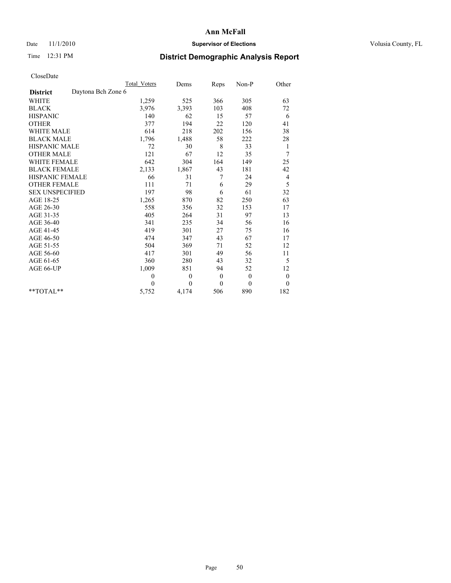## Date 11/1/2010 **Supervisor of Elections Supervisor of Elections** Volusia County, FL

# Time 12:31 PM **District Demographic Analysis Report**

|                                       | Total Voters | Dems         | Reps         | Non-P        | Other            |
|---------------------------------------|--------------|--------------|--------------|--------------|------------------|
| Daytona Bch Zone 6<br><b>District</b> |              |              |              |              |                  |
| WHITE                                 | 1,259        | 525          | 366          | 305          | 63               |
| <b>BLACK</b>                          | 3,976        | 3,393        | 103          | 408          | 72               |
| <b>HISPANIC</b>                       | 140          | 62           | 15           | 57           | 6                |
| <b>OTHER</b>                          | 377          | 194          | 22           | 120          | 41               |
| <b>WHITE MALE</b>                     | 614          | 218          | 202          | 156          | 38               |
| <b>BLACK MALE</b>                     | 1,796        | 1,488        | 58           | 222          | 28               |
| <b>HISPANIC MALE</b>                  | 72           | 30           | 8            | 33           | $\mathbf{1}$     |
| <b>OTHER MALE</b>                     | 121          | 67           | 12           | 35           | 7                |
| WHITE FEMALE                          | 642          | 304          | 164          | 149          | 25               |
| <b>BLACK FEMALE</b>                   | 2,133        | 1,867        | 43           | 181          | 42               |
| HISPANIC FEMALE                       | 66           | 31           | 7            | 24           | 4                |
| <b>OTHER FEMALE</b>                   | 111          | 71           | 6            | 29           | 5                |
| <b>SEX UNSPECIFIED</b>                | 197          | 98           | 6            | 61           | 32               |
| AGE 18-25                             | 1,265        | 870          | 82           | 250          | 63               |
| AGE 26-30                             | 558          | 356          | 32           | 153          | 17               |
| AGE 31-35                             | 405          | 264          | 31           | 97           | 13               |
| AGE 36-40                             | 341          | 235          | 34           | 56           | 16               |
| AGE 41-45                             | 419          | 301          | 27           | 75           | 16               |
| AGE 46-50                             | 474          | 347          | 43           | 67           | 17               |
| AGE 51-55                             | 504          | 369          | 71           | 52           | 12               |
| AGE 56-60                             | 417          | 301          | 49           | 56           | 11               |
| AGE 61-65                             | 360          | 280          | 43           | 32           | 5                |
| AGE 66-UP                             | 1,009        | 851          | 94           | 52           | 12               |
|                                       | $\theta$     | $\mathbf{0}$ | $\mathbf{0}$ | $\mathbf{0}$ | $\boldsymbol{0}$ |
|                                       | $\theta$     | $\theta$     | $\theta$     | $\theta$     | $\theta$         |
| $*$ TOTAL $*$                         | 5,752        | 4,174        | 506          | 890          | 182              |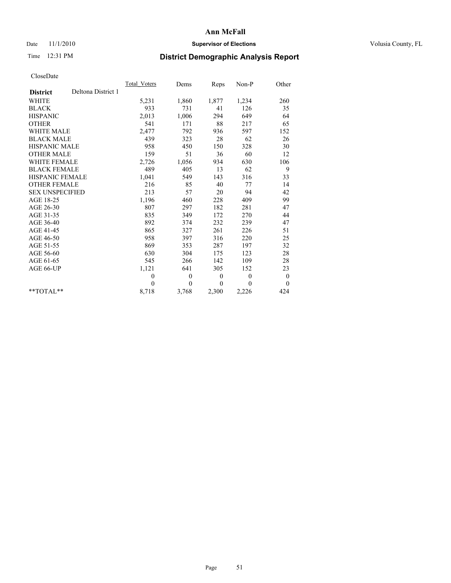## Date 11/1/2010 **Supervisor of Elections Supervisor of Elections** Volusia County, FL

# Time 12:31 PM **District Demographic Analysis Report**

|                                       | Total Voters | Dems     | Reps             | Non-P        | Other            |
|---------------------------------------|--------------|----------|------------------|--------------|------------------|
| Deltona District 1<br><b>District</b> |              |          |                  |              |                  |
| <b>WHITE</b>                          | 5,231        | 1,860    | 1,877            | 1,234        | 260              |
| <b>BLACK</b>                          | 933          | 731      | 41               | 126          | 35               |
| <b>HISPANIC</b>                       | 2,013        | 1,006    | 294              | 649          | 64               |
| <b>OTHER</b>                          | 541          | 171      | 88               | 217          | 65               |
| <b>WHITE MALE</b>                     | 2,477        | 792      | 936              | 597          | 152              |
| <b>BLACK MALE</b>                     | 439          | 323      | 28               | 62           | 26               |
| <b>HISPANIC MALE</b>                  | 958          | 450      | 150              | 328          | 30               |
| <b>OTHER MALE</b>                     | 159          | 51       | 36               | 60           | 12               |
| <b>WHITE FEMALE</b>                   | 2,726        | 1,056    | 934              | 630          | 106              |
| <b>BLACK FEMALE</b>                   | 489          | 405      | 13               | 62           | 9                |
| HISPANIC FEMALE                       | 1,041        | 549      | 143              | 316          | 33               |
| <b>OTHER FEMALE</b>                   | 216          | 85       | 40               | 77           | 14               |
| <b>SEX UNSPECIFIED</b>                | 213          | 57       | 20               | 94           | 42               |
| AGE 18-25                             | 1,196        | 460      | 228              | 409          | 99               |
| AGE 26-30                             | 807          | 297      | 182              | 281          | 47               |
| AGE 31-35                             | 835          | 349      | 172              | 270          | 44               |
| AGE 36-40                             | 892          | 374      | 232              | 239          | 47               |
| AGE 41-45                             | 865          | 327      | 261              | 226          | 51               |
| AGE 46-50                             | 958          | 397      | 316              | 220          | 25               |
| AGE 51-55                             | 869          | 353      | 287              | 197          | 32               |
| AGE 56-60                             | 630          | 304      | 175              | 123          | 28               |
| AGE 61-65                             | 545          | 266      | 142              | 109          | 28               |
| AGE 66-UP                             | 1,121        | 641      | 305              | 152          | 23               |
|                                       | $\theta$     | $\theta$ | $\boldsymbol{0}$ | $\mathbf{0}$ | $\boldsymbol{0}$ |
|                                       | $\Omega$     | $\theta$ | $\mathbf{0}$     | $\theta$     | $\overline{0}$   |
| $*$ $TOTAI.**$                        | 8,718        | 3,768    | 2,300            | 2,226        | 424              |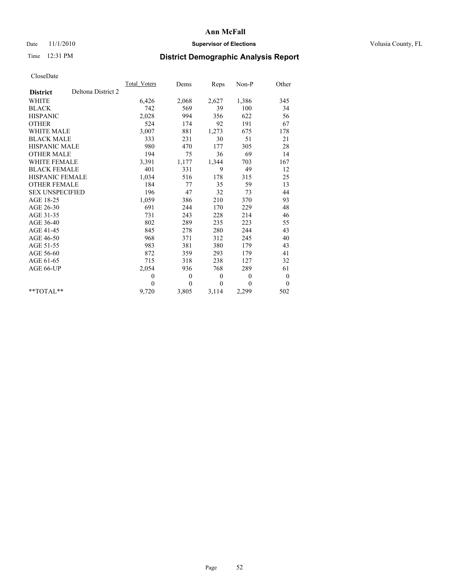## Date 11/1/2010 **Supervisor of Elections Supervisor of Elections** Volusia County, FL

# Time 12:31 PM **District Demographic Analysis Report**

|                                       | Total Voters | Dems         | Reps         | Non-P        | Other            |
|---------------------------------------|--------------|--------------|--------------|--------------|------------------|
| Deltona District 2<br><b>District</b> |              |              |              |              |                  |
| <b>WHITE</b>                          | 6,426        | 2,068        | 2,627        | 1,386        | 345              |
| <b>BLACK</b>                          | 742          | 569          | 39           | 100          | 34               |
| <b>HISPANIC</b>                       | 2,028        | 994          | 356          | 622          | 56               |
| <b>OTHER</b>                          | 524          | 174          | 92           | 191          | 67               |
| <b>WHITE MALE</b>                     | 3,007        | 881          | 1,273        | 675          | 178              |
| <b>BLACK MALE</b>                     | 333          | 231          | 30           | 51           | 21               |
| <b>HISPANIC MALE</b>                  | 980          | 470          | 177          | 305          | 28               |
| <b>OTHER MALE</b>                     | 194          | 75           | 36           | 69           | 14               |
| <b>WHITE FEMALE</b>                   | 3,391        | 1,177        | 1,344        | 703          | 167              |
| <b>BLACK FEMALE</b>                   | 401          | 331          | 9            | 49           | 12               |
| HISPANIC FEMALE                       | 1,034        | 516          | 178          | 315          | 25               |
| <b>OTHER FEMALE</b>                   | 184          | 77           | 35           | 59           | 13               |
| <b>SEX UNSPECIFIED</b>                | 196          | 47           | 32           | 73           | 44               |
| AGE 18-25                             | 1,059        | 386          | 210          | 370          | 93               |
| AGE 26-30                             | 691          | 244          | 170          | 229          | 48               |
| AGE 31-35                             | 731          | 243          | 228          | 214          | 46               |
| AGE 36-40                             | 802          | 289          | 235          | 223          | 55               |
| AGE 41-45                             | 845          | 278          | 280          | 244          | 43               |
| AGE 46-50                             | 968          | 371          | 312          | 245          | 40               |
| AGE 51-55                             | 983          | 381          | 380          | 179          | 43               |
| AGE 56-60                             | 872          | 359          | 293          | 179          | 41               |
| AGE 61-65                             | 715          | 318          | 238          | 127          | 32               |
| AGE 66-UP                             | 2,054        | 936          | 768          | 289          | 61               |
|                                       | $\mathbf{0}$ | $\mathbf{0}$ | $\mathbf{0}$ | $\mathbf{0}$ | $\boldsymbol{0}$ |
|                                       | $\theta$     | $\theta$     | $\theta$     | $\theta$     | $\mathbf{0}$     |
| $*$ $TOTAI.**$                        | 9,720        | 3,805        | 3,114        | 2,299        | 502              |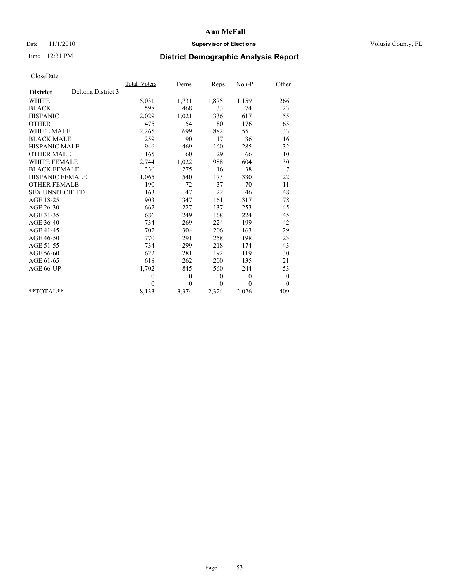## Date 11/1/2010 **Supervisor of Elections Supervisor of Elections** Volusia County, FL

# Time 12:31 PM **District Demographic Analysis Report**

|                        |                    | Total Voters | Dems         | Reps         | Non-P        | Other            |
|------------------------|--------------------|--------------|--------------|--------------|--------------|------------------|
| <b>District</b>        | Deltona District 3 |              |              |              |              |                  |
| <b>WHITE</b>           |                    | 5,031        | 1,731        | 1,875        | 1,159        | 266              |
| <b>BLACK</b>           |                    | 598          | 468          | 33           | 74           | 23               |
| <b>HISPANIC</b>        |                    | 2,029        | 1,021        | 336          | 617          | 55               |
| <b>OTHER</b>           |                    | 475          | 154          | 80           | 176          | 65               |
| <b>WHITE MALE</b>      |                    | 2,265        | 699          | 882          | 551          | 133              |
| <b>BLACK MALE</b>      |                    | 259          | 190          | 17           | 36           | 16               |
| <b>HISPANIC MALE</b>   |                    | 946          | 469          | 160          | 285          | 32               |
| <b>OTHER MALE</b>      |                    | 165          | 60           | 29           | 66           | 10               |
| <b>WHITE FEMALE</b>    |                    | 2,744        | 1,022        | 988          | 604          | 130              |
| <b>BLACK FEMALE</b>    |                    | 336          | 275          | 16           | 38           | 7                |
| HISPANIC FEMALE        |                    | 1,065        | 540          | 173          | 330          | 22               |
| <b>OTHER FEMALE</b>    |                    | 190          | 72           | 37           | 70           | 11               |
| <b>SEX UNSPECIFIED</b> |                    | 163          | 47           | 22           | 46           | 48               |
| AGE 18-25              |                    | 903          | 347          | 161          | 317          | 78               |
| AGE 26-30              |                    | 662          | 227          | 137          | 253          | 45               |
| AGE 31-35              |                    | 686          | 249          | 168          | 224          | 45               |
| AGE 36-40              |                    | 734          | 269          | 224          | 199          | 42               |
| AGE 41-45              |                    | 702          | 304          | 206          | 163          | 29               |
| AGE 46-50              |                    | 770          | 291          | 258          | 198          | 23               |
| AGE 51-55              |                    | 734          | 299          | 218          | 174          | 43               |
| AGE 56-60              |                    | 622          | 281          | 192          | 119          | 30               |
| AGE 61-65              |                    | 618          | 262          | 200          | 135          | 21               |
| AGE 66-UP              |                    | 1,702        | 845          | 560          | 244          | 53               |
|                        |                    | $\theta$     | $\theta$     | $\mathbf{0}$ | $\mathbf{0}$ | $\boldsymbol{0}$ |
|                        |                    | $\Omega$     | $\mathbf{0}$ | $\theta$     | 0            | $\overline{0}$   |
| $*$ $TOTAI.**$         |                    | 8,133        | 3,374        | 2,324        | 2,026        | 409              |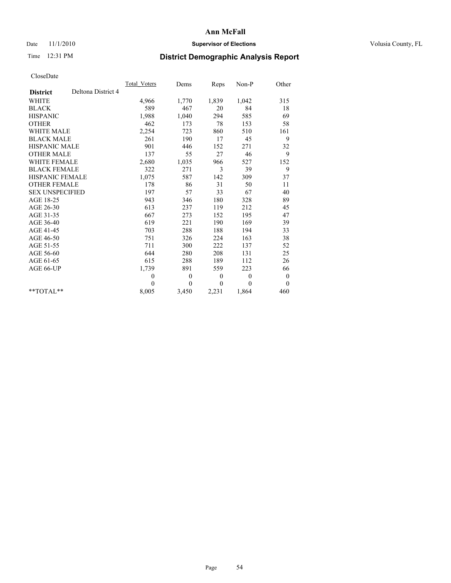## Date 11/1/2010 **Supervisor of Elections Supervisor of Elections** Volusia County, FL

# Time 12:31 PM **District Demographic Analysis Report**

|                                       | Total Voters | Dems         | Reps         | Non-P        | Other            |  |
|---------------------------------------|--------------|--------------|--------------|--------------|------------------|--|
| Deltona District 4<br><b>District</b> |              |              |              |              |                  |  |
| <b>WHITE</b>                          | 4,966        | 1,770        | 1,839        | 1,042        | 315              |  |
| <b>BLACK</b>                          | 589          | 467          | 20           | 84           | 18               |  |
| <b>HISPANIC</b>                       | 1,988        | 1,040        | 294          | 585          | 69               |  |
| <b>OTHER</b>                          | 462          | 173          | 78           | 153          | 58               |  |
| <b>WHITE MALE</b>                     | 2,254        | 723          | 860          | 510          | 161              |  |
| <b>BLACK MALE</b>                     | 261          | 190          | 17           | 45           | 9                |  |
| <b>HISPANIC MALE</b>                  | 901          | 446          | 152          | 271          | 32               |  |
| <b>OTHER MALE</b>                     | 137          | 55           | 27           | 46           | 9                |  |
| <b>WHITE FEMALE</b>                   | 2,680        | 1,035        | 966          | 527          | 152              |  |
| <b>BLACK FEMALE</b>                   | 322          | 271          | 3            | 39           | 9                |  |
| HISPANIC FEMALE                       | 1,075        | 587          | 142          | 309          | 37               |  |
| <b>OTHER FEMALE</b>                   | 178          | 86           | 31           | 50           | 11               |  |
| <b>SEX UNSPECIFIED</b>                | 197          | 57           | 33           | 67           | 40               |  |
| AGE 18-25                             | 943          | 346          | 180          | 328          | 89               |  |
| AGE 26-30                             | 613          | 237          | 119          | 212          | 45               |  |
| AGE 31-35                             | 667          | 273          | 152          | 195          | 47               |  |
| AGE 36-40                             | 619          | 221          | 190          | 169          | 39               |  |
| AGE 41-45                             | 703          | 288          | 188          | 194          | 33               |  |
| AGE 46-50                             | 751          | 326          | 224          | 163          | 38               |  |
| AGE 51-55                             | 711          | 300          | 222          | 137          | 52               |  |
| AGE 56-60                             | 644          | 280          | 208          | 131          | 25               |  |
| AGE 61-65                             | 615          | 288          | 189          | 112          | 26               |  |
| AGE 66-UP                             | 1,739        | 891          | 559          | 223          | 66               |  |
|                                       | $\mathbf{0}$ | $\mathbf{0}$ | $\mathbf{0}$ | $\mathbf{0}$ | $\boldsymbol{0}$ |  |
|                                       | $\theta$     | $\theta$     | $\theta$     | $\theta$     | $\theta$         |  |
| $*$ TOTAL $*$                         | 8,005        | 3,450        | 2,231        | 1,864        | 460              |  |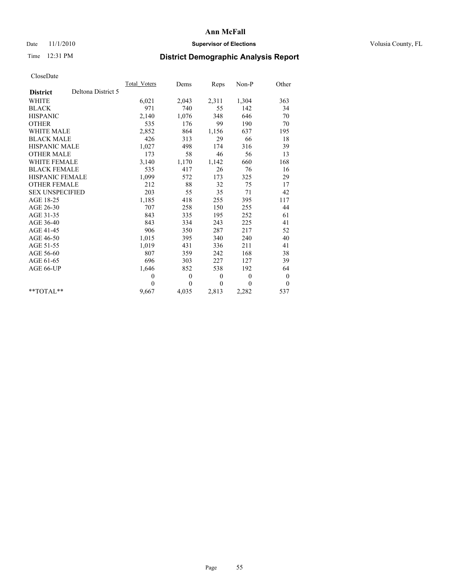## Date 11/1/2010 **Supervisor of Elections Supervisor of Elections** Volusia County, FL

# Time 12:31 PM **District Demographic Analysis Report**

|                                       | Total Voters | Dems     | <b>Reps</b>  | Non-P        | Other        |  |
|---------------------------------------|--------------|----------|--------------|--------------|--------------|--|
| Deltona District 5<br><b>District</b> |              |          |              |              |              |  |
| WHITE                                 | 6,021        | 2,043    | 2,311        | 1,304        | 363          |  |
| <b>BLACK</b>                          | 971          | 740      | 55           | 142          | 34           |  |
| <b>HISPANIC</b>                       | 2,140        | 1,076    | 348          | 646          | 70           |  |
| <b>OTHER</b>                          | 535          | 176      | 99           | 190          | 70           |  |
| <b>WHITE MALE</b>                     | 2,852        | 864      | 1,156        | 637          | 195          |  |
| <b>BLACK MALE</b>                     | 426          | 313      | 29           | 66           | 18           |  |
| <b>HISPANIC MALE</b>                  | 1,027        | 498      | 174          | 316          | 39           |  |
| <b>OTHER MALE</b>                     | 173          | 58       | 46           | 56           | 13           |  |
| WHITE FEMALE                          | 3,140        | 1,170    | 1,142        | 660          | 168          |  |
| <b>BLACK FEMALE</b>                   | 535          | 417      | 26           | 76           | 16           |  |
| HISPANIC FEMALE                       | 1,099        | 572      | 173          | 325          | 29           |  |
| <b>OTHER FEMALE</b>                   | 212          | 88       | 32           | 75           | 17           |  |
| <b>SEX UNSPECIFIED</b>                | 203          | 55       | 35           | 71           | 42           |  |
| AGE 18-25                             | 1,185        | 418      | 255          | 395          | 117          |  |
| AGE 26-30                             | 707          | 258      | 150          | 255          | 44           |  |
| AGE 31-35                             | 843          | 335      | 195          | 252          | 61           |  |
| AGE 36-40                             | 843          | 334      | 243          | 225          | 41           |  |
| AGE 41-45                             | 906          | 350      | 287          | 217          | 52           |  |
| AGE 46-50                             | 1,015        | 395      | 340          | 240          | 40           |  |
| AGE 51-55                             | 1,019        | 431      | 336          | 211          | 41           |  |
| AGE 56-60                             | 807          | 359      | 242          | 168          | 38           |  |
| AGE 61-65                             | 696          | 303      | 227          | 127          | 39           |  |
| AGE 66-UP                             | 1,646        | 852      | 538          | 192          | 64           |  |
|                                       | $\theta$     | $\theta$ | $\mathbf{0}$ | $\mathbf{0}$ | $\mathbf{0}$ |  |
|                                       | $\Omega$     | $\theta$ | $\Omega$     | $\theta$     | $\theta$     |  |
| $*$ $TOTAI.**$                        | 9,667        | 4,035    | 2,813        | 2,282        | 537          |  |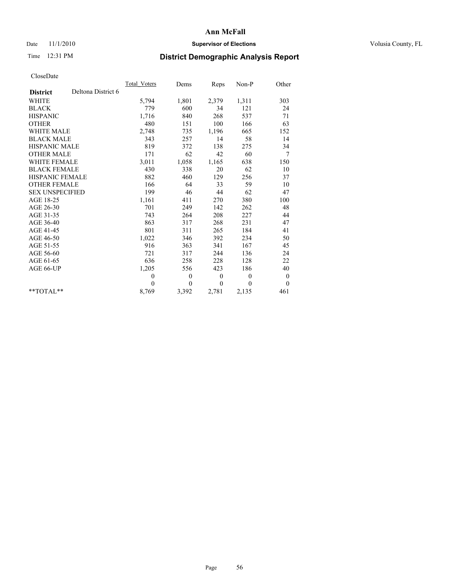## Date 11/1/2010 **Supervisor of Elections Supervisor of Elections** Volusia County, FL

# Time 12:31 PM **District Demographic Analysis Report**

|                                       | Total Voters | Dems           | Reps             | Non-P        | Other            |
|---------------------------------------|--------------|----------------|------------------|--------------|------------------|
| Deltona District 6<br><b>District</b> |              |                |                  |              |                  |
| <b>WHITE</b>                          | 5,794        | 1,801          | 2,379            | 1,311        | 303              |
| <b>BLACK</b>                          | 779          | 600            | 34               | 121          | 24               |
| <b>HISPANIC</b>                       | 1,716        | 840            | 268              | 537          | 71               |
| <b>OTHER</b>                          | 480          | 151            | 100              | 166          | 63               |
| <b>WHITE MALE</b>                     | 2,748        | 735            | 1,196            | 665          | 152              |
| <b>BLACK MALE</b>                     | 343          | 257            | 14               | 58           | 14               |
| <b>HISPANIC MALE</b>                  | 819          | 372            | 138              | 275          | 34               |
| <b>OTHER MALE</b>                     | 171          | 62             | 42               | 60           | 7                |
| <b>WHITE FEMALE</b>                   | 3,011        | 1,058          | 1,165            | 638          | 150              |
| <b>BLACK FEMALE</b>                   | 430          | 338            | 20               | 62           | 10               |
| HISPANIC FEMALE                       | 882          | 460            | 129              | 256          | 37               |
| <b>OTHER FEMALE</b>                   | 166          | 64             | 33               | 59           | 10               |
| <b>SEX UNSPECIFIED</b>                | 199          | 46             | 44               | 62           | 47               |
| AGE 18-25                             | 1,161        | 411            | 270              | 380          | 100              |
| AGE 26-30                             | 701          | 249            | 142              | 262          | 48               |
| AGE 31-35                             | 743          | 264            | 208              | 227          | 44               |
| AGE 36-40                             | 863          | 317            | 268              | 231          | 47               |
| AGE 41-45                             | 801          | 311            | 265              | 184          | 41               |
| AGE 46-50                             | 1,022        | 346            | 392              | 234          | 50               |
| AGE 51-55                             | 916          | 363            | 341              | 167          | 45               |
| AGE 56-60                             | 721          | 317            | 244              | 136          | 24               |
| AGE 61-65                             | 636          | 258            | 228              | 128          | 22               |
| AGE 66-UP                             | 1,205        | 556            | 423              | 186          | 40               |
|                                       | $\mathbf{0}$ | $\overline{0}$ | $\boldsymbol{0}$ | $\mathbf{0}$ | $\boldsymbol{0}$ |
|                                       | $\theta$     | $\theta$       | $\Omega$         | $\theta$     | $\theta$         |
| $**TOTAI.**$                          | 8,769        | 3,392          | 2,781            | 2,135        | 461              |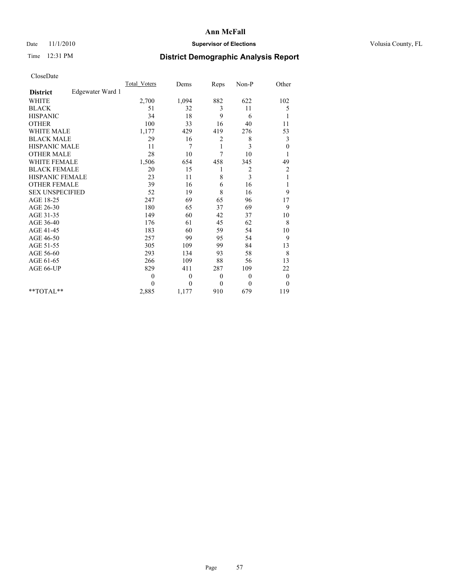## Date 11/1/2010 **Supervisor of Elections Supervisor of Elections** Volusia County, FL

# Time 12:31 PM **District Demographic Analysis Report**

|                                     | <b>Total Voters</b> | Dems             | Reps         | Non-P          | Other            |
|-------------------------------------|---------------------|------------------|--------------|----------------|------------------|
| Edgewater Ward 1<br><b>District</b> |                     |                  |              |                |                  |
| <b>WHITE</b>                        | 2,700               | 1,094            | 882          | 622            | 102              |
| <b>BLACK</b>                        | 51                  | 32               | 3            | 11             | 5                |
| <b>HISPANIC</b>                     | 34                  | 18               | 9            | 6              | 1                |
| <b>OTHER</b>                        | 100                 | 33               | 16           | 40             | 11               |
| <b>WHITE MALE</b>                   | 1,177               | 429              | 419          | 276            | 53               |
| <b>BLACK MALE</b>                   | 29                  | 16               | 2            | 8              | 3                |
| <b>HISPANIC MALE</b>                | 11                  | 7                | 1            | 3              | $\boldsymbol{0}$ |
| <b>OTHER MALE</b>                   | 28                  | 10               | 7            | 10             |                  |
| <b>WHITE FEMALE</b>                 | 1,506               | 654              | 458          | 345            | 49               |
| <b>BLACK FEMALE</b>                 | 20                  | 15               | 1            | $\overline{c}$ | $\overline{c}$   |
| HISPANIC FEMALE                     | 23                  | 11               | 8            | 3              | 1                |
| <b>OTHER FEMALE</b>                 | 39                  | 16               | 6            | 16             | 1                |
| <b>SEX UNSPECIFIED</b>              | 52                  | 19               | 8            | 16             | 9                |
| AGE 18-25                           | 247                 | 69               | 65           | 96             | 17               |
| AGE 26-30                           | 180                 | 65               | 37           | 69             | 9                |
| AGE 31-35                           | 149                 | 60               | 42           | 37             | 10               |
| AGE 36-40                           | 176                 | 61               | 45           | 62             | 8                |
| AGE 41-45                           | 183                 | 60               | 59           | 54             | 10               |
| AGE 46-50                           | 257                 | 99               | 95           | 54             | 9                |
| AGE 51-55                           | 305                 | 109              | 99           | 84             | 13               |
| AGE 56-60                           | 293                 | 134              | 93           | 58             | 8                |
| AGE 61-65                           | 266                 | 109              | 88           | 56             | 13               |
| AGE 66-UP                           | 829                 | 411              | 287          | 109            | 22               |
|                                     | $\mathbf{0}$        | $\boldsymbol{0}$ | $\mathbf{0}$ | $\theta$       | $\boldsymbol{0}$ |
|                                     | $\Omega$            | $\theta$         | $\mathbf{0}$ | $\mathbf{0}$   | $\mathbf{0}$     |
| **TOTAL**                           | 2,885               | 1,177            | 910          | 679            | 119              |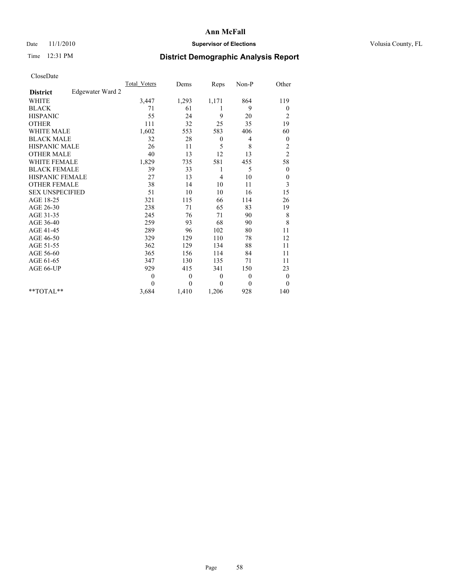## Date 11/1/2010 **Supervisor of Elections Supervisor of Elections** Volusia County, FL

# Time 12:31 PM **District Demographic Analysis Report**

|                                     | <b>Total Voters</b> | Dems         | Reps         | Non-P    | Other            |
|-------------------------------------|---------------------|--------------|--------------|----------|------------------|
| Edgewater Ward 2<br><b>District</b> |                     |              |              |          |                  |
| <b>WHITE</b>                        | 3,447               | 1,293        | 1,171        | 864      | 119              |
| <b>BLACK</b>                        | 71                  | 61           | 1            | 9        | $\boldsymbol{0}$ |
| <b>HISPANIC</b>                     | 55                  | 24           | 9            | 20       | $\overline{c}$   |
| <b>OTHER</b>                        | 111                 | 32           | 25           | 35       | 19               |
| <b>WHITE MALE</b>                   | 1,602               | 553          | 583          | 406      | 60               |
| <b>BLACK MALE</b>                   | 32                  | 28           | $\mathbf{0}$ | 4        | $\mathbf{0}$     |
| <b>HISPANIC MALE</b>                | 26                  | 11           | 5            | 8        | $\overline{c}$   |
| <b>OTHER MALE</b>                   | 40                  | 13           | 12           | 13       | $\overline{c}$   |
| <b>WHITE FEMALE</b>                 | 1,829               | 735          | 581          | 455      | 58               |
| <b>BLACK FEMALE</b>                 | 39                  | 33           | 1            | 5        | $\boldsymbol{0}$ |
| HISPANIC FEMALE                     | 27                  | 13           | 4            | 10       | $\boldsymbol{0}$ |
| <b>OTHER FEMALE</b>                 | 38                  | 14           | 10           | 11       | 3                |
| <b>SEX UNSPECIFIED</b>              | 51                  | 10           | 10           | 16       | 15               |
| AGE 18-25                           | 321                 | 115          | 66           | 114      | 26               |
| AGE 26-30                           | 238                 | 71           | 65           | 83       | 19               |
| AGE 31-35                           | 245                 | 76           | 71           | 90       | $\,$ 8 $\,$      |
| AGE 36-40                           | 259                 | 93           | 68           | 90       | 8                |
| AGE 41-45                           | 289                 | 96           | 102          | 80       | 11               |
| AGE 46-50                           | 329                 | 129          | 110          | 78       | 12               |
| AGE 51-55                           | 362                 | 129          | 134          | 88       | 11               |
| AGE 56-60                           | 365                 | 156          | 114          | 84       | 11               |
| AGE 61-65                           | 347                 | 130          | 135          | 71       | 11               |
| AGE 66-UP                           | 929                 | 415          | 341          | 150      | 23               |
|                                     | $\overline{0}$      | $\mathbf{0}$ | $\theta$     | $\theta$ | $\boldsymbol{0}$ |
|                                     | $\theta$            | $\theta$     | $\Omega$     | $\theta$ | $\mathbf{0}$     |
| $*$ $TOTAI.**$                      | 3,684               | 1,410        | 1,206        | 928      | 140              |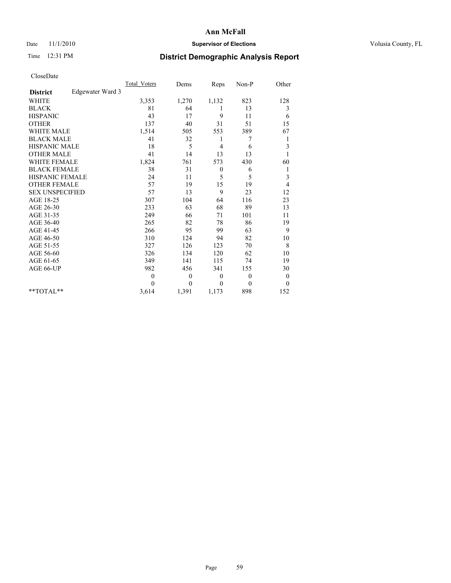## Date 11/1/2010 **Supervisor of Elections Supervisor of Elections** Volusia County, FL

# Time 12:31 PM **District Demographic Analysis Report**

|                                     | <b>Total Voters</b> | Dems         | Reps         | Non-P        | Other        |
|-------------------------------------|---------------------|--------------|--------------|--------------|--------------|
| Edgewater Ward 3<br><b>District</b> |                     |              |              |              |              |
| <b>WHITE</b>                        | 3,353               | 1,270        | 1,132        | 823          | 128          |
| <b>BLACK</b>                        | 81                  | 64           | 1            | 13           | 3            |
| <b>HISPANIC</b>                     | 43                  | 17           | 9            | 11           | 6            |
| <b>OTHER</b>                        | 137                 | 40           | 31           | 51           | 15           |
| <b>WHITE MALE</b>                   | 1,514               | 505          | 553          | 389          | 67           |
| <b>BLACK MALE</b>                   | 41                  | 32           | 1            | 7            | 1            |
| HISPANIC MALE                       | 18                  | 5            | 4            | 6            | 3            |
| <b>OTHER MALE</b>                   | 41                  | 14           | 13           | 13           |              |
| <b>WHITE FEMALE</b>                 | 1,824               | 761          | 573          | 430          | 60           |
| <b>BLACK FEMALE</b>                 | 38                  | 31           | $\theta$     | 6            | 1            |
| HISPANIC FEMALE                     | 24                  | 11           | 5            | 5            | 3            |
| <b>OTHER FEMALE</b>                 | 57                  | 19           | 15           | 19           | 4            |
| <b>SEX UNSPECIFIED</b>              | 57                  | 13           | 9            | 23           | 12           |
| AGE 18-25                           | 307                 | 104          | 64           | 116          | 23           |
| AGE 26-30                           | 233                 | 63           | 68           | 89           | 13           |
| AGE 31-35                           | 249                 | 66           | 71           | 101          | 11           |
| AGE 36-40                           | 265                 | 82           | 78           | 86           | 19           |
| AGE 41-45                           | 266                 | 95           | 99           | 63           | 9            |
| AGE 46-50                           | 310                 | 124          | 94           | 82           | 10           |
| AGE 51-55                           | 327                 | 126          | 123          | 70           | 8            |
| AGE 56-60                           | 326                 | 134          | 120          | 62           | 10           |
| AGE 61-65                           | 349                 | 141          | 115          | 74           | 19           |
| AGE 66-UP                           | 982                 | 456          | 341          | 155          | 30           |
|                                     | $\overline{0}$      | $\theta$     | $\mathbf{0}$ | $\theta$     | $\mathbf{0}$ |
|                                     | $\theta$            | $\mathbf{0}$ | $\theta$     | $\mathbf{0}$ | $\mathbf{0}$ |
| $*$ $TOTAI.**$                      | 3,614               | 1,391        | 1,173        | 898          | 152          |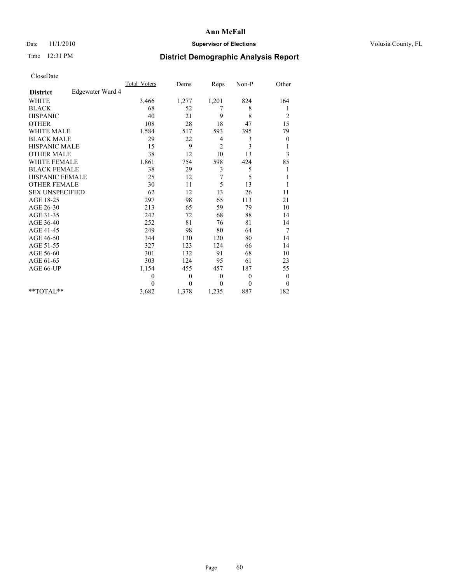## Date 11/1/2010 **Supervisor of Elections Supervisor of Elections** Volusia County, FL

# Time 12:31 PM **District Demographic Analysis Report**

|                                     | <b>Total Voters</b> | Dems         | Reps           | Non-P    | Other          |
|-------------------------------------|---------------------|--------------|----------------|----------|----------------|
| Edgewater Ward 4<br><b>District</b> |                     |              |                |          |                |
| <b>WHITE</b>                        | 3,466               | 1,277        | 1,201          | 824      | 164            |
| <b>BLACK</b>                        | 68                  | 52           | 7              | 8        | 1              |
| <b>HISPANIC</b>                     | 40                  | 21           | 9              | 8        | $\overline{c}$ |
| <b>OTHER</b>                        | 108                 | 28           | 18             | 47       | 15             |
| <b>WHITE MALE</b>                   | 1,584               | 517          | 593            | 395      | 79             |
| <b>BLACK MALE</b>                   | 29                  | 22           | 4              | 3        | $\theta$       |
| <b>HISPANIC MALE</b>                | 15                  | 9            | $\overline{2}$ | 3        | 1              |
| <b>OTHER MALE</b>                   | 38                  | 12           | 10             | 13       | 3              |
| <b>WHITE FEMALE</b>                 | 1,861               | 754          | 598            | 424      | 85             |
| <b>BLACK FEMALE</b>                 | 38                  | 29           | 3              | 5        | 1              |
| HISPANIC FEMALE                     | 25                  | 12           | 7              | 5        |                |
| <b>OTHER FEMALE</b>                 | 30                  | 11           | 5              | 13       |                |
| <b>SEX UNSPECIFIED</b>              | 62                  | 12           | 13             | 26       | 11             |
| AGE 18-25                           | 297                 | 98           | 65             | 113      | 21             |
| AGE 26-30                           | 213                 | 65           | 59             | 79       | 10             |
| AGE 31-35                           | 242                 | 72           | 68             | 88       | 14             |
| AGE 36-40                           | 252                 | 81           | 76             | 81       | 14             |
| AGE 41-45                           | 249                 | 98           | 80             | 64       | 7              |
| AGE 46-50                           | 344                 | 130          | 120            | 80       | 14             |
| AGE 51-55                           | 327                 | 123          | 124            | 66       | 14             |
| AGE 56-60                           | 301                 | 132          | 91             | 68       | 10             |
| AGE 61-65                           | 303                 | 124          | 95             | 61       | 23             |
| AGE 66-UP                           | 1,154               | 455          | 457            | 187      | 55             |
|                                     | $\theta$            | $\mathbf{0}$ | $\theta$       | $\theta$ | $\bf{0}$       |
|                                     | $\theta$            | $\theta$     | $\theta$       | $\theta$ | $\theta$       |
| $*$ $TOTAI.**$                      | 3,682               | 1,378        | 1,235          | 887      | 182            |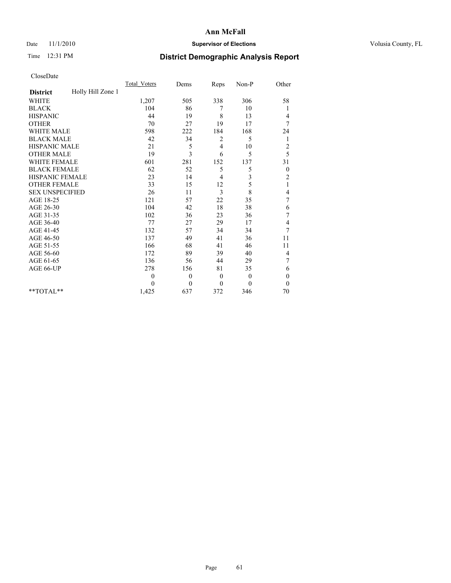## Date 11/1/2010 **Supervisor of Elections Supervisor of Elections** Volusia County, FL

# Time 12:31 PM **District Demographic Analysis Report**

|                                      | <b>Total Voters</b> | Dems             | Reps           | $Non-P$      | Other            |
|--------------------------------------|---------------------|------------------|----------------|--------------|------------------|
| Holly Hill Zone 1<br><b>District</b> |                     |                  |                |              |                  |
| <b>WHITE</b>                         | 1,207               | 505              | 338            | 306          | 58               |
| <b>BLACK</b>                         | 104                 | 86               | 7              | 10           | 1                |
| <b>HISPANIC</b>                      | 44                  | 19               | 8              | 13           | 4                |
| <b>OTHER</b>                         | 70                  | 27               | 19             | 17           | 7                |
| <b>WHITE MALE</b>                    | 598                 | 222              | 184            | 168          | 24               |
| <b>BLACK MALE</b>                    | 42                  | 34               | 2              | 5            | 1                |
| HISPANIC MALE                        | 21                  | 5                | 4              | 10           | $\overline{c}$   |
| <b>OTHER MALE</b>                    | 19                  | 3                | 6              | 5            | 5                |
| WHITE FEMALE                         | 601                 | 281              | 152            | 137          | 31               |
| <b>BLACK FEMALE</b>                  | 62                  | 52               | 5              | 5            | $\boldsymbol{0}$ |
| HISPANIC FEMALE                      | 23                  | 14               | 4              | 3            | $\overline{c}$   |
| <b>OTHER FEMALE</b>                  | 33                  | 15               | 12             | 5            | $\mathbf{1}$     |
| <b>SEX UNSPECIFIED</b>               | 26                  | 11               | 3              | 8            | 4                |
| AGE 18-25                            | 121                 | 57               | 22             | 35           | $\sqrt{ }$       |
| AGE 26-30                            | 104                 | 42               | 18             | 38           | 6                |
| AGE 31-35                            | 102                 | 36               | 23             | 36           | $\sqrt{ }$       |
| AGE 36-40                            | 77                  | 27               | 29             | 17           | 4                |
| AGE 41-45                            | 132                 | 57               | 34             | 34           | 7                |
| AGE 46-50                            | 137                 | 49               | 41             | 36           | 11               |
| AGE 51-55                            | 166                 | 68               | 41             | 46           | 11               |
| AGE 56-60                            | 172                 | 89               | 39             | 40           | 4                |
| AGE 61-65                            | 136                 | 56               | 44             | 29           | 7                |
| AGE 66-UP                            | 278                 | 156              | 81             | 35           | 6                |
|                                      | $\mathbf{0}$        | $\boldsymbol{0}$ | $\overline{0}$ | $\theta$     | $\theta$         |
|                                      | $\Omega$            | $\mathbf{0}$     | $\mathbf{0}$   | $\mathbf{0}$ | $\theta$         |
| **TOTAL**                            | 1,425               | 637              | 372            | 346          | 70               |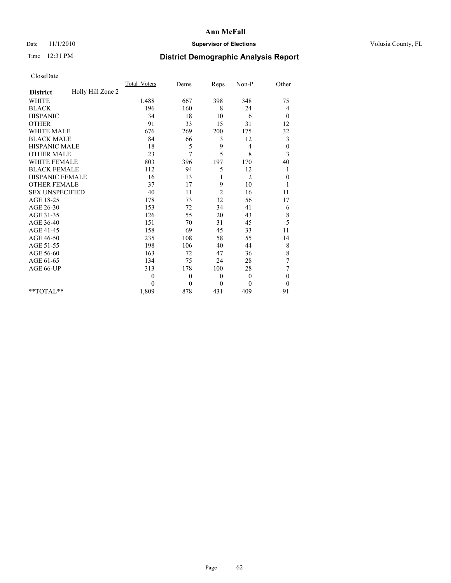## Date 11/1/2010 **Supervisor of Elections Supervisor of Elections** Volusia County, FL

# Time 12:31 PM **District Demographic Analysis Report**

|                                      | <b>Total Voters</b> | Dems         | Reps         | Non-P          | Other            |  |
|--------------------------------------|---------------------|--------------|--------------|----------------|------------------|--|
| Holly Hill Zone 2<br><b>District</b> |                     |              |              |                |                  |  |
| <b>WHITE</b>                         | 1,488               | 667          | 398          | 348            | 75               |  |
| <b>BLACK</b>                         | 196                 | 160          | 8            | 24             | 4                |  |
| <b>HISPANIC</b>                      | 34                  | 18           | 10           | 6              | $\boldsymbol{0}$ |  |
| <b>OTHER</b>                         | 91                  | 33           | 15           | 31             | 12               |  |
| <b>WHITE MALE</b>                    | 676                 | 269          | 200          | 175            | 32               |  |
| <b>BLACK MALE</b>                    | 84                  | 66           | 3            | 12             | 3                |  |
| <b>HISPANIC MALE</b>                 | 18                  | 5            | 9            | 4              | $\boldsymbol{0}$ |  |
| <b>OTHER MALE</b>                    | 23                  | 7            | 5            | 8              | 3                |  |
| WHITE FEMALE                         | 803                 | 396          | 197          | 170            | 40               |  |
| <b>BLACK FEMALE</b>                  | 112                 | 94           | 5            | 12             | 1                |  |
| HISPANIC FEMALE                      | 16                  | 13           |              | $\overline{2}$ | $\boldsymbol{0}$ |  |
| <b>OTHER FEMALE</b>                  | 37                  | 17           | 9            | 10             | 1                |  |
| <b>SEX UNSPECIFIED</b>               | 40                  | 11           | 2            | 16             | 11               |  |
| AGE 18-25                            | 178                 | 73           | 32           | 56             | 17               |  |
| AGE 26-30                            | 153                 | 72           | 34           | 41             | 6                |  |
| AGE 31-35                            | 126                 | 55           | 20           | 43             | 8                |  |
| AGE 36-40                            | 151                 | 70           | 31           | 45             | 5                |  |
| AGE 41-45                            | 158                 | 69           | 45           | 33             | 11               |  |
| AGE 46-50                            | 235                 | 108          | 58           | 55             | 14               |  |
| AGE 51-55                            | 198                 | 106          | 40           | 44             | $\,$ $\,$        |  |
| AGE 56-60                            | 163                 | 72           | 47           | 36             | 8                |  |
| AGE 61-65                            | 134                 | 75           | 24           | 28             | $\boldsymbol{7}$ |  |
| AGE 66-UP                            | 313                 | 178          | 100          | 28             | 7                |  |
|                                      | $\theta$            | $\mathbf{0}$ | $\theta$     | $\mathbf{0}$   | $\mathbf{0}$     |  |
|                                      | $\Omega$            | $\theta$     | $\mathbf{0}$ | $\theta$       | $\theta$         |  |
| **TOTAL**                            | 1,809               | 878          | 431          | 409            | 91               |  |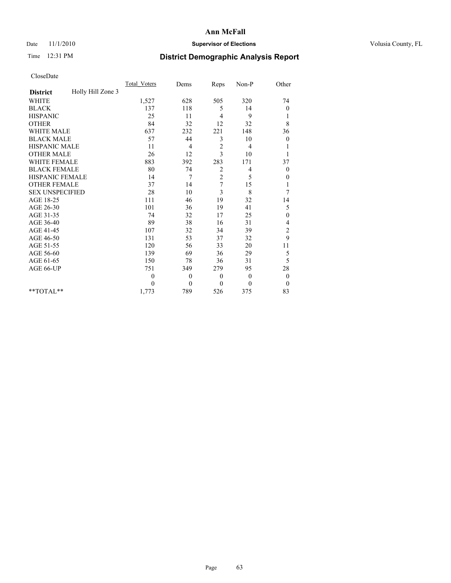## Date 11/1/2010 **Supervisor of Elections Supervisor of Elections** Volusia County, FL

# Time 12:31 PM **District Demographic Analysis Report**

|                                      | <b>Total Voters</b> | Dems             | Reps           | Non-P        | Other            |
|--------------------------------------|---------------------|------------------|----------------|--------------|------------------|
| Holly Hill Zone 3<br><b>District</b> |                     |                  |                |              |                  |
| <b>WHITE</b>                         | 1,527               | 628              | 505            | 320          | 74               |
| <b>BLACK</b>                         | 137                 | 118              | 5              | 14           | 0                |
| <b>HISPANIC</b>                      | 25                  | 11               | 4              | 9            | 1                |
| <b>OTHER</b>                         | 84                  | 32               | 12             | 32           | 8                |
| <b>WHITE MALE</b>                    | 637                 | 232              | 221            | 148          | 36               |
| <b>BLACK MALE</b>                    | 57                  | 44               | 3              | 10           | $\boldsymbol{0}$ |
| <b>HISPANIC MALE</b>                 | 11                  | 4                | $\sqrt{2}$     | 4            |                  |
| <b>OTHER MALE</b>                    | 26                  | 12               | 3              | 10           |                  |
| WHITE FEMALE                         | 883                 | 392              | 283            | 171          | 37               |
| <b>BLACK FEMALE</b>                  | 80                  | 74               | $\overline{c}$ | 4            | $\theta$         |
| HISPANIC FEMALE                      | 14                  | 7                | $\overline{c}$ | 5            | 0                |
| <b>OTHER FEMALE</b>                  | 37                  | 14               | 7              | 15           | 1                |
| <b>SEX UNSPECIFIED</b>               | 28                  | 10               | 3              | 8            | 7                |
| AGE 18-25                            | 111                 | 46               | 19             | 32           | 14               |
| AGE 26-30                            | 101                 | 36               | 19             | 41           | 5                |
| AGE 31-35                            | 74                  | 32               | 17             | 25           | $\boldsymbol{0}$ |
| AGE 36-40                            | 89                  | 38               | 16             | 31           | 4                |
| AGE 41-45                            | 107                 | 32               | 34             | 39           | $\overline{c}$   |
| AGE 46-50                            | 131                 | 53               | 37             | 32           | 9                |
| AGE 51-55                            | 120                 | 56               | 33             | 20           | 11               |
| AGE 56-60                            | 139                 | 69               | 36             | 29           | 5                |
| AGE 61-65                            | 150                 | 78               | 36             | 31           | 5                |
| AGE 66-UP                            | 751                 | 349              | 279            | 95           | 28               |
|                                      | $\mathbf{0}$        | $\boldsymbol{0}$ | $\mathbf{0}$   | $\theta$     | $\theta$         |
|                                      | $\theta$            | $\mathbf{0}$     | $\mathbf{0}$   | $\mathbf{0}$ | $\mathbf{0}$     |
| **TOTAL**                            | 1,773               | 789              | 526            | 375          | 83               |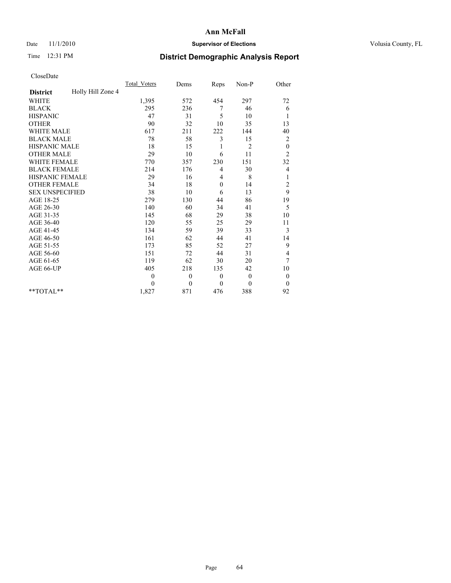## Date 11/1/2010 **Supervisor of Elections Supervisor of Elections** Volusia County, FL

# Time 12:31 PM **District Demographic Analysis Report**

|                                      | <b>Total Voters</b> | Dems         | Reps         | Non-P          | Other            |  |
|--------------------------------------|---------------------|--------------|--------------|----------------|------------------|--|
| Holly Hill Zone 4<br><b>District</b> |                     |              |              |                |                  |  |
| <b>WHITE</b>                         | 1,395               | 572          | 454          | 297            | 72               |  |
| <b>BLACK</b>                         | 295                 | 236          | 7            | 46             | 6                |  |
| <b>HISPANIC</b>                      | 47                  | 31           | 5            | 10             | 1                |  |
| <b>OTHER</b>                         | 90                  | 32           | 10           | 35             | 13               |  |
| <b>WHITE MALE</b>                    | 617                 | 211          | 222          | 144            | 40               |  |
| <b>BLACK MALE</b>                    | 78                  | 58           | 3            | 15             | 2                |  |
| HISPANIC MALE                        | 18                  | 15           | 1            | $\overline{2}$ | $\boldsymbol{0}$ |  |
| <b>OTHER MALE</b>                    | 29                  | 10           | 6            | 11             | $\overline{c}$   |  |
| <b>WHITE FEMALE</b>                  | 770                 | 357          | 230          | 151            | 32               |  |
| <b>BLACK FEMALE</b>                  | 214                 | 176          | 4            | 30             | 4                |  |
| HISPANIC FEMALE                      | 29                  | 16           | 4            | $\,$ 8 $\,$    | 1                |  |
| <b>OTHER FEMALE</b>                  | 34                  | 18           | $\mathbf{0}$ | 14             | $\overline{c}$   |  |
| <b>SEX UNSPECIFIED</b>               | 38                  | 10           | 6            | 13             | 9                |  |
| AGE 18-25                            | 279                 | 130          | 44           | 86             | 19               |  |
| AGE 26-30                            | 140                 | 60           | 34           | 41             | 5                |  |
| AGE 31-35                            | 145                 | 68           | 29           | 38             | 10               |  |
| AGE 36-40                            | 120                 | 55           | 25           | 29             | 11               |  |
| AGE 41-45                            | 134                 | 59           | 39           | 33             | 3                |  |
| AGE 46-50                            | 161                 | 62           | 44           | 41             | 14               |  |
| AGE 51-55                            | 173                 | 85           | 52           | 27             | 9                |  |
| AGE 56-60                            | 151                 | 72           | 44           | 31             | 4                |  |
| AGE 61-65                            | 119                 | 62           | 30           | 20             | 7                |  |
| AGE 66-UP                            | 405                 | 218          | 135          | 42             | 10               |  |
|                                      | $\theta$            | $\mathbf{0}$ | $\theta$     | $\mathbf{0}$   | $\boldsymbol{0}$ |  |
|                                      | $\theta$            | $\theta$     | $\mathbf{0}$ | $\Omega$       | $\boldsymbol{0}$ |  |
| $*$ TOTAL $*$                        | 1,827               | 871          | 476          | 388            | 92               |  |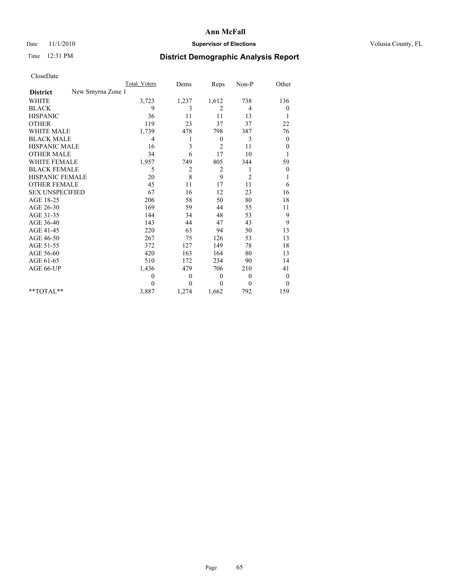## Date 11/1/2010 **Supervisor of Elections Supervisor of Elections** Volusia County, FL

# Time 12:31 PM **District Demographic Analysis Report**

|                                      | Total Voters | Dems           | Reps           | Non-P          | Other            |
|--------------------------------------|--------------|----------------|----------------|----------------|------------------|
| New Smyrna Zone 1<br><b>District</b> |              |                |                |                |                  |
| <b>WHITE</b>                         | 3,723        | 1,237          | 1,612          | 738            | 136              |
| <b>BLACK</b>                         | 9            | 3              | 2              | 4              | 0                |
| <b>HISPANIC</b>                      | 36           | 11             | 11             | 13             | 1                |
| <b>OTHER</b>                         | 119          | 23             | 37             | 37             | 22               |
| <b>WHITE MALE</b>                    | 1,739        | 478            | 798            | 387            | 76               |
| <b>BLACK MALE</b>                    | 4            | 1              | $\mathbf{0}$   | 3              | $\theta$         |
| HISPANIC MALE                        | 16           | 3              | $\overline{2}$ | 11             | $\boldsymbol{0}$ |
| <b>OTHER MALE</b>                    | 34           | 6              | 17             | 10             |                  |
| <b>WHITE FEMALE</b>                  | 1,957        | 749            | 805            | 344            | 59               |
| <b>BLACK FEMALE</b>                  | 5            | $\overline{c}$ | $\overline{2}$ | 1              | $\boldsymbol{0}$ |
| HISPANIC FEMALE                      | 20           | 8              | 9              | $\overline{2}$ | 1                |
| <b>OTHER FEMALE</b>                  | 45           | 11             | 17             | 11             | 6                |
| <b>SEX UNSPECIFIED</b>               | 67           | 16             | 12             | 23             | 16               |
| AGE 18-25                            | 206          | 58             | 50             | 80             | 18               |
| AGE 26-30                            | 169          | 59             | 44             | 55             | 11               |
| AGE 31-35                            | 144          | 34             | 48             | 53             | 9                |
| AGE 36-40                            | 143          | 44             | 47             | 43             | 9                |
| AGE 41-45                            | 220          | 63             | 94             | 50             | 13               |
| AGE 46-50                            | 267          | 75             | 126            | 53             | 13               |
| AGE 51-55                            | 372          | 127            | 149            | 78             | 18               |
| AGE 56-60                            | 420          | 163            | 164            | 80             | 13               |
| AGE 61-65                            | 510          | 172            | 234            | 90             | 14               |
| AGE 66-UP                            | 1,436        | 479            | 706            | 210            | 41               |
|                                      | $\theta$     | $\mathbf{0}$   | $\theta$       | $\overline{0}$ | $\boldsymbol{0}$ |
|                                      | $\theta$     | $\theta$       | $\theta$       | $\theta$       | $\theta$         |
| $*$ TOTAL $*$                        | 3,887        | 1,274          | 1,662          | 792            | 159              |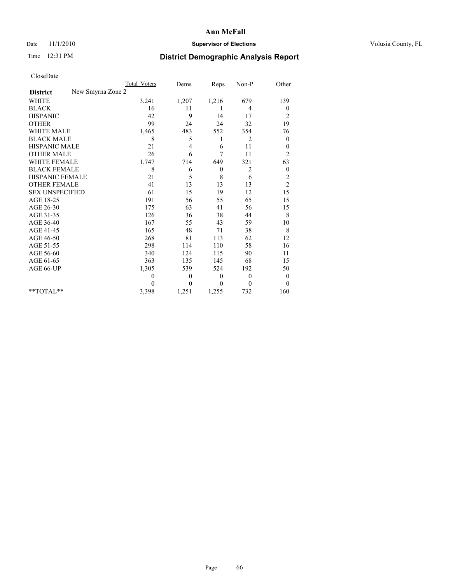## Date 11/1/2010 **Supervisor of Elections Supervisor of Elections** Volusia County, FL

# Time 12:31 PM **District Demographic Analysis Report**

|                                      | Total Voters | Dems         | Reps             | Non-P    | Other            |
|--------------------------------------|--------------|--------------|------------------|----------|------------------|
| New Smyrna Zone 2<br><b>District</b> |              |              |                  |          |                  |
| <b>WHITE</b>                         | 3,241        | 1,207        | 1,216            | 679      | 139              |
| <b>BLACK</b>                         | 16           | 11           | 1                | 4        | 0                |
| <b>HISPANIC</b>                      | 42           | 9            | 14               | 17       | $\overline{c}$   |
| <b>OTHER</b>                         | 99           | 24           | 24               | 32       | 19               |
| <b>WHITE MALE</b>                    | 1,465        | 483          | 552              | 354      | 76               |
| <b>BLACK MALE</b>                    | 8            | 5            | 1                | 2        | $\boldsymbol{0}$ |
| HISPANIC MALE                        | 21           | 4            | 6                | 11       | $\boldsymbol{0}$ |
| <b>OTHER MALE</b>                    | 26           | 6            | 7                | 11       | $\overline{c}$   |
| <b>WHITE FEMALE</b>                  | 1,747        | 714          | 649              | 321      | 63               |
| <b>BLACK FEMALE</b>                  | 8            | 6            | $\boldsymbol{0}$ | 2        | $\boldsymbol{0}$ |
| HISPANIC FEMALE                      | 21           | 5            | 8                | 6        | $\overline{c}$   |
| <b>OTHER FEMALE</b>                  | 41           | 13           | 13               | 13       | $\overline{c}$   |
| <b>SEX UNSPECIFIED</b>               | 61           | 15           | 19               | 12       | 15               |
| AGE 18-25                            | 191          | 56           | 55               | 65       | 15               |
| AGE 26-30                            | 175          | 63           | 41               | 56       | 15               |
| AGE 31-35                            | 126          | 36           | 38               | 44       | $\,8\,$          |
| AGE 36-40                            | 167          | 55           | 43               | 59       | 10               |
| AGE 41-45                            | 165          | 48           | 71               | 38       | 8                |
| AGE 46-50                            | 268          | 81           | 113              | 62       | 12               |
| AGE 51-55                            | 298          | 114          | 110              | 58       | 16               |
| AGE 56-60                            | 340          | 124          | 115              | 90       | 11               |
| AGE 61-65                            | 363          | 135          | 145              | 68       | 15               |
| AGE 66-UP                            | 1,305        | 539          | 524              | 192      | 50               |
|                                      | $\theta$     | $\mathbf{0}$ | $\theta$         | $\theta$ | $\boldsymbol{0}$ |
|                                      | $\Omega$     | $\theta$     | $\theta$         | $\theta$ | $\theta$         |
| $*$ TOTAL $*$                        | 3,398        | 1,251        | 1,255            | 732      | 160              |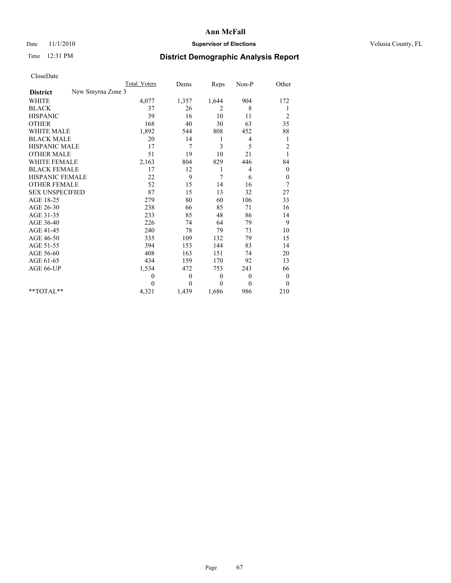## Date 11/1/2010 **Supervisor of Elections Supervisor of Elections** Volusia County, FL

# Time 12:31 PM **District Demographic Analysis Report**

|                                      | Total Voters | Dems         | Reps     | Non-P          | Other            |
|--------------------------------------|--------------|--------------|----------|----------------|------------------|
| New Smyrna Zone 3<br><b>District</b> |              |              |          |                |                  |
| <b>WHITE</b>                         | 4,077        | 1,357        | 1,644    | 904            | 172              |
| <b>BLACK</b>                         | 37           | 26           | 2        | 8              | 1                |
| <b>HISPANIC</b>                      | 39           | 16           | 10       | 11             | $\overline{c}$   |
| <b>OTHER</b>                         | 168          | 40           | 30       | 63             | 35               |
| <b>WHITE MALE</b>                    | 1,892        | 544          | 808      | 452            | 88               |
| <b>BLACK MALE</b>                    | 20           | 14           | 1        | 4              | 1                |
| <b>HISPANIC MALE</b>                 | 17           | 7            | 3        | 5              | $\overline{c}$   |
| <b>OTHER MALE</b>                    | 51           | 19           | 10       | 21             |                  |
| <b>WHITE FEMALE</b>                  | 2,163        | 804          | 829      | 446            | 84               |
| <b>BLACK FEMALE</b>                  | 17           | 12           | 1        | 4              | $\boldsymbol{0}$ |
| HISPANIC FEMALE                      | 22           | 9            | 7        | 6              | $\boldsymbol{0}$ |
| <b>OTHER FEMALE</b>                  | 52           | 15           | 14       | 16             | 7                |
| <b>SEX UNSPECIFIED</b>               | 87           | 15           | 13       | 32             | 27               |
| AGE 18-25                            | 279          | 80           | 60       | 106            | 33               |
| AGE 26-30                            | 238          | 66           | 85       | 71             | 16               |
| AGE 31-35                            | 233          | 85           | 48       | 86             | 14               |
| AGE 36-40                            | 226          | 74           | 64       | 79             | 9                |
| AGE 41-45                            | 240          | 78           | 79       | 73             | 10               |
| AGE 46-50                            | 335          | 109          | 132      | 79             | 15               |
| AGE 51-55                            | 394          | 153          | 144      | 83             | 14               |
| AGE 56-60                            | 408          | 163          | 151      | 74             | 20               |
| AGE 61-65                            | 434          | 159          | 170      | 92             | 13               |
| AGE 66-UP                            | 1,534        | 472          | 753      | 243            | 66               |
|                                      | $\theta$     | $\mathbf{0}$ | $\theta$ | $\overline{0}$ | $\boldsymbol{0}$ |
|                                      | $\theta$     | $\theta$     | $\theta$ | $\theta$       | $\theta$         |
| $*$ TOTAL $*$                        | 4,321        | 1,439        | 1,686    | 986            | 210              |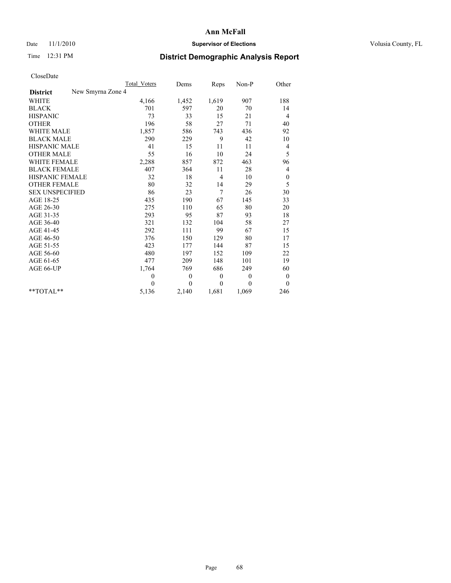## Date 11/1/2010 **Supervisor of Elections Supervisor of Elections** Volusia County, FL

# Time 12:31 PM **District Demographic Analysis Report**

|                                      | <b>Total Voters</b> | Dems         | Reps     | Non-P        | Other            |
|--------------------------------------|---------------------|--------------|----------|--------------|------------------|
| New Smyrna Zone 4<br><b>District</b> |                     |              |          |              |                  |
| WHITE                                | 4,166               | 1,452        | 1,619    | 907          | 188              |
| <b>BLACK</b>                         | 701                 | 597          | 20       | 70           | 14               |
| <b>HISPANIC</b>                      | 73                  | 33           | 15       | 21           | 4                |
| <b>OTHER</b>                         | 196                 | 58           | 27       | 71           | 40               |
| <b>WHITE MALE</b>                    | 1,857               | 586          | 743      | 436          | 92               |
| <b>BLACK MALE</b>                    | 290                 | 229          | 9        | 42           | 10               |
| <b>HISPANIC MALE</b>                 | 41                  | 15           | 11       | 11           | 4                |
| <b>OTHER MALE</b>                    | 55                  | 16           | 10       | 24           | 5                |
| WHITE FEMALE                         | 2,288               | 857          | 872      | 463          | 96               |
| <b>BLACK FEMALE</b>                  | 407                 | 364          | 11       | 28           | 4                |
| HISPANIC FEMALE                      | 32                  | 18           | 4        | 10           | $\boldsymbol{0}$ |
| <b>OTHER FEMALE</b>                  | 80                  | 32           | 14       | 29           | 5                |
| <b>SEX UNSPECIFIED</b>               | 86                  | 23           | 7        | 26           | 30               |
| AGE 18-25                            | 435                 | 190          | 67       | 145          | 33               |
| AGE 26-30                            | 275                 | 110          | 65       | 80           | 20               |
| AGE 31-35                            | 293                 | 95           | 87       | 93           | 18               |
| AGE 36-40                            | 321                 | 132          | 104      | 58           | 27               |
| AGE 41-45                            | 292                 | 111          | 99       | 67           | 15               |
| AGE 46-50                            | 376                 | 150          | 129      | 80           | 17               |
| AGE 51-55                            | 423                 | 177          | 144      | 87           | 15               |
| AGE 56-60                            | 480                 | 197          | 152      | 109          | 22               |
| AGE 61-65                            | 477                 | 209          | 148      | 101          | 19               |
| AGE 66-UP                            | 1,764               | 769          | 686      | 249          | 60               |
|                                      | $\theta$            | $\mathbf{0}$ | $\theta$ | $\mathbf{0}$ | $\boldsymbol{0}$ |
|                                      | $\theta$            | $\theta$     | $\theta$ | $\theta$     | $\theta$         |
| **TOTAL**                            | 5,136               | 2,140        | 1,681    | 1,069        | 246              |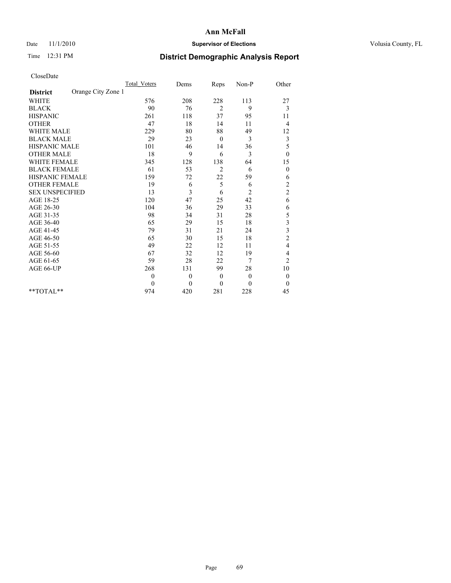## Date 11/1/2010 **Supervisor of Elections Supervisor of Elections** Volusia County, FL

# Time 12:31 PM **District Demographic Analysis Report**

|                                       | Total Voters | Dems     | Reps           | Non-P          | Other                   |  |
|---------------------------------------|--------------|----------|----------------|----------------|-------------------------|--|
| Orange City Zone 1<br><b>District</b> |              |          |                |                |                         |  |
| <b>WHITE</b>                          | 576          | 208      | 228            | 113            | 27                      |  |
| <b>BLACK</b>                          | 90           | 76       | $\overline{2}$ | 9              | 3                       |  |
| <b>HISPANIC</b>                       | 261          | 118      | 37             | 95             | 11                      |  |
| <b>OTHER</b>                          | 47           | 18       | 14             | 11             | 4                       |  |
| <b>WHITE MALE</b>                     | 229          | 80       | 88             | 49             | 12                      |  |
| <b>BLACK MALE</b>                     | 29           | 23       | $\mathbf{0}$   | 3              | $\mathfrak{Z}$          |  |
| <b>HISPANIC MALE</b>                  | 101          | 46       | 14             | 36             | 5                       |  |
| <b>OTHER MALE</b>                     | 18           | 9        | 6              | 3              | $\boldsymbol{0}$        |  |
| <b>WHITE FEMALE</b>                   | 345          | 128      | 138            | 64             | 15                      |  |
| <b>BLACK FEMALE</b>                   | 61           | 53       | $\overline{c}$ | 6              | $\mathbf{0}$            |  |
| HISPANIC FEMALE                       | 159          | 72       | 22             | 59             | 6                       |  |
| <b>OTHER FEMALE</b>                   | 19           | 6        | 5              | 6              | $\overline{c}$          |  |
| <b>SEX UNSPECIFIED</b>                | 13           | 3        | 6              | $\overline{2}$ | $\overline{\mathbf{c}}$ |  |
| AGE 18-25                             | 120          | 47       | 25             | 42             | 6                       |  |
| AGE 26-30                             | 104          | 36       | 29             | 33             | 6                       |  |
| AGE 31-35                             | 98           | 34       | 31             | 28             | 5                       |  |
| AGE 36-40                             | 65           | 29       | 15             | 18             | 3                       |  |
| AGE 41-45                             | 79           | 31       | 21             | 24             | 3                       |  |
| AGE 46-50                             | 65           | 30       | 15             | 18             | $\overline{c}$          |  |
| AGE 51-55                             | 49           | 22       | 12             | 11             | 4                       |  |
| AGE 56-60                             | 67           | 32       | 12             | 19             | 4                       |  |
| AGE 61-65                             | 59           | 28       | 22             | 7              | $\overline{c}$          |  |
| AGE 66-UP                             | 268          | 131      | 99             | 28             | $10\,$                  |  |
|                                       | $\mathbf{0}$ | $\theta$ | $\mathbf{0}$   | $\mathbf{0}$   | $\boldsymbol{0}$        |  |
|                                       | $\theta$     | $\theta$ | $\theta$       | $\Omega$       | $\mathbf{0}$            |  |
| $*$ TOTAL $*$                         | 974          | 420      | 281            | 228            | 45                      |  |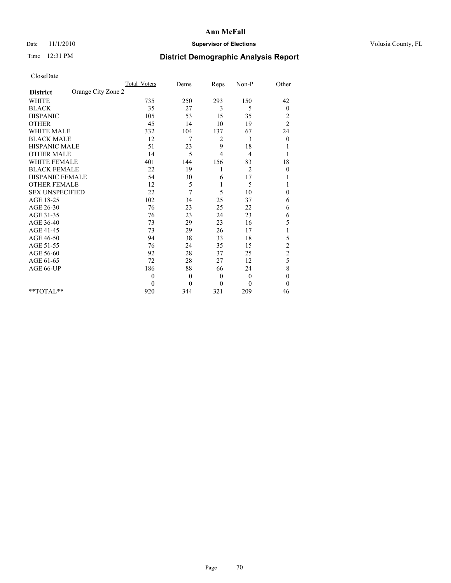## Date 11/1/2010 **Supervisor of Elections Supervisor of Elections** Volusia County, FL

# Time 12:31 PM **District Demographic Analysis Report**

|                                       | <b>Total Voters</b> | Dems     | Reps           | Non-P          | Other                   |  |
|---------------------------------------|---------------------|----------|----------------|----------------|-------------------------|--|
| Orange City Zone 2<br><b>District</b> |                     |          |                |                |                         |  |
| <b>WHITE</b>                          | 735                 | 250      | 293            | 150            | 42                      |  |
| <b>BLACK</b>                          | 35                  | 27       | 3              | 5              | $\boldsymbol{0}$        |  |
| <b>HISPANIC</b>                       | 105                 | 53       | 15             | 35             | $\overline{\mathbf{c}}$ |  |
| <b>OTHER</b>                          | 45                  | 14       | 10             | 19             | $\overline{c}$          |  |
| <b>WHITE MALE</b>                     | 332                 | 104      | 137            | 67             | 24                      |  |
| <b>BLACK MALE</b>                     | 12                  | 7        | 2              | 3              | $\boldsymbol{0}$        |  |
| <b>HISPANIC MALE</b>                  | 51                  | 23       | 9              | 18             |                         |  |
| <b>OTHER MALE</b>                     | 14                  | 5        | $\overline{4}$ | 4              |                         |  |
| <b>WHITE FEMALE</b>                   | 401                 | 144      | 156            | 83             | 18                      |  |
| <b>BLACK FEMALE</b>                   | 22                  | 19       |                | $\overline{2}$ | $\mathbf{0}$            |  |
| HISPANIC FEMALE                       | 54                  | 30       | 6              | 17             |                         |  |
| <b>OTHER FEMALE</b>                   | 12                  | 5        | 1              | 5              |                         |  |
| <b>SEX UNSPECIFIED</b>                | 22                  | 7        | 5              | 10             | $\mathbf{0}$            |  |
| AGE 18-25                             | 102                 | 34       | 25             | 37             | 6                       |  |
| AGE 26-30                             | 76                  | 23       | 25             | 22             | 6                       |  |
| AGE 31-35                             | 76                  | 23       | 24             | 23             | 6                       |  |
| AGE 36-40                             | 73                  | 29       | 23             | 16             | 5                       |  |
| AGE 41-45                             | 73                  | 29       | 26             | 17             |                         |  |
| AGE 46-50                             | 94                  | 38       | 33             | 18             | 5                       |  |
| AGE 51-55                             | 76                  | 24       | 35             | 15             | $\overline{c}$          |  |
| AGE 56-60                             | 92                  | 28       | 37             | 25             | $\overline{c}$          |  |
| AGE 61-65                             | 72                  | 28       | 27             | 12             | 5                       |  |
| AGE 66-UP                             | 186                 | 88       | 66             | 24             | 8                       |  |
|                                       | $\theta$            | $\theta$ | $\mathbf{0}$   | $\mathbf{0}$   | $\mathbf{0}$            |  |
|                                       | $\theta$            | $\theta$ | $\theta$       | $\Omega$       | $\mathbf{0}$            |  |
| $*$ TOTAL $*$                         | 920                 | 344      | 321            | 209            | 46                      |  |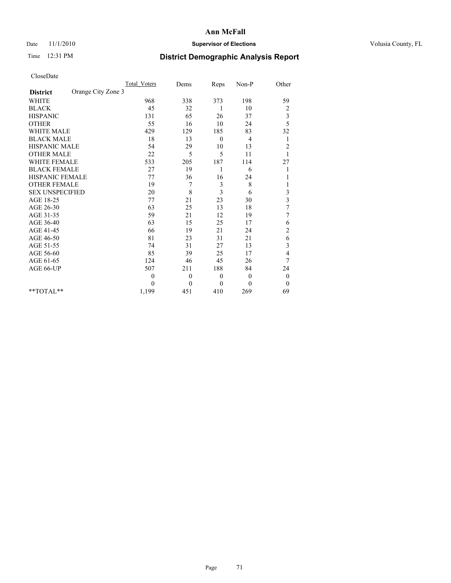## Date 11/1/2010 **Supervisor of Elections Supervisor of Elections** Volusia County, FL

# Time 12:31 PM **District Demographic Analysis Report**

|                                       | <b>Total Voters</b> | Dems         | Reps         | Non-P        | Other                   |  |
|---------------------------------------|---------------------|--------------|--------------|--------------|-------------------------|--|
| Orange City Zone 3<br><b>District</b> |                     |              |              |              |                         |  |
| <b>WHITE</b>                          | 968                 | 338          | 373          | 198          | 59                      |  |
| <b>BLACK</b>                          | 45                  | 32           | 1            | 10           | $\overline{\mathbf{c}}$ |  |
| <b>HISPANIC</b>                       | 131                 | 65           | 26           | 37           | $rac{3}{5}$             |  |
| <b>OTHER</b>                          | 55                  | 16           | 10           | 24           |                         |  |
| <b>WHITE MALE</b>                     | 429                 | 129          | 185          | 83           | 32                      |  |
| <b>BLACK MALE</b>                     | 18                  | 13           | $\theta$     | 4            | 1                       |  |
| HISPANIC MALE                         | 54                  | 29           | 10           | 13           | $\overline{c}$          |  |
| <b>OTHER MALE</b>                     | 22                  | 5            | 5            | 11           |                         |  |
| <b>WHITE FEMALE</b>                   | 533                 | 205          | 187          | 114          | 27                      |  |
| <b>BLACK FEMALE</b>                   | 27                  | 19           | 1            | 6            |                         |  |
| HISPANIC FEMALE                       | 77                  | 36           | 16           | 24           |                         |  |
| <b>OTHER FEMALE</b>                   | 19                  | 7            | 3            | 8            |                         |  |
| <b>SEX UNSPECIFIED</b>                | 20                  | 8            | 3            | 6            | 3                       |  |
| AGE 18-25                             | 77                  | 21           | 23           | 30           | $\overline{\mathbf{3}}$ |  |
| AGE 26-30                             | 63                  | 25           | 13           | 18           | 7                       |  |
| AGE 31-35                             | 59                  | 21           | 12           | 19           | 7                       |  |
| AGE 36-40                             | 63                  | 15           | 25           | 17           | 6                       |  |
| AGE 41-45                             | 66                  | 19           | 21           | 24           | $\overline{c}$          |  |
| AGE 46-50                             | 81                  | 23           | 31           | 21           | 6                       |  |
| AGE 51-55                             | 74                  | 31           | 27           | 13           | 3                       |  |
| AGE 56-60                             | 85                  | 39           | 25           | 17           | 4                       |  |
| AGE 61-65                             | 124                 | 46           | 45           | 26           | 7                       |  |
| AGE 66-UP                             | 507                 | 211          | 188          | 84           | 24                      |  |
|                                       | $\theta$            | $\mathbf{0}$ | $\theta$     | $\mathbf{0}$ | $\boldsymbol{0}$        |  |
|                                       | $\theta$            | $\theta$     | $\mathbf{0}$ | $\theta$     | $\theta$                |  |
| $*$ TOTAL $*$                         | 1,199               | 451          | 410          | 269          | 69                      |  |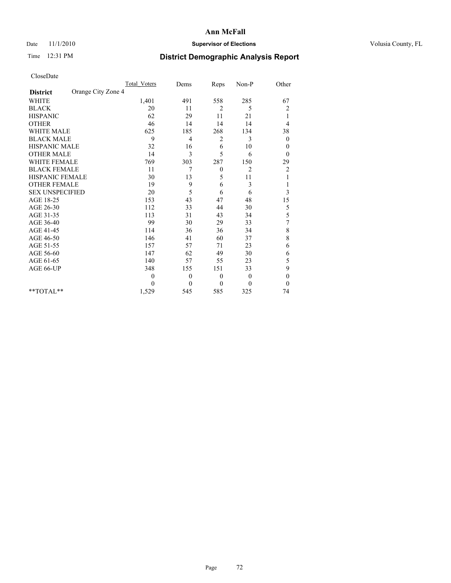## Date 11/1/2010 **Supervisor of Elections Supervisor of Elections** Volusia County, FL

# Time 12:31 PM **District Demographic Analysis Report**

|                                       | <b>Total Voters</b> | Dems         | Reps     | Non-P          | Other            |
|---------------------------------------|---------------------|--------------|----------|----------------|------------------|
| Orange City Zone 4<br><b>District</b> |                     |              |          |                |                  |
| <b>WHITE</b>                          | 1,401               | 491          | 558      | 285            | 67               |
| <b>BLACK</b>                          | 20                  | 11           | 2        | 5              | $\overline{c}$   |
| <b>HISPANIC</b>                       | 62                  | 29           | 11       | 21             | 1                |
| <b>OTHER</b>                          | 46                  | 14           | 14       | 14             | 4                |
| <b>WHITE MALE</b>                     | 625                 | 185          | 268      | 134            | 38               |
| <b>BLACK MALE</b>                     | 9                   | 4            | 2        | 3              | $\boldsymbol{0}$ |
| <b>HISPANIC MALE</b>                  | 32                  | 16           | 6        | 10             | 0                |
| <b>OTHER MALE</b>                     | 14                  | 3            | 5        | 6              | $\theta$         |
| <b>WHITE FEMALE</b>                   | 769                 | 303          | 287      | 150            | 29               |
| <b>BLACK FEMALE</b>                   | 11                  | 7            | $\theta$ | $\overline{2}$ | 2                |
| HISPANIC FEMALE                       | 30                  | 13           | 5        | 11             |                  |
| <b>OTHER FEMALE</b>                   | 19                  | 9            | 6        | 3              |                  |
| <b>SEX UNSPECIFIED</b>                | 20                  | 5            | 6        | 6              | 3                |
| AGE 18-25                             | 153                 | 43           | 47       | 48             | 15               |
| AGE 26-30                             | 112                 | 33           | 44       | 30             | 5                |
| AGE 31-35                             | 113                 | 31           | 43       | 34             | 5                |
| AGE 36-40                             | 99                  | 30           | 29       | 33             | 7                |
| AGE 41-45                             | 114                 | 36           | 36       | 34             | 8                |
| AGE 46-50                             | 146                 | 41           | 60       | 37             | 8                |
| AGE 51-55                             | 157                 | 57           | 71       | 23             | 6                |
| AGE 56-60                             | 147                 | 62           | 49       | 30             | 6                |
| AGE 61-65                             | 140                 | 57           | 55       | 23             | 5                |
| AGE 66-UP                             | 348                 | 155          | 151      | 33             | 9                |
|                                       | $\theta$            | $\mathbf{0}$ | $\theta$ | $\overline{0}$ | $\boldsymbol{0}$ |
|                                       | $\Omega$            | $\mathbf{0}$ | $\theta$ | $\theta$       | $\theta$         |
| **TOTAL**                             | 1,529               | 545          | 585      | 325            | 74               |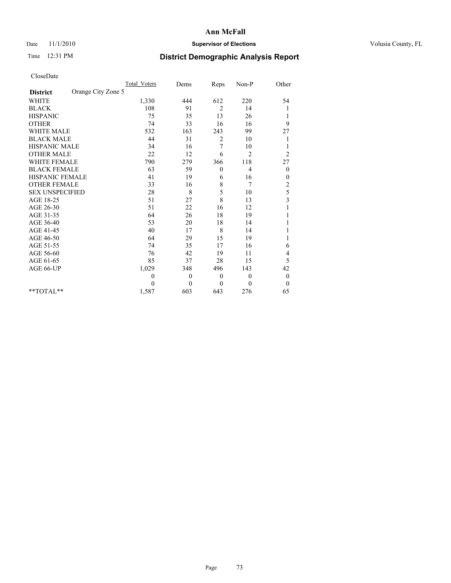# Date 11/1/2010 **Supervisor of Elections Supervisor of Elections** Volusia County, FL

# Time 12:31 PM **District Demographic Analysis Report**

|                                       | <b>Total Voters</b> | Dems         | Reps         | Non-P          | Other                   |  |
|---------------------------------------|---------------------|--------------|--------------|----------------|-------------------------|--|
| Orange City Zone 5<br><b>District</b> |                     |              |              |                |                         |  |
| <b>WHITE</b>                          | 1,330               | 444          | 612          | 220            | 54                      |  |
| <b>BLACK</b>                          | 108                 | 91           | 2            | 14             | 1                       |  |
| <b>HISPANIC</b>                       | 75                  | 35           | 13           | 26             | 1                       |  |
| <b>OTHER</b>                          | 74                  | 33           | 16           | 16             | 9                       |  |
| <b>WHITE MALE</b>                     | 532                 | 163          | 243          | 99             | 27                      |  |
| <b>BLACK MALE</b>                     | 44                  | 31           | 2            | 10             |                         |  |
| HISPANIC MALE                         | 34                  | 16           | 7            | 10             |                         |  |
| <b>OTHER MALE</b>                     | 22                  | 12           | 6            | $\overline{2}$ | $\overline{c}$          |  |
| <b>WHITE FEMALE</b>                   | 790                 | 279          | 366          | 118            | 27                      |  |
| <b>BLACK FEMALE</b>                   | 63                  | 59           | $\mathbf{0}$ | 4              | $\theta$                |  |
| HISPANIC FEMALE                       | 41                  | 19           | 6            | 16             | 0                       |  |
| <b>OTHER FEMALE</b>                   | 33                  | 16           | 8            | 7              | $\overline{c}$          |  |
| <b>SEX UNSPECIFIED</b>                | 28                  | 8            | 5            | 10             | 5                       |  |
| AGE 18-25                             | 51                  | 27           | 8            | 13             | $\overline{\mathbf{3}}$ |  |
| AGE 26-30                             | 51                  | 22           | 16           | 12             |                         |  |
| AGE 31-35                             | 64                  | 26           | 18           | 19             |                         |  |
| AGE 36-40                             | 53                  | 20           | 18           | 14             |                         |  |
| AGE 41-45                             | 40                  | 17           | 8            | 14             |                         |  |
| AGE 46-50                             | 64                  | 29           | 15           | 19             |                         |  |
| AGE 51-55                             | 74                  | 35           | 17           | 16             | 6                       |  |
| AGE 56-60                             | 76                  | 42           | 19           | 11             | 4                       |  |
| AGE 61-65                             | 85                  | 37           | 28           | 15             | 5                       |  |
| AGE 66-UP                             | 1,029               | 348          | 496          | 143            | 42                      |  |
|                                       | $\theta$            | $\mathbf{0}$ | $\theta$     | $\overline{0}$ | $\boldsymbol{0}$        |  |
|                                       | $\theta$            | $\theta$     | $\theta$     | $\theta$       | $\theta$                |  |
| **TOTAL**                             | 1,587               | 603          | 643          | 276            | 65                      |  |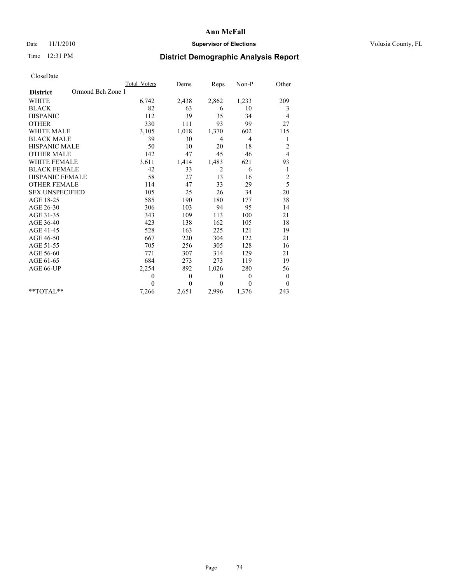# Date 11/1/2010 **Supervisor of Elections Supervisor of Elections** Volusia County, FL

# Time 12:31 PM **District Demographic Analysis Report**

|                                      | <b>Total Voters</b> | Dems         | Reps           | Non-P          | Other            |
|--------------------------------------|---------------------|--------------|----------------|----------------|------------------|
| Ormond Bch Zone 1<br><b>District</b> |                     |              |                |                |                  |
| <b>WHITE</b>                         | 6,742               | 2,438        | 2,862          | 1,233          | 209              |
| <b>BLACK</b>                         | 82                  | 63           | 6              | 10             | 3                |
| <b>HISPANIC</b>                      | 112                 | 39           | 35             | 34             | 4                |
| <b>OTHER</b>                         | 330                 | 111          | 93             | 99             | 27               |
| <b>WHITE MALE</b>                    | 3,105               | 1,018        | 1,370          | 602            | 115              |
| <b>BLACK MALE</b>                    | 39                  | 30           | $\overline{4}$ | $\overline{4}$ | 1                |
| <b>HISPANIC MALE</b>                 | 50                  | 10           | 20             | 18             | $\overline{c}$   |
| <b>OTHER MALE</b>                    | 142                 | 47           | 45             | 46             | $\overline{4}$   |
| <b>WHITE FEMALE</b>                  | 3,611               | 1,414        | 1,483          | 621            | 93               |
| <b>BLACK FEMALE</b>                  | 42                  | 33           | $\overline{2}$ | 6              | 1                |
| HISPANIC FEMALE                      | 58                  | 27           | 13             | 16             | $\overline{c}$   |
| <b>OTHER FEMALE</b>                  | 114                 | 47           | 33             | 29             | 5                |
| <b>SEX UNSPECIFIED</b>               | 105                 | 25           | 26             | 34             | 20               |
| AGE 18-25                            | 585                 | 190          | 180            | 177            | 38               |
| AGE 26-30                            | 306                 | 103          | 94             | 95             | 14               |
| AGE 31-35                            | 343                 | 109          | 113            | 100            | 21               |
| AGE 36-40                            | 423                 | 138          | 162            | 105            | 18               |
| AGE 41-45                            | 528                 | 163          | 225            | 121            | 19               |
| AGE 46-50                            | 667                 | 220          | 304            | 122            | 21               |
| AGE 51-55                            | 705                 | 256          | 305            | 128            | 16               |
| AGE 56-60                            | 771                 | 307          | 314            | 129            | 21               |
| AGE 61-65                            | 684                 | 273          | 273            | 119            | 19               |
| AGE 66-UP                            | 2,254               | 892          | 1,026          | 280            | 56               |
|                                      | $\theta$            | $\mathbf{0}$ | $\mathbf{0}$   | $\overline{0}$ | $\boldsymbol{0}$ |
|                                      | $\theta$            | $\theta$     | $\theta$       | $\theta$       | $\theta$         |
| $*$ TOTAL $*$                        | 7,266               | 2,651        | 2,996          | 1,376          | 243              |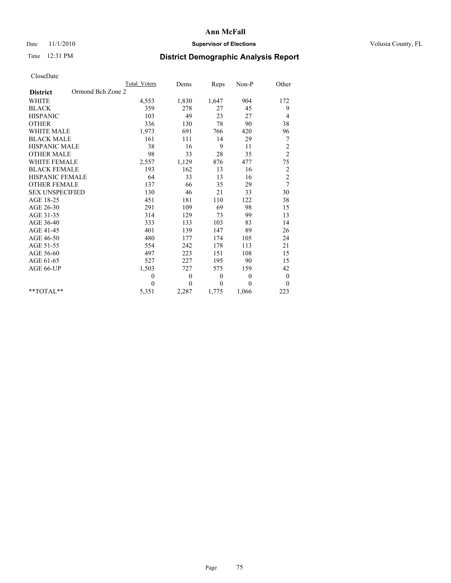# Date 11/1/2010 **Supervisor of Elections Supervisor of Elections** Volusia County, FL

# Time 12:31 PM **District Demographic Analysis Report**

|                                      | Total Voters   | Dems           | Reps     | Non-P          | Other          |
|--------------------------------------|----------------|----------------|----------|----------------|----------------|
| Ormond Bch Zone 2<br><b>District</b> |                |                |          |                |                |
| <b>WHITE</b>                         | 4,553          | 1,830          | 1,647    | 904            | 172            |
| <b>BLACK</b>                         | 359            | 278            | 27       | 45             | 9              |
| <b>HISPANIC</b>                      | 103            | 49             | 23       | 27             | 4              |
| <b>OTHER</b>                         | 336            | 130            | 78       | 90             | 38             |
| <b>WHITE MALE</b>                    | 1,973          | 691            | 766      | 420            | 96             |
| <b>BLACK MALE</b>                    | 161            | 111            | 14       | 29             | 7              |
| HISPANIC MALE                        | 38             | 16             | 9        | 11             | $\overline{c}$ |
| <b>OTHER MALE</b>                    | 98             | 33             | 28       | 35             | $\overline{c}$ |
| WHITE FEMALE                         | 2,557          | 1,129          | 876      | 477            | 75             |
| <b>BLACK FEMALE</b>                  | 193            | 162            | 13       | 16             | $\sqrt{2}$     |
| HISPANIC FEMALE                      | 64             | 33             | 13       | 16             | $\overline{c}$ |
| <b>OTHER FEMALE</b>                  | 137            | 66             | 35       | 29             | 7              |
| <b>SEX UNSPECIFIED</b>               | 130            | 46             | 21       | 33             | 30             |
| AGE 18-25                            | 451            | 181            | 110      | 122            | 38             |
| AGE 26-30                            | 291            | 109            | 69       | 98             | 15             |
| AGE 31-35                            | 314            | 129            | 73       | 99             | 13             |
| AGE 36-40                            | 333            | 133            | 103      | 83             | 14             |
| AGE 41-45                            | 401            | 139            | 147      | 89             | 26             |
| AGE 46-50                            | 480            | 177            | 174      | 105            | 24             |
| AGE 51-55                            | 554            | 242            | 178      | 113            | 21             |
| AGE 56-60                            | 497            | 223            | 151      | 108            | 15             |
| AGE 61-65                            | 527            | 227            | 195      | 90             | 15             |
| AGE 66-UP                            | 1,503          | 727            | 575      | 159            | 42             |
|                                      | $\overline{0}$ | $\overline{0}$ | $\theta$ | $\overline{0}$ | $\mathbf{0}$   |
|                                      | $\Omega$       | $\overline{0}$ | $\theta$ | $\theta$       | $\theta$       |
| $*$ $TOTAI.**$                       | 5,351          | 2,287          | 1,775    | 1,066          | 223            |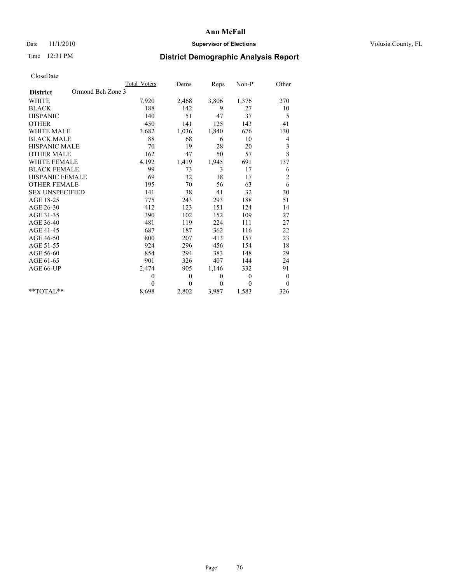# Date 11/1/2010 **Supervisor of Elections Supervisor of Elections** Volusia County, FL

# Time 12:31 PM **District Demographic Analysis Report**

|                                      | <b>Total Voters</b> | Dems         | Reps     | Non-P        | Other            |
|--------------------------------------|---------------------|--------------|----------|--------------|------------------|
| Ormond Bch Zone 3<br><b>District</b> |                     |              |          |              |                  |
| <b>WHITE</b>                         | 7,920               | 2,468        | 3,806    | 1,376        | 270              |
| <b>BLACK</b>                         | 188                 | 142          | 9        | 27           | 10               |
| <b>HISPANIC</b>                      | 140                 | 51           | 47       | 37           | 5                |
| <b>OTHER</b>                         | 450                 | 141          | 125      | 143          | 41               |
| <b>WHITE MALE</b>                    | 3,682               | 1,036        | 1,840    | 676          | 130              |
| <b>BLACK MALE</b>                    | 88                  | 68           | 6        | 10           | 4                |
| <b>HISPANIC MALE</b>                 | 70                  | 19           | 28       | 20           | 3                |
| <b>OTHER MALE</b>                    | 162                 | 47           | 50       | 57           | 8                |
| <b>WHITE FEMALE</b>                  | 4,192               | 1,419        | 1,945    | 691          | 137              |
| <b>BLACK FEMALE</b>                  | 99                  | 73           | 3        | 17           | 6                |
| HISPANIC FEMALE                      | 69                  | 32           | 18       | 17           | $\overline{c}$   |
| <b>OTHER FEMALE</b>                  | 195                 | 70           | 56       | 63           | 6                |
| <b>SEX UNSPECIFIED</b>               | 141                 | 38           | 41       | 32           | 30               |
| AGE 18-25                            | 775                 | 243          | 293      | 188          | 51               |
| AGE 26-30                            | 412                 | 123          | 151      | 124          | 14               |
| AGE 31-35                            | 390                 | 102          | 152      | 109          | 27               |
| AGE 36-40                            | 481                 | 119          | 224      | 111          | 27               |
| AGE 41-45                            | 687                 | 187          | 362      | 116          | 22               |
| AGE 46-50                            | 800                 | 207          | 413      | 157          | 23               |
| AGE 51-55                            | 924                 | 296          | 456      | 154          | 18               |
| AGE 56-60                            | 854                 | 294          | 383      | 148          | 29               |
| AGE 61-65                            | 901                 | 326          | 407      | 144          | 24               |
| AGE 66-UP                            | 2,474               | 905          | 1,146    | 332          | 91               |
|                                      | $\mathbf{0}$        | $\mathbf{0}$ | $\theta$ | $\mathbf{0}$ | $\boldsymbol{0}$ |
|                                      | $\Omega$            | $\theta$     | $\theta$ | $\theta$     | $\theta$         |
| $*$ TOTAL $*$                        | 8,698               | 2,802        | 3,987    | 1,583        | 326              |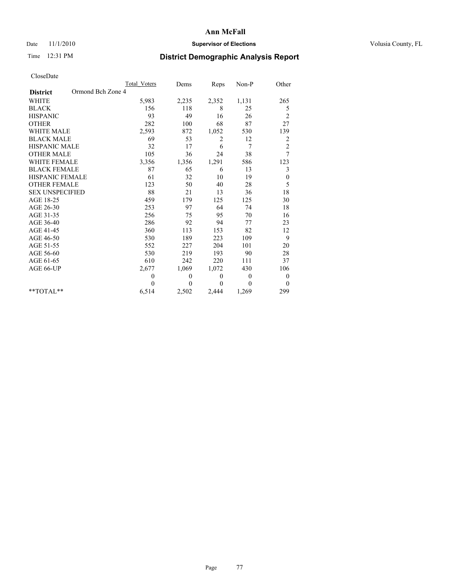# Date 11/1/2010 **Supervisor of Elections Supervisor of Elections** Volusia County, FL

# Time 12:31 PM **District Demographic Analysis Report**

|                                      | Total Voters | Dems         | Reps         | Non-P          | Other            |
|--------------------------------------|--------------|--------------|--------------|----------------|------------------|
| Ormond Bch Zone 4<br><b>District</b> |              |              |              |                |                  |
| <b>WHITE</b>                         | 5,983        | 2,235        | 2,352        | 1,131          | 265              |
| <b>BLACK</b>                         | 156          | 118          | 8            | 25             | 5                |
| <b>HISPANIC</b>                      | 93           | 49           | 16           | 26             | $\overline{c}$   |
| <b>OTHER</b>                         | 282          | 100          | 68           | 87             | 27               |
| <b>WHITE MALE</b>                    | 2,593        | 872          | 1,052        | 530            | 139              |
| <b>BLACK MALE</b>                    | 69           | 53           | 2            | 12             | 2                |
| <b>HISPANIC MALE</b>                 | 32           | 17           | 6            | 7              | $\overline{c}$   |
| <b>OTHER MALE</b>                    | 105          | 36           | 24           | 38             | 7                |
| <b>WHITE FEMALE</b>                  | 3,356        | 1,356        | 1,291        | 586            | 123              |
| <b>BLACK FEMALE</b>                  | 87           | 65           | 6            | 13             | 3                |
| HISPANIC FEMALE                      | 61           | 32           | 10           | 19             | $\boldsymbol{0}$ |
| <b>OTHER FEMALE</b>                  | 123          | 50           | 40           | 28             | 5                |
| <b>SEX UNSPECIFIED</b>               | 88           | 21           | 13           | 36             | 18               |
| AGE 18-25                            | 459          | 179          | 125          | 125            | 30               |
| AGE 26-30                            | 253          | 97           | 64           | 74             | 18               |
| AGE 31-35                            | 256          | 75           | 95           | 70             | 16               |
| AGE 36-40                            | 286          | 92           | 94           | 77             | 23               |
| AGE 41-45                            | 360          | 113          | 153          | 82             | 12               |
| AGE 46-50                            | 530          | 189          | 223          | 109            | 9                |
| AGE 51-55                            | 552          | 227          | 204          | 101            | 20               |
| AGE 56-60                            | 530          | 219          | 193          | 90             | 28               |
| AGE 61-65                            | 610          | 242          | 220          | 111            | 37               |
| AGE 66-UP                            | 2,677        | 1,069        | 1,072        | 430            | 106              |
|                                      | $\theta$     | $\mathbf{0}$ | $\mathbf{0}$ | $\overline{0}$ | $\boldsymbol{0}$ |
|                                      | $\theta$     | $\theta$     | $\Omega$     | $\theta$       | $\theta$         |
| $*$ TOTAL $*$                        | 6,514        | 2,502        | 2,444        | 1,269          | 299              |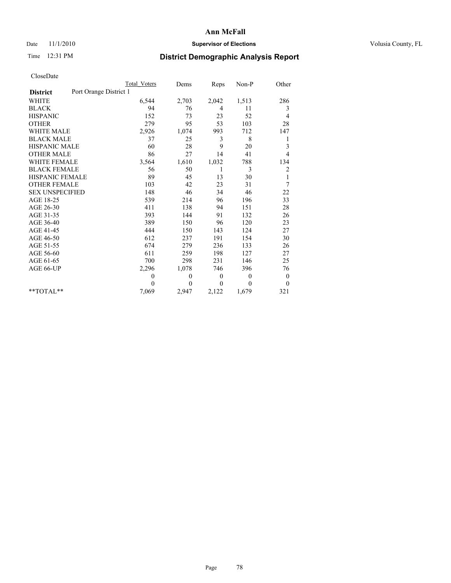# Date 11/1/2010 **Supervisor of Elections Supervisor of Elections** Volusia County, FL

# Time 12:31 PM **District Demographic Analysis Report**

|                                           | Total Voters | Dems     | Reps           | $Non-P$      | Other            |
|-------------------------------------------|--------------|----------|----------------|--------------|------------------|
| Port Orange District 1<br><b>District</b> |              |          |                |              |                  |
| <b>WHITE</b>                              | 6,544        | 2,703    | 2,042          | 1,513        | 286              |
| <b>BLACK</b>                              | 94           | 76       | $\overline{4}$ | 11           | 3                |
| <b>HISPANIC</b>                           | 152          | 73       | 23             | 52           | 4                |
| <b>OTHER</b>                              | 279          | 95       | 53             | 103          | 28               |
| <b>WHITE MALE</b>                         | 2,926        | 1,074    | 993            | 712          | 147              |
| <b>BLACK MALE</b>                         | 37           | 25       | 3              | 8            | 1                |
| HISPANIC MALE                             | 60           | 28       | 9              | 20           | 3                |
| <b>OTHER MALE</b>                         | 86           | 27       | 14             | 41           | $\overline{4}$   |
| <b>WHITE FEMALE</b>                       | 3,564        | 1,610    | 1,032          | 788          | 134              |
| <b>BLACK FEMALE</b>                       | 56           | 50       | $\mathbf{1}$   | 3            | 2                |
| HISPANIC FEMALE                           | 89           | 45       | 13             | 30           | 1                |
| <b>OTHER FEMALE</b>                       | 103          | 42       | 23             | 31           | 7                |
| <b>SEX UNSPECIFIED</b>                    | 148          | 46       | 34             | 46           | 22               |
| AGE 18-25                                 | 539          | 214      | 96             | 196          | 33               |
| AGE 26-30                                 | 411          | 138      | 94             | 151          | 28               |
| AGE 31-35                                 | 393          | 144      | 91             | 132          | 26               |
| AGE 36-40                                 | 389          | 150      | 96             | 120          | 23               |
| AGE 41-45                                 | 444          | 150      | 143            | 124          | 27               |
| AGE 46-50                                 | 612          | 237      | 191            | 154          | 30               |
| AGE 51-55                                 | 674          | 279      | 236            | 133          | 26               |
| AGE 56-60                                 | 611          | 259      | 198            | 127          | 27               |
| AGE 61-65                                 | 700          | 298      | 231            | 146          | 25               |
| AGE 66-UP                                 | 2,296        | 1,078    | 746            | 396          | 76               |
|                                           | $\theta$     | $\theta$ | $\mathbf{0}$   | $\mathbf{0}$ | $\boldsymbol{0}$ |
|                                           | $\theta$     | $\theta$ | $\theta$       | $\theta$     | $\boldsymbol{0}$ |
| $*$ TOTAL $*$                             | 7,069        | 2,947    | 2,122          | 1,679        | 321              |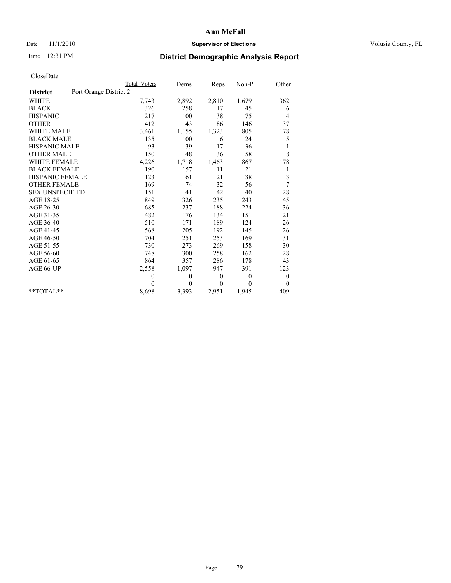# Date 11/1/2010 **Supervisor of Elections Supervisor of Elections** Volusia County, FL

# Time 12:31 PM **District Demographic Analysis Report**

|                                           | Total Voters | Dems     | Reps     | $Non-P$      | Other            |  |
|-------------------------------------------|--------------|----------|----------|--------------|------------------|--|
| Port Orange District 2<br><b>District</b> |              |          |          |              |                  |  |
| <b>WHITE</b>                              | 7,743        | 2,892    | 2,810    | 1,679        | 362              |  |
| <b>BLACK</b>                              | 326          | 258      | 17       | 45           | 6                |  |
| <b>HISPANIC</b>                           | 217          | 100      | 38       | 75           | 4                |  |
| <b>OTHER</b>                              | 412          | 143      | 86       | 146          | 37               |  |
| <b>WHITE MALE</b>                         | 3,461        | 1,155    | 1,323    | 805          | 178              |  |
| <b>BLACK MALE</b>                         | 135          | 100      | 6        | 24           | 5                |  |
| <b>HISPANIC MALE</b>                      | 93           | 39       | 17       | 36           | 1                |  |
| <b>OTHER MALE</b>                         | 150          | 48       | 36       | 58           | 8                |  |
| <b>WHITE FEMALE</b>                       | 4,226        | 1,718    | 1,463    | 867          | 178              |  |
| <b>BLACK FEMALE</b>                       | 190          | 157      | 11       | 21           | 1                |  |
| HISPANIC FEMALE                           | 123          | 61       | 21       | 38           | 3                |  |
| <b>OTHER FEMALE</b>                       | 169          | 74       | 32       | 56           | 7                |  |
| <b>SEX UNSPECIFIED</b>                    | 151          | 41       | 42       | 40           | 28               |  |
| AGE 18-25                                 | 849          | 326      | 235      | 243          | 45               |  |
| AGE 26-30                                 | 685          | 237      | 188      | 224          | 36               |  |
| AGE 31-35                                 | 482          | 176      | 134      | 151          | 21               |  |
| AGE 36-40                                 | 510          | 171      | 189      | 124          | 26               |  |
| AGE 41-45                                 | 568          | 205      | 192      | 145          | 26               |  |
| AGE 46-50                                 | 704          | 251      | 253      | 169          | 31               |  |
| AGE 51-55                                 | 730          | 273      | 269      | 158          | 30               |  |
| AGE 56-60                                 | 748          | 300      | 258      | 162          | 28               |  |
| AGE 61-65                                 | 864          | 357      | 286      | 178          | 43               |  |
| AGE 66-UP                                 | 2,558        | 1,097    | 947      | 391          | 123              |  |
|                                           | $\theta$     | $\theta$ | $\theta$ | $\mathbf{0}$ | $\boldsymbol{0}$ |  |
|                                           | $\theta$     | $\theta$ | $\theta$ | $\theta$     | $\theta$         |  |
| $*$ TOTAL $*$                             | 8,698        | 3,393    | 2,951    | 1,945        | 409              |  |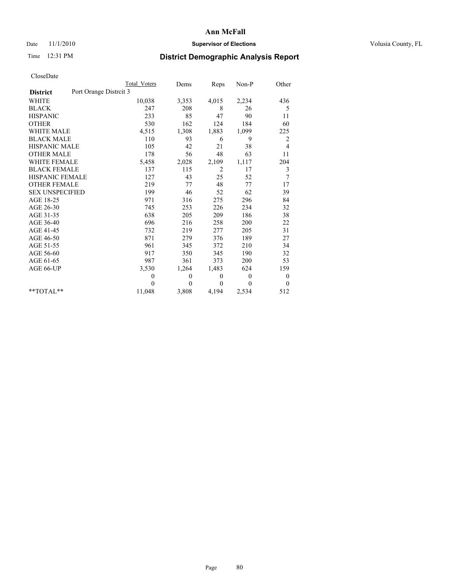## Date 11/1/2010 **Supervisor of Elections Supervisor of Elections** Volusia County, FL

# Time 12:31 PM **District Demographic Analysis Report**

|                                          | <b>Total Voters</b> | Dems     | Reps           | $Non-P$      | Other            |
|------------------------------------------|---------------------|----------|----------------|--------------|------------------|
| Port Orange Distrit 3<br><b>District</b> |                     |          |                |              |                  |
| <b>WHITE</b>                             | 10,038              | 3,353    | 4,015          | 2,234        | 436              |
| <b>BLACK</b>                             | 247                 | 208      | 8              | 26           | 5                |
| <b>HISPANIC</b>                          | 233                 | 85       | 47             | 90           | 11               |
| <b>OTHER</b>                             | 530                 | 162      | 124            | 184          | 60               |
| WHITE MALE                               | 4,515               | 1,308    | 1,883          | 1,099        | 225              |
| <b>BLACK MALE</b>                        | 110                 | 93       | 6              | 9            | 2                |
| <b>HISPANIC MALE</b>                     | 105                 | 42       | 21             | 38           | 4                |
| <b>OTHER MALE</b>                        | 178                 | 56       | 48             | 63           | 11               |
| <b>WHITE FEMALE</b>                      | 5,458               | 2,028    | 2,109          | 1,117        | 204              |
| <b>BLACK FEMALE</b>                      | 137                 | 115      | $\overline{2}$ | 17           | 3                |
| <b>HISPANIC FEMALE</b>                   | 127                 | 43       | 25             | 52           | 7                |
| <b>OTHER FEMALE</b>                      | 219                 | 77       | 48             | 77           | 17               |
| <b>SEX UNSPECIFIED</b>                   | 199                 | 46       | 52             | 62           | 39               |
| AGE 18-25                                | 971                 | 316      | 275            | 296          | 84               |
| AGE 26-30                                | 745                 | 253      | 226            | 234          | 32               |
| AGE 31-35                                | 638                 | 205      | 209            | 186          | 38               |
| AGE 36-40                                | 696                 | 216      | 258            | 200          | 22               |
| AGE 41-45                                | 732                 | 219      | 277            | 205          | 31               |
| AGE 46-50                                | 871                 | 279      | 376            | 189          | 27               |
| AGE 51-55                                | 961                 | 345      | 372            | 210          | 34               |
| AGE 56-60                                | 917                 | 350      | 345            | 190          | 32               |
| AGE 61-65                                | 987                 | 361      | 373            | 200          | 53               |
| AGE 66-UP                                | 3,530               | 1,264    | 1,483          | 624          | 159              |
|                                          | $\mathbf{0}$        | 0        | $\mathbf{0}$   | $\mathbf{0}$ | $\boldsymbol{0}$ |
|                                          | $\Omega$            | $\theta$ | $\theta$       | $\Omega$     | $\overline{0}$   |
| $*$ $TOTAI.**$                           | 11,048              | 3,808    | 4,194          | 2,534        | 512              |